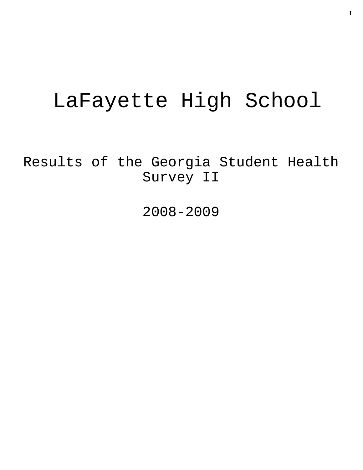# LaFayette High School

Results of the Georgia Student Health Survey II

2008-2009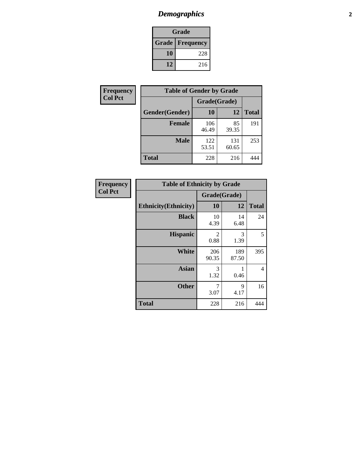# *Demographics* **2**

| Grade                    |     |  |  |  |
|--------------------------|-----|--|--|--|
| <b>Grade   Frequency</b> |     |  |  |  |
| 10                       | 228 |  |  |  |
| 12                       | 216 |  |  |  |

| <b>Frequency</b> | <b>Table of Gender by Grade</b> |              |              |              |  |  |
|------------------|---------------------------------|--------------|--------------|--------------|--|--|
| <b>Col Pct</b>   |                                 | Grade(Grade) |              |              |  |  |
|                  | Gender(Gender)                  | 10           | 12           | <b>Total</b> |  |  |
|                  | <b>Female</b>                   | 106<br>46.49 | 85<br>39.35  | 191          |  |  |
|                  | <b>Male</b>                     | 122<br>53.51 | 131<br>60.65 | 253          |  |  |
|                  | <b>Total</b>                    | 228          | 216          | 444          |  |  |

| Frequency<br>Col Pct |
|----------------------|
|                      |

| <b>Table of Ethnicity by Grade</b> |              |              |              |  |  |  |
|------------------------------------|--------------|--------------|--------------|--|--|--|
|                                    | Grade(Grade) |              |              |  |  |  |
| <b>Ethnicity</b> (Ethnicity)       | 10           | 12           | <b>Total</b> |  |  |  |
| <b>Black</b>                       | 10<br>4.39   | 14<br>6.48   | 24           |  |  |  |
| <b>Hispanic</b>                    | 2<br>0.88    | 3<br>1.39    | 5            |  |  |  |
| White                              | 206<br>90.35 | 189<br>87.50 | 395          |  |  |  |
| <b>Asian</b>                       | 3<br>1.32    | 1<br>0.46    | 4            |  |  |  |
| <b>Other</b>                       | 7<br>3.07    | 9<br>4.17    | 16           |  |  |  |
| <b>Total</b>                       | 228          | 216          | 444          |  |  |  |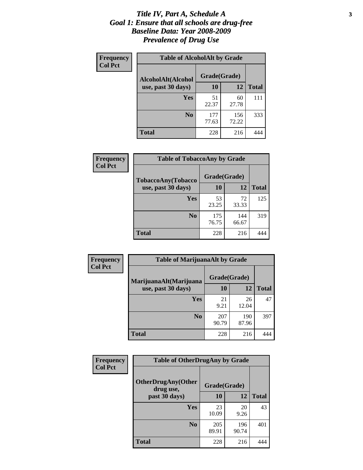#### *Title IV, Part A, Schedule A* **3** *Goal 1: Ensure that all schools are drug-free Baseline Data: Year 2008-2009 Prevalence of Drug Use*

| Frequency<br><b>Col Pct</b> | <b>Table of AlcoholAlt by Grade</b> |              |              |              |  |
|-----------------------------|-------------------------------------|--------------|--------------|--------------|--|
|                             | AlcoholAlt(Alcohol                  | Grade(Grade) |              |              |  |
|                             | use, past 30 days)                  | 10           | 12           | <b>Total</b> |  |
|                             | <b>Yes</b>                          | 51<br>22.37  | 60<br>27.78  | 111          |  |
|                             | N <sub>0</sub>                      | 177<br>77.63 | 156<br>72.22 | 333          |  |
|                             | <b>Total</b>                        | 228          | 216          | 444          |  |

| Frequency<br><b>Col Pct</b> | <b>Table of TobaccoAny by Grade</b> |              |              |              |  |
|-----------------------------|-------------------------------------|--------------|--------------|--------------|--|
|                             | <b>TobaccoAny(Tobacco</b>           | Grade(Grade) |              |              |  |
|                             | use, past 30 days)                  | 10           | 12           | <b>Total</b> |  |
|                             | Yes                                 | 53<br>23.25  | 72<br>33.33  | 125          |  |
|                             | N <sub>0</sub>                      | 175<br>76.75 | 144<br>66.67 | 319          |  |
|                             | <b>Total</b>                        | 228          | 216          |              |  |

| Frequency<br><b>Col Pct</b> | <b>Table of MarijuanaAlt by Grade</b> |              |              |              |  |
|-----------------------------|---------------------------------------|--------------|--------------|--------------|--|
|                             | MarijuanaAlt(Marijuana                | Grade(Grade) |              |              |  |
|                             | use, past 30 days)                    | 10           | 12           | <b>Total</b> |  |
|                             | Yes                                   | 21<br>9.21   | 26<br>12.04  | 47           |  |
|                             | N <sub>0</sub>                        | 207<br>90.79 | 190<br>87.96 | 397          |  |
|                             | <b>Total</b>                          | 228          | 216          |              |  |

| <b>Frequency</b> | <b>Table of OtherDrugAny by Grade</b>  |              |              |              |  |  |
|------------------|----------------------------------------|--------------|--------------|--------------|--|--|
| <b>Col Pct</b>   | <b>OtherDrugAny(Other</b><br>drug use, | Grade(Grade) |              |              |  |  |
|                  | past 30 days)                          | 10           | 12           | <b>Total</b> |  |  |
|                  | Yes                                    | 23<br>10.09  | 20<br>9.26   | 43           |  |  |
|                  | N <sub>0</sub>                         | 205<br>89.91 | 196<br>90.74 | 401          |  |  |
|                  | <b>Total</b>                           | 228          | 216          | 444          |  |  |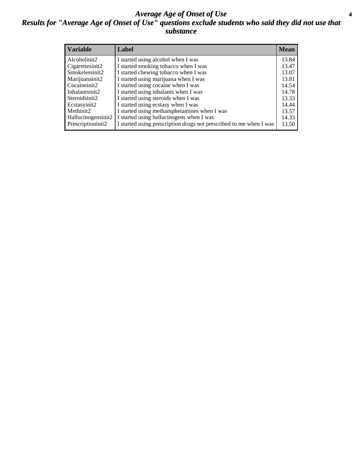#### *Average Age of Onset of Use* **4** *Results for "Average Age of Onset of Use" questions exclude students who said they did not use that substance*

| <b>Variable</b>       | Label                                                              | <b>Mean</b> |
|-----------------------|--------------------------------------------------------------------|-------------|
| Alcoholinit2          | I started using alcohol when I was                                 | 13.84       |
| Cigarettesinit2       | I started smoking tobacco when I was                               | 13.47       |
| Smokelessinit2        | I started chewing tobacco when I was                               | 13.07       |
| Marijuanainit2        | I started using marijuana when I was                               | 13.81       |
| Cocaineinit2          | I started using cocaine when I was                                 | 14.54       |
| Inhalantsinit2        | I started using inhalants when I was                               | 14.78       |
| Steroidsinit2         | I started using steroids when I was                                | 13.33       |
| Ecstasyinit2          | I started using ecstasy when I was                                 | 14.44       |
| Methinit <sub>2</sub> | I started using methamphetamines when I was                        | 13.57       |
| Hallucinogensinit2    | I started using hallucinogens when I was                           | 14.33       |
| Prescriptioninit2     | I started using prescription drugs not prescribed to me when I was | 13.50       |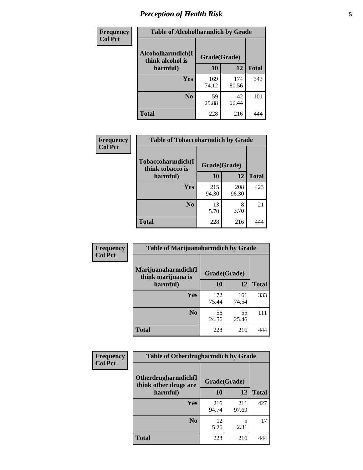# *Perception of Health Risk* **5**

| Frequency      | <b>Table of Alcoholharmdich by Grade</b> |              |              |              |  |
|----------------|------------------------------------------|--------------|--------------|--------------|--|
| <b>Col Pct</b> | Alcoholharmdich(I<br>think alcohol is    | Grade(Grade) |              |              |  |
|                | harmful)                                 | 10           | 12           | <b>Total</b> |  |
|                | Yes                                      | 169<br>74.12 | 174<br>80.56 | 343          |  |
|                | N <sub>0</sub>                           | 59<br>25.88  | 42<br>19.44  | 101          |  |
|                | <b>Total</b>                             | 228          | 216          | 444          |  |

| Frequency      | <b>Table of Tobaccoharmdich by Grade</b> |              |              |              |  |
|----------------|------------------------------------------|--------------|--------------|--------------|--|
| <b>Col Pct</b> | Tobaccoharmdich(I<br>think tobacco is    | Grade(Grade) |              |              |  |
|                | harmful)                                 | 10           | 12           | <b>Total</b> |  |
|                | <b>Yes</b>                               | 215<br>94.30 | 208<br>96.30 | 423          |  |
|                | N <sub>0</sub>                           | 13<br>5.70   | 8<br>3.70    | 21           |  |
|                | <b>Total</b>                             | 228          | 216          |              |  |

| <b>Frequency</b> | <b>Table of Marijuanaharmdich by Grade</b>                |              |              |              |  |  |
|------------------|-----------------------------------------------------------|--------------|--------------|--------------|--|--|
| <b>Col Pct</b>   | Marijuanaharmdich(I<br>Grade(Grade)<br>think marijuana is |              |              |              |  |  |
|                  | harmful)                                                  | 10           | 12           | <b>Total</b> |  |  |
|                  | Yes                                                       | 172<br>75.44 | 161<br>74.54 | 333          |  |  |
|                  | N <sub>0</sub>                                            | 56<br>24.56  | 55<br>25.46  | 111          |  |  |
|                  | <b>Total</b>                                              | 228          | 216          | 444          |  |  |

| <b>Frequency</b> | <b>Table of Otherdrugharmdich by Grade</b>   |              |              |              |  |  |  |  |
|------------------|----------------------------------------------|--------------|--------------|--------------|--|--|--|--|
| <b>Col Pct</b>   | Otherdrugharmdich(I<br>think other drugs are | Grade(Grade) |              |              |  |  |  |  |
|                  | harmful)                                     | 10           | 12           | <b>Total</b> |  |  |  |  |
|                  | <b>Yes</b>                                   | 216<br>94.74 | 211<br>97.69 | 427          |  |  |  |  |
|                  | N <sub>0</sub>                               | 12<br>5.26   | 5<br>2.31    | 17           |  |  |  |  |
|                  | <b>Total</b>                                 | 228          | 216          | 444          |  |  |  |  |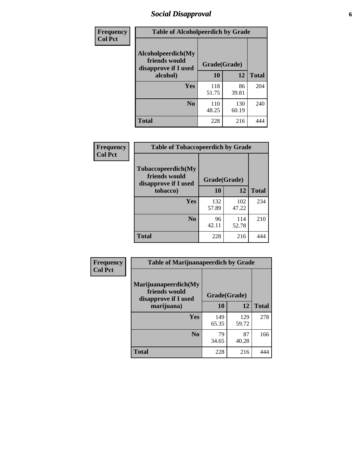# *Social Disapproval* **6**

| Frequency      | <b>Table of Alcoholpeerdich by Grade</b>                    |              |              |              |
|----------------|-------------------------------------------------------------|--------------|--------------|--------------|
| <b>Col Pct</b> | Alcoholpeerdich(My<br>friends would<br>disapprove if I used | Grade(Grade) |              |              |
|                | alcohol)                                                    | 10           | 12           | <b>Total</b> |
|                | <b>Yes</b>                                                  | 118<br>51.75 | 86<br>39.81  | 204          |
|                | N <sub>0</sub>                                              | 110<br>48.25 | 130<br>60.19 | 240          |
|                | <b>Total</b>                                                | 228          | 216          | 444          |

| <b>Frequency</b> |
|------------------|
| <b>Col Pct</b>   |

| <b>Table of Tobaccopeerdich by Grade</b>                            |              |              |              |  |  |  |  |
|---------------------------------------------------------------------|--------------|--------------|--------------|--|--|--|--|
| <b>Tobaccopeerdich</b> (My<br>friends would<br>disapprove if I used | Grade(Grade) |              |              |  |  |  |  |
| tobacco)                                                            | 10           | 12           | <b>Total</b> |  |  |  |  |
| Yes                                                                 | 132<br>57.89 | 102<br>47.22 | 234          |  |  |  |  |
| N <sub>0</sub>                                                      | 96<br>42.11  | 114<br>52.78 | 210          |  |  |  |  |
| <b>Total</b>                                                        | 228          | 216          |              |  |  |  |  |

| <b>Frequency</b> | <b>Table of Marijuanapeerdich by Grade</b>                    |              |              |              |  |  |  |  |  |
|------------------|---------------------------------------------------------------|--------------|--------------|--------------|--|--|--|--|--|
| <b>Col Pct</b>   | Marijuanapeerdich(My<br>friends would<br>disapprove if I used | Grade(Grade) |              |              |  |  |  |  |  |
|                  | marijuana)                                                    | 10           | 12           | <b>Total</b> |  |  |  |  |  |
|                  | <b>Yes</b>                                                    | 149<br>65.35 | 129<br>59.72 | 278          |  |  |  |  |  |
|                  | N <sub>0</sub>                                                | 79<br>34.65  | 87<br>40.28  | 166          |  |  |  |  |  |
|                  | <b>Total</b>                                                  | 228          | 216          | 444          |  |  |  |  |  |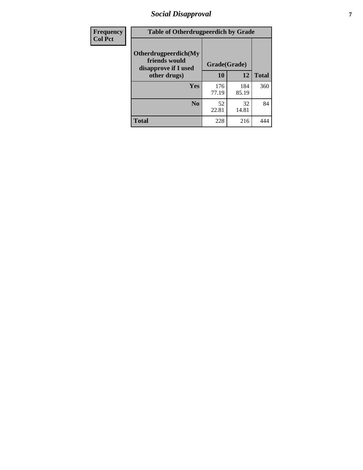# *Social Disapproval* **7**

| Frequency      | <b>Table of Otherdrugpeerdich by Grade</b>                    |              |              |              |  |  |  |  |
|----------------|---------------------------------------------------------------|--------------|--------------|--------------|--|--|--|--|
| <b>Col Pct</b> | Otherdrugpeerdich(My<br>friends would<br>disapprove if I used | Grade(Grade) |              |              |  |  |  |  |
|                | other drugs)                                                  | 10           | 12           | <b>Total</b> |  |  |  |  |
|                | Yes                                                           | 176<br>77.19 | 184<br>85.19 | 360          |  |  |  |  |
|                | N <sub>0</sub>                                                | 52<br>22.81  | 32<br>14.81  | 84           |  |  |  |  |
|                | <b>Total</b>                                                  | 228          | 216          | 444          |  |  |  |  |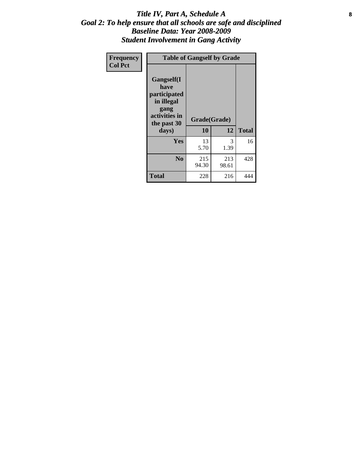#### Title IV, Part A, Schedule A **8** *Goal 2: To help ensure that all schools are safe and disciplined Baseline Data: Year 2008-2009 Student Involvement in Gang Activity*

| Frequency      |                                                                                                   | <b>Table of Gangself by Grade</b> |              |              |
|----------------|---------------------------------------------------------------------------------------------------|-----------------------------------|--------------|--------------|
| <b>Col Pct</b> | Gangself(I<br>have<br>participated<br>in illegal<br>gang<br>activities in<br>the past 30<br>days) | Grade(Grade)<br>10                | 12           | <b>Total</b> |
|                | Yes                                                                                               | 13<br>5.70                        | 3<br>1.39    | 16           |
|                | N <sub>0</sub>                                                                                    | 215<br>94.30                      | 213<br>98.61 | 428          |
|                | <b>Total</b>                                                                                      | 228                               | 216          | 444          |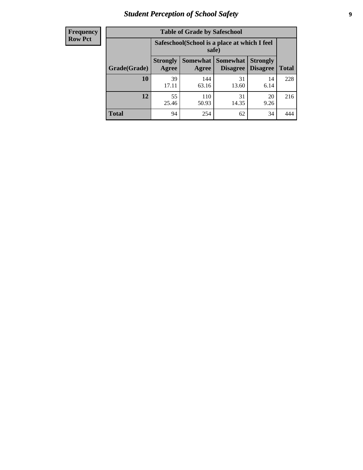# *Student Perception of School Safety* **9**

| <b>Frequency</b><br>Row Pct |
|-----------------------------|
|                             |

| <b>Table of Grade by Safeschool</b> |                          |                                                                                                   |             |            |     |  |  |  |
|-------------------------------------|--------------------------|---------------------------------------------------------------------------------------------------|-------------|------------|-----|--|--|--|
|                                     |                          | Safeschool (School is a place at which I feel<br>safe)                                            |             |            |     |  |  |  |
| Grade(Grade)                        | <b>Strongly</b><br>Agree | Somewhat<br>Somewhat  <br><b>Strongly</b><br><b>Disagree</b><br>Disagree<br><b>Total</b><br>Agree |             |            |     |  |  |  |
| 10                                  | 39<br>17.11              | 144<br>63.16                                                                                      | 31<br>13.60 | 14<br>6.14 | 228 |  |  |  |
| 12                                  | 55<br>25.46              | 110<br>50.93                                                                                      | 31<br>14.35 | 20<br>9.26 | 216 |  |  |  |
| <b>Total</b>                        | 94                       | 254                                                                                               | 62          | 34         |     |  |  |  |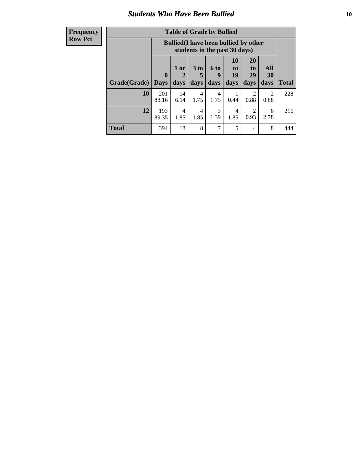### *Students Who Have Been Bullied* **10**

| <b>Frequency</b> |
|------------------|
| Row Pct          |

| <b>Table of Grade by Bullied</b> |                            |                                                                               |                     |                   |                        |                        |                          |              |
|----------------------------------|----------------------------|-------------------------------------------------------------------------------|---------------------|-------------------|------------------------|------------------------|--------------------------|--------------|
|                                  |                            | <b>Bullied</b> (I have been bullied by other<br>students in the past 30 days) |                     |                   |                        |                        |                          |              |
| Grade(Grade)                     | $\mathbf 0$<br><b>Days</b> | 1 or<br>2<br>days                                                             | $3$ to<br>5<br>days | 6 to<br>9<br>days | 10<br>to<br>19<br>days | 20<br>to<br>29<br>days | <b>All</b><br>30<br>days | <b>Total</b> |
| 10                               | 201<br>88.16               | 14<br>6.14                                                                    | 4<br>1.75           | 4<br>1.75         | 0.44                   | $\overline{2}$<br>0.88 | $\overline{c}$<br>0.88   | 228          |
| 12                               | 193<br>89.35               | 4<br>1.85                                                                     | 4<br>1.85           | 3<br>1.39         | 4<br>1.85              | 2<br>0.93              | 6<br>2.78                | 216          |
| <b>Total</b>                     | 394                        | 18                                                                            | 8                   | 7                 | 5                      | $\overline{4}$         | 8                        | 444          |

 $\blacksquare$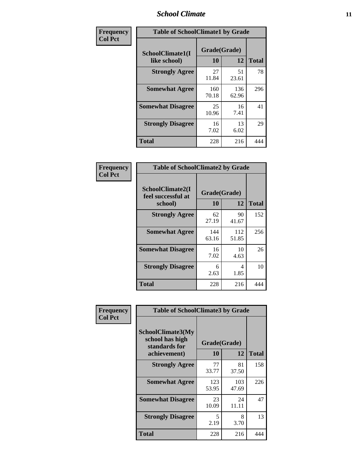### *School Climate* **11**

| Frequency      | <b>Table of SchoolClimate1 by Grade</b> |                    |              |              |  |  |  |
|----------------|-----------------------------------------|--------------------|--------------|--------------|--|--|--|
| <b>Col Pct</b> | SchoolClimate1(I<br>like school)        | Grade(Grade)<br>10 | 12           | <b>Total</b> |  |  |  |
|                | <b>Strongly Agree</b>                   | 27<br>11.84        | 51<br>23.61  | 78           |  |  |  |
|                | <b>Somewhat Agree</b>                   | 160<br>70.18       | 136<br>62.96 | 296          |  |  |  |
|                | <b>Somewhat Disagree</b>                | 25<br>10.96        | 16<br>7.41   | 41           |  |  |  |
|                | <b>Strongly Disagree</b>                | 16<br>7.02         | 13<br>6.02   | 29           |  |  |  |
|                | Total                                   | 228                | 216          | 444          |  |  |  |

| Frequency      | <b>Table of SchoolClimate2 by Grade</b>           |                    |              |              |
|----------------|---------------------------------------------------|--------------------|--------------|--------------|
| <b>Col Pct</b> | SchoolClimate2(I<br>feel successful at<br>school) | Grade(Grade)<br>10 | 12           | <b>Total</b> |
|                | <b>Strongly Agree</b>                             | 62<br>27.19        | 90<br>41.67  | 152          |
|                | <b>Somewhat Agree</b>                             | 144<br>63.16       | 112<br>51.85 | 256          |
|                | <b>Somewhat Disagree</b>                          | 16<br>7.02         | 10<br>4.63   | 26           |
|                | <b>Strongly Disagree</b>                          | 6<br>2.63          | 4<br>1.85    | 10           |
|                | <b>Total</b>                                      | 228                | 216          | 444          |

| Frequency      | <b>Table of SchoolClimate3 by Grade</b>                      |              |              |              |  |
|----------------|--------------------------------------------------------------|--------------|--------------|--------------|--|
| <b>Col Pct</b> | <b>SchoolClimate3(My</b><br>school has high<br>standards for | Grade(Grade) |              |              |  |
|                | achievement)                                                 | 10           | 12           | <b>Total</b> |  |
|                | <b>Strongly Agree</b>                                        | 77<br>33.77  | 81<br>37.50  | 158          |  |
|                | <b>Somewhat Agree</b>                                        | 123<br>53.95 | 103<br>47.69 | 226          |  |
|                | <b>Somewhat Disagree</b>                                     | 23<br>10.09  | 24<br>11.11  | 47           |  |
|                | <b>Strongly Disagree</b>                                     | 5<br>2.19    | 8<br>3.70    | 13           |  |
|                | Total                                                        | 228          | 216          | 444          |  |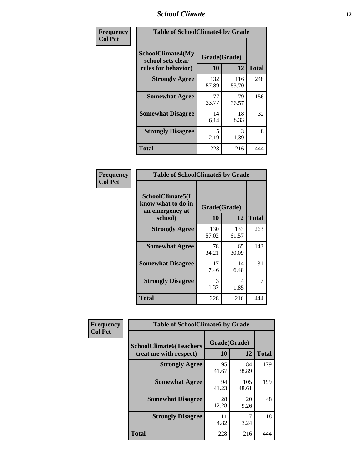### *School Climate* **12**

| Frequency      |                                                               | <b>Table of SchoolClimate4 by Grade</b> |              |              |  |
|----------------|---------------------------------------------------------------|-----------------------------------------|--------------|--------------|--|
| <b>Col Pct</b> | SchoolClimate4(My<br>school sets clear<br>rules for behavior) | Grade(Grade)<br>10                      | 12           | <b>Total</b> |  |
|                | <b>Strongly Agree</b>                                         | 132<br>57.89                            | 116<br>53.70 | 248          |  |
|                | <b>Somewhat Agree</b>                                         | 77<br>33.77                             | 79<br>36.57  | 156          |  |
|                | <b>Somewhat Disagree</b>                                      | 14<br>6.14                              | 18<br>8.33   | 32           |  |
|                | <b>Strongly Disagree</b>                                      | 5<br>2.19                               | 3<br>1.39    | 8            |  |
|                | <b>Total</b>                                                  | 228                                     | 216          | 444          |  |

| <b>Table of SchoolClimate5 by Grade</b>                              |              |                    |              |  |  |
|----------------------------------------------------------------------|--------------|--------------------|--------------|--|--|
| SchoolClimate5(I<br>know what to do in<br>an emergency at<br>school) | 10           | Grade(Grade)<br>12 | <b>Total</b> |  |  |
| <b>Strongly Agree</b>                                                | 130<br>57.02 | 133<br>61.57       | 263          |  |  |
| <b>Somewhat Agree</b>                                                | 78<br>34.21  | 65<br>30.09        | 143          |  |  |
| <b>Somewhat Disagree</b>                                             | 17<br>7.46   | 14<br>6.48         | 31           |  |  |
| <b>Strongly Disagree</b>                                             | 3<br>1.32    | 4<br>1.85          | 7            |  |  |
| Total                                                                | 228          | 216                | 444          |  |  |

| Frequency      | <b>Table of SchoolClimate6 by Grade</b>                  |                    |              |              |
|----------------|----------------------------------------------------------|--------------------|--------------|--------------|
| <b>Col Pct</b> | <b>SchoolClimate6(Teachers</b><br>treat me with respect) | Grade(Grade)<br>10 | 12           | <b>Total</b> |
|                | <b>Strongly Agree</b>                                    | 95<br>41.67        | 84<br>38.89  | 179          |
|                | <b>Somewhat Agree</b>                                    | 94<br>41.23        | 105<br>48.61 | 199          |
|                | <b>Somewhat Disagree</b>                                 | 28<br>12.28        | 20<br>9.26   | 48           |
|                | <b>Strongly Disagree</b>                                 | 11<br>4.82         | 3.24         | 18           |
|                | <b>Total</b>                                             | 228                | 216          | 444          |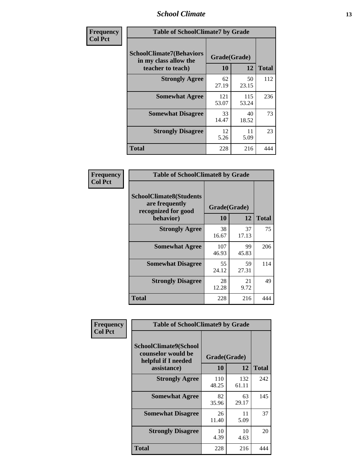### *School Climate* **13**

| Frequency      | <b>Table of SchoolClimate7 by Grade</b>                                       |                           |              |              |
|----------------|-------------------------------------------------------------------------------|---------------------------|--------------|--------------|
| <b>Col Pct</b> | <b>SchoolClimate7(Behaviors</b><br>in my class allow the<br>teacher to teach) | Grade(Grade)<br><b>10</b> | 12           | <b>Total</b> |
|                | <b>Strongly Agree</b>                                                         | 62<br>27.19               | 50<br>23.15  | 112          |
|                | <b>Somewhat Agree</b>                                                         | 121<br>53.07              | 115<br>53.24 | 236          |
|                | <b>Somewhat Disagree</b>                                                      | 33<br>14.47               | 40<br>18.52  | 73           |
|                | <b>Strongly Disagree</b>                                                      | 12<br>5.26                | 11<br>5.09   | 23           |
|                | <b>Total</b>                                                                  | 228                       | 216          | 444          |

| Frequency      | <b>Table of SchoolClimate8 by Grade</b>                                              |                    |             |              |
|----------------|--------------------------------------------------------------------------------------|--------------------|-------------|--------------|
| <b>Col Pct</b> | <b>SchoolClimate8(Students</b><br>are frequently<br>recognized for good<br>behavior) | Grade(Grade)<br>10 | 12          | <b>Total</b> |
|                | <b>Strongly Agree</b>                                                                | 38<br>16.67        | 37<br>17.13 | 75           |
|                | <b>Somewhat Agree</b>                                                                | 107<br>46.93       | 99<br>45.83 | 206          |
|                | <b>Somewhat Disagree</b>                                                             | 55<br>24.12        | 59<br>27.31 | 114          |
|                | <b>Strongly Disagree</b>                                                             | 28<br>12.28        | 21<br>9.72  | 49           |
|                | Total                                                                                | 228                | 216         | 444          |

| Frequency      | <b>Table of SchoolClimate9 by Grade</b>                                           |                    |              |              |
|----------------|-----------------------------------------------------------------------------------|--------------------|--------------|--------------|
| <b>Col Pct</b> | SchoolClimate9(School<br>counselor would be<br>helpful if I needed<br>assistance) | Grade(Grade)<br>10 | 12           | <b>Total</b> |
|                | <b>Strongly Agree</b>                                                             | 110<br>48.25       | 132<br>61.11 | 242          |
|                | <b>Somewhat Agree</b>                                                             | 82<br>35.96        | 63<br>29.17  | 145          |
|                | <b>Somewhat Disagree</b>                                                          | 26<br>11.40        | 11<br>5.09   | 37           |
|                | <b>Strongly Disagree</b>                                                          | 10<br>4.39         | 10<br>4.63   | 20           |
|                | Total                                                                             | 228                | 216          | 444          |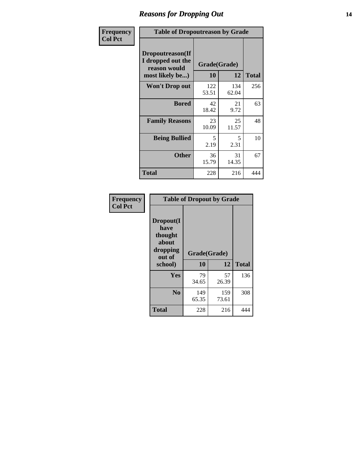### *Reasons for Dropping Out* **14**

| Frequency      | <b>Table of Dropoutreason by Grade</b>                                   |                    |              |              |
|----------------|--------------------------------------------------------------------------|--------------------|--------------|--------------|
| <b>Col Pct</b> | Dropoutreason(If<br>I dropped out the<br>reason would<br>most likely be) | Grade(Grade)<br>10 | 12           | <b>Total</b> |
|                | <b>Won't Drop out</b>                                                    | 122<br>53.51       | 134<br>62.04 | 256          |
|                | <b>Bored</b>                                                             | 42<br>18.42        | 21<br>9.72   | 63           |
|                | <b>Family Reasons</b>                                                    | 23<br>10.09        | 25<br>11.57  | 48           |
|                | <b>Being Bullied</b>                                                     | 5<br>2.19          | 5<br>2.31    | 10           |
|                | <b>Other</b>                                                             | 36<br>15.79        | 31<br>14.35  | 67           |
|                | Total                                                                    | 228                | 216          | 444          |

| Frequency<br><b>Col Pct</b> | <b>Table of Dropout by Grade</b>                            |              |              |              |  |
|-----------------------------|-------------------------------------------------------------|--------------|--------------|--------------|--|
|                             | Dropout(I<br>have<br>thought<br>about<br>dropping<br>out of | Grade(Grade) |              |              |  |
|                             | school)                                                     | 10           | 12           | <b>Total</b> |  |
|                             | Yes                                                         | 79<br>34.65  | 57<br>26.39  | 136          |  |
|                             |                                                             |              |              |              |  |
|                             | N <sub>0</sub>                                              | 149<br>65.35 | 159<br>73.61 | 308          |  |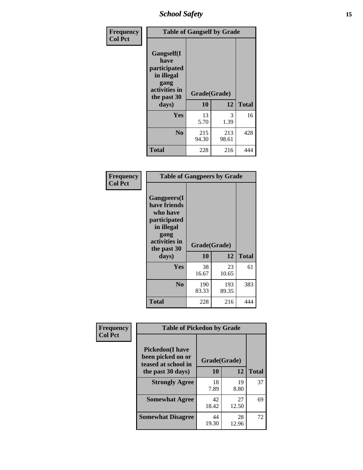*School Safety* **15**

| Frequency      | <b>Table of Gangself by Grade</b>                                                                         |                    |              |              |
|----------------|-----------------------------------------------------------------------------------------------------------|--------------------|--------------|--------------|
| <b>Col Pct</b> | <b>Gangself</b> (I<br>have<br>participated<br>in illegal<br>gang<br>activities in<br>the past 30<br>days) | Grade(Grade)<br>10 | 12           | <b>Total</b> |
|                | Yes                                                                                                       | 13<br>5.70         | 3<br>1.39    | 16           |
|                | N <sub>0</sub>                                                                                            | 215<br>94.30       | 213<br>98.61 | 428          |
|                | <b>Total</b>                                                                                              | 228                | 216          | 444          |

| Frequency<br><b>Col Pct</b> | <b>Table of Gangpeers by Grade</b>                                                                                             |                    |              |              |
|-----------------------------|--------------------------------------------------------------------------------------------------------------------------------|--------------------|--------------|--------------|
|                             | <b>Gangpeers</b> (I<br>have friends<br>who have<br>participated<br>in illegal<br>gang<br>activities in<br>the past 30<br>days) | Grade(Grade)<br>10 | 12           | <b>Total</b> |
|                             | <b>Yes</b>                                                                                                                     | 38<br>16.67        | 23<br>10.65  | 61           |
|                             | N <sub>0</sub>                                                                                                                 | 190<br>83.33       | 193<br>89.35 | 383          |
|                             | <b>Total</b>                                                                                                                   | 228                | 216          | 444          |

| Frequency      |                                                                    | <b>Table of Pickedon by Grade</b> |             |              |  |  |  |  |  |  |  |
|----------------|--------------------------------------------------------------------|-----------------------------------|-------------|--------------|--|--|--|--|--|--|--|
| <b>Col Pct</b> | <b>Pickedon(I have</b><br>been picked on or<br>teased at school in | Grade(Grade)                      |             |              |  |  |  |  |  |  |  |
|                | the past 30 days)                                                  | 10                                | 12          | <b>Total</b> |  |  |  |  |  |  |  |
|                | <b>Strongly Agree</b>                                              | 18<br>7.89                        | 19<br>8.80  | 37           |  |  |  |  |  |  |  |
|                | <b>Somewhat Agree</b>                                              | 42<br>18.42                       | 27<br>12.50 | 69           |  |  |  |  |  |  |  |
|                | <b>Somewhat Disagree</b>                                           | 44<br>19.30                       | 28<br>12.96 | 72           |  |  |  |  |  |  |  |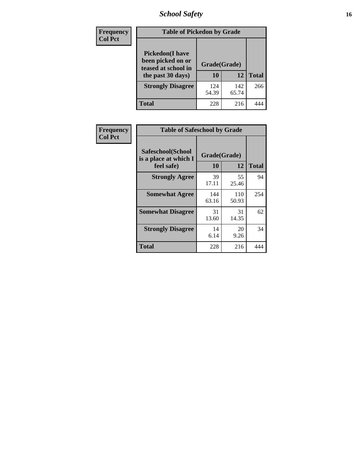# *School Safety* **16**

| <b>Frequency</b> | <b>Table of Pickedon by Grade</b>                                                        |                    |              |              |
|------------------|------------------------------------------------------------------------------------------|--------------------|--------------|--------------|
| <b>Col Pct</b>   | <b>Pickedon</b> (I have<br>been picked on or<br>teased at school in<br>the past 30 days) | Grade(Grade)<br>10 | 12           | <b>Total</b> |
|                  | <b>Strongly Disagree</b>                                                                 | 124<br>54.39       | 142<br>65.74 | 266          |
|                  | Total                                                                                    | 228                | 216          |              |

| Frequency      | <b>Table of Safeschool by Grade</b>                      |                    |              |              |
|----------------|----------------------------------------------------------|--------------------|--------------|--------------|
| <b>Col Pct</b> | Safeschool(School<br>is a place at which I<br>feel safe) | Grade(Grade)<br>10 | 12           | <b>Total</b> |
|                | <b>Strongly Agree</b>                                    | 39<br>17.11        | 55<br>25.46  | 94           |
|                | <b>Somewhat Agree</b>                                    | 144<br>63.16       | 110<br>50.93 | 254          |
|                | <b>Somewhat Disagree</b>                                 | 31<br>13.60        | 31<br>14.35  | 62           |
|                | <b>Strongly Disagree</b>                                 | 14<br>6.14         | 20<br>9.26   | 34           |
|                | <b>Total</b>                                             | 228                | 216          | 444          |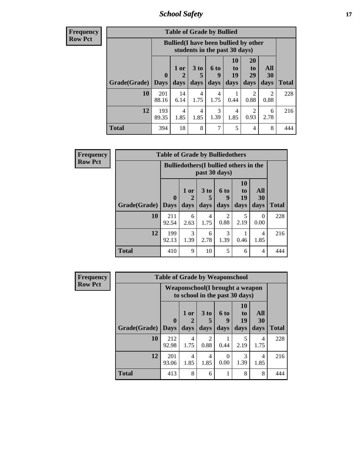*School Safety* **17**

| <b>Frequend</b><br>Row Pct |
|----------------------------|

| $\overline{\textbf{c}\textbf{y}}$ | <b>Table of Grade by Bullied</b> |                  |                                                                               |                              |                   |                        |                               |                   |              |  |  |
|-----------------------------------|----------------------------------|------------------|-------------------------------------------------------------------------------|------------------------------|-------------------|------------------------|-------------------------------|-------------------|--------------|--|--|
| þ,                                |                                  |                  | <b>Bullied</b> (I have been bullied by other<br>students in the past 30 days) |                              |                   |                        |                               |                   |              |  |  |
|                                   | Grade(Grade)                     | 0<br><b>Days</b> | 1 or<br>days                                                                  | 3 <sub>to</sub><br>5<br>days | 6 to<br>9<br>days | 10<br>to<br>19<br>days | <b>20</b><br>to<br>29<br>days | All<br>30<br>days | <b>Total</b> |  |  |
|                                   | 10                               | 201<br>88.16     | 14<br>6.14                                                                    | $\overline{4}$<br>1.75       | 4<br>1.75         | 0.44                   | $\mathfrak{D}$<br>0.88        | 2<br>0.88         | 228          |  |  |
|                                   | 12                               | 193<br>89.35     | 4<br>1.85                                                                     | $\overline{4}$<br>1.85       | 3<br>1.39         | 4<br>1.85              | $\mathcal{D}$<br>0.93         | 6<br>2.78         | 216          |  |  |
|                                   | <b>Total</b>                     | 394              | 18                                                                            | 8                            | 7                 | 5                      | $\overline{\mathcal{A}}$      | 8                 | 444          |  |  |

| Frequency      |                     | <b>Table of Grade by Bulliedothers</b> |                                                                |           |                        |                       |                        |              |  |  |
|----------------|---------------------|----------------------------------------|----------------------------------------------------------------|-----------|------------------------|-----------------------|------------------------|--------------|--|--|
| <b>Row Pct</b> |                     |                                        | <b>Bulliedothers</b> (I bullied others in the<br>past 30 days) |           |                        |                       |                        |              |  |  |
|                |                     | $\mathbf{0}$                           | 1 or                                                           | 3 to      | 6 to<br>9              | <b>10</b><br>to<br>19 | All<br>30              |              |  |  |
|                | Grade(Grade)   Days |                                        | days                                                           | days      | days                   | days                  | days                   | <b>Total</b> |  |  |
|                | 10                  | 211<br>92.54                           | 6<br>2.63                                                      | 4<br>1.75 | $\mathfrak{D}$<br>0.88 | 5<br>2.19             | $\Omega$<br>0.00       | 228          |  |  |
|                | 12                  | 199<br>92.13                           | 3<br>1.39                                                      | 6<br>2.78 | 3<br>1.39              | 0.46                  | $\overline{4}$<br>1.85 | 216          |  |  |
|                | <b>Total</b>        | 410                                    | 9                                                              | 10        | 5                      | 6                     | $\overline{4}$         | 444          |  |  |

| <b>Frequency</b> | <b>Table of Grade by Weaponschool</b> |              |                                                                   |                        |           |                       |           |              |  |  |  |
|------------------|---------------------------------------|--------------|-------------------------------------------------------------------|------------------------|-----------|-----------------------|-----------|--------------|--|--|--|
| <b>Row Pct</b>   |                                       |              | Weaponschool(I brought a weapon<br>to school in the past 30 days) |                        |           |                       |           |              |  |  |  |
|                  |                                       | $\mathbf{0}$ | $1$ or                                                            | $3$ to<br>5            | 6 to<br>9 | <b>10</b><br>to<br>19 | All<br>30 |              |  |  |  |
|                  | Grade(Grade)                          | <b>Days</b>  | days                                                              | days                   | days      | days                  | days      | <b>Total</b> |  |  |  |
|                  | 10                                    | 212<br>92.98 | 4<br>1.75                                                         | $\mathfrak{D}$<br>0.88 | 0.44      | 5<br>2.19             | 4<br>1.75 | 228          |  |  |  |
|                  | 12                                    | 201<br>93.06 | 4<br>1.85                                                         | 4<br>1.85              | 0<br>0.00 | 3<br>1.39             | 4<br>1.85 | 216          |  |  |  |
|                  | <b>Total</b>                          | 413          | 8                                                                 | 6                      |           | 8                     | 8         | 444          |  |  |  |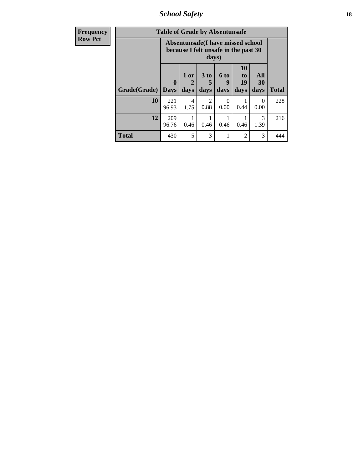*School Safety* **18**

| <b>Frequency</b> | <b>Table of Grade by Absentunsafe</b> |                            |                                                                           |                              |                   |                               |                   |              |  |  |
|------------------|---------------------------------------|----------------------------|---------------------------------------------------------------------------|------------------------------|-------------------|-------------------------------|-------------------|--------------|--|--|
| <b>Row Pct</b>   |                                       |                            | Absentunsafe(I have missed school<br>because I felt unsafe in the past 30 | days)                        |                   |                               |                   |              |  |  |
|                  | Grade(Grade)                          | $\mathbf 0$<br><b>Days</b> | 1 or<br>2<br>days                                                         | 3 <sub>to</sub><br>5<br>days | 6 to<br>9<br>days | <b>10</b><br>to<br>19<br>days | All<br>30<br>days | <b>Total</b> |  |  |
|                  | 10                                    | 221<br>96.93               | 4<br>1.75                                                                 | $\overline{2}$<br>0.88       | $\Omega$<br>0.00  | 0.44                          | 0<br>0.00         | 228          |  |  |
|                  | 12                                    | 209<br>96.76               | 0.46                                                                      | 0.46                         | 0.46              | 0.46                          | 3<br>1.39         | 216          |  |  |
|                  | <b>Total</b>                          | 430                        | 5                                                                         | 3                            |                   | 2                             | 3                 | 444          |  |  |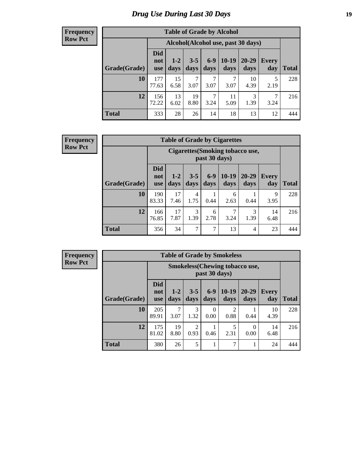# *Drug Use During Last 30 Days* **19**

#### **Frequency Row Pct**

| <b>Table of Grade by Alcohol</b> |                                 |                                    |                 |                 |                 |                   |              |              |  |  |  |  |
|----------------------------------|---------------------------------|------------------------------------|-----------------|-----------------|-----------------|-------------------|--------------|--------------|--|--|--|--|
|                                  |                                 | Alcohol(Alcohol use, past 30 days) |                 |                 |                 |                   |              |              |  |  |  |  |
| Grade(Grade)                     | <b>Did</b><br>not<br><b>use</b> | $1 - 2$<br>days                    | $3 - 5$<br>days | $6 - 9$<br>days | $10-19$<br>days | $20 - 29$<br>days | Every<br>day | <b>Total</b> |  |  |  |  |
| 10                               | 177<br>77.63                    | 15<br>6.58                         | 7<br>3.07       | 7<br>3.07       | 7<br>3.07       | 10<br>4.39        | 5<br>2.19    | 228          |  |  |  |  |
| 12                               | 156<br>72.22                    | 13<br>6.02                         | 19<br>8.80      | 7<br>3.24       | 11<br>5.09      | 3<br>1.39         | 7<br>3.24    | 216          |  |  |  |  |
| <b>Total</b>                     | 333                             | 28                                 | 26              | 14              | 18              | 13                | 12           | 444          |  |  |  |  |

#### **Frequency Row Pct**

| <b>Table of Grade by Cigarettes</b> |                                 |                                                   |                 |                 |                 |                |                     |              |  |  |  |
|-------------------------------------|---------------------------------|---------------------------------------------------|-----------------|-----------------|-----------------|----------------|---------------------|--------------|--|--|--|
|                                     |                                 | Cigarettes (Smoking tobacco use,<br>past 30 days) |                 |                 |                 |                |                     |              |  |  |  |
| Grade(Grade)                        | <b>Did</b><br>not<br><b>use</b> | $1 - 2$<br>days                                   | $3 - 5$<br>days | $6 - 9$<br>days | $10-19$<br>days | 20-29<br>days  | <b>Every</b><br>day | <b>Total</b> |  |  |  |
| 10                                  | 190<br>83.33                    | 17<br>7.46                                        | 4<br>1.75       | 0.44            | 6<br>2.63       | 0.44           | 9<br>3.95           | 228          |  |  |  |
| 12                                  | 166<br>76.85                    | 17<br>7.87                                        | 3<br>1.39       | 6<br>2.78       | 7<br>3.24       | 3<br>1.39      | 14<br>6.48          | 216          |  |  |  |
| <b>Total</b>                        | 356                             | 34                                                | 7               | 7               | 13              | $\overline{4}$ | 23                  | 444          |  |  |  |

| <b>Table of Grade by Smokeless</b> |                                 |                                                         |                        |                  |                        |                   |                     |              |  |  |  |  |
|------------------------------------|---------------------------------|---------------------------------------------------------|------------------------|------------------|------------------------|-------------------|---------------------|--------------|--|--|--|--|
|                                    |                                 | <b>Smokeless</b> (Chewing tobacco use,<br>past 30 days) |                        |                  |                        |                   |                     |              |  |  |  |  |
| Grade(Grade)                       | <b>Did</b><br>not<br><b>use</b> | $1 - 2$<br>days                                         | $3 - 5$<br>days        | $6 - 9$<br>days  | $10-19$<br>days        | $20 - 29$<br>days | <b>Every</b><br>day | <b>Total</b> |  |  |  |  |
| 10                                 | 205<br>89.91                    | 7<br>3.07                                               | 3<br>1.32              | $\Omega$<br>0.00 | $\overline{c}$<br>0.88 | 0.44              | 10<br>4.39          | 228          |  |  |  |  |
| 12                                 | 175<br>81.02                    | 19<br>8.80                                              | $\overline{c}$<br>0.93 | 0.46             | 5<br>2.31              | 0<br>0.00         | 14<br>6.48          | 216          |  |  |  |  |
| <b>Total</b>                       | 380                             | 26                                                      | 5                      |                  | 7                      |                   | 24                  | 444          |  |  |  |  |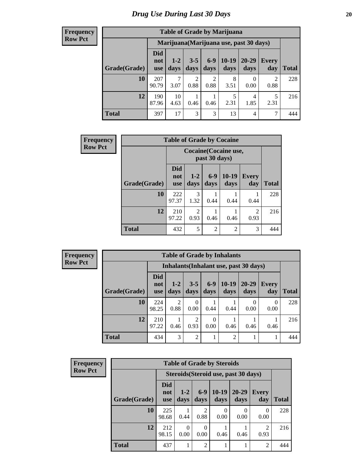| <b>Table of Grade by Marijuana</b> |                          |                                         |                 |                        |                 |                |                     |              |  |  |  |  |
|------------------------------------|--------------------------|-----------------------------------------|-----------------|------------------------|-----------------|----------------|---------------------|--------------|--|--|--|--|
|                                    |                          | Marijuana (Marijuana use, past 30 days) |                 |                        |                 |                |                     |              |  |  |  |  |
| Grade(Grade)                       | Did<br>not<br><b>use</b> | $1 - 2$<br>days                         | $3 - 5$<br>days | $6 - 9$<br>days        | $10-19$<br>days | 20-29<br>days  | <b>Every</b><br>day | <b>Total</b> |  |  |  |  |
| 10                                 | 207<br>90.79             | 7<br>3.07                               | 2<br>0.88       | $\overline{2}$<br>0.88 | 8<br>3.51       | 0<br>0.00      | 2<br>0.88           | 228          |  |  |  |  |
| 12                                 | 190<br>87.96             | 10<br>4.63                              | 0.46            | 0.46                   | 5<br>2.31       | 4<br>1.85      | 5<br>2.31           | 216          |  |  |  |  |
| <b>Total</b>                       | 397                      | 17                                      | 3               | 3                      | 13              | $\overline{4}$ | 7                   | 444          |  |  |  |  |

| Frequency      | <b>Table of Grade by Cocaine</b> |                                 |                                        |               |                |                        |              |  |
|----------------|----------------------------------|---------------------------------|----------------------------------------|---------------|----------------|------------------------|--------------|--|
| <b>Row Pct</b> |                                  |                                 | Cocaine (Cocaine use,<br>past 30 days) |               |                |                        |              |  |
|                | Grade(Grade)                     | <b>Did</b><br>not<br><b>use</b> | $1 - 2$<br>days                        | $6-9$<br>days | 10-19<br>days  | Every<br>day           | <b>Total</b> |  |
|                | 10                               | 222<br>97.37                    | $\mathcal{R}$<br>1.32                  | 0.44          | 0.44           | 0.44                   | 228          |  |
|                | 12                               | 210<br>97.22                    | $\overline{2}$<br>0.93                 | 0.46          | 0.46           | $\overline{2}$<br>0.93 | 216          |  |
|                | <b>Total</b>                     | 432                             | 5                                      | 2             | $\overline{2}$ | 3                      | 444          |  |

| Frequency      |              |                                 |                        |                 |                  | <b>Table of Grade by Inhalants</b>     |                   |                     |              |
|----------------|--------------|---------------------------------|------------------------|-----------------|------------------|----------------------------------------|-------------------|---------------------|--------------|
| <b>Row Pct</b> |              |                                 |                        |                 |                  | Inhalants (Inhalant use, past 30 days) |                   |                     |              |
|                | Grade(Grade) | <b>Did</b><br>not<br><b>use</b> | $1 - 2$<br>days        | $3 - 5$<br>days | $6-9$<br>days    | $10-19$<br>days                        | $20 - 29$<br>days | <b>Every</b><br>day | <b>Total</b> |
|                | 10           | 224<br>98.25                    | $\overline{2}$<br>0.88 | 0.00            | 0.44             | 0.44                                   | 0<br>0.00         | $\Omega$<br>0.00    | 228          |
|                | 12           | 210<br>97.22                    | 0.46                   | 0.93            | $\theta$<br>0.00 | 0.46                                   | 0.46              | 0.46                | 216          |
|                | <b>Total</b> | 434                             | 3                      | 2               |                  | 2                                      |                   |                     | 444          |

| <b>Frequency</b> | <b>Table of Grade by Steroids</b> |                                      |                  |                        |                 |                   |                        |              |  |
|------------------|-----------------------------------|--------------------------------------|------------------|------------------------|-----------------|-------------------|------------------------|--------------|--|
| <b>Row Pct</b>   |                                   | Steroids (Steroid use, past 30 days) |                  |                        |                 |                   |                        |              |  |
|                  | Grade(Grade)                      | <b>Did</b><br>not<br><b>use</b>      | $1 - 2$<br>days  | $6 - 9$<br>days        | $10-19$<br>days | $20 - 29$<br>days | <b>Every</b><br>day    | <b>Total</b> |  |
|                  | 10                                | 225<br>98.68                         | 0.44             | $\mathfrak{D}$<br>0.88 | 0<br>0.00       | $\theta$<br>0.00  | 0<br>0.00              | 228          |  |
|                  | 12                                | 212<br>98.15                         | $\theta$<br>0.00 | 0<br>0.00              | 0.46            | 0.46              | $\mathfrak{D}$<br>0.93 | 216          |  |
|                  | <b>Total</b>                      | 437                                  |                  | $\mathfrak{D}$         |                 |                   | $\overline{c}$         | 444          |  |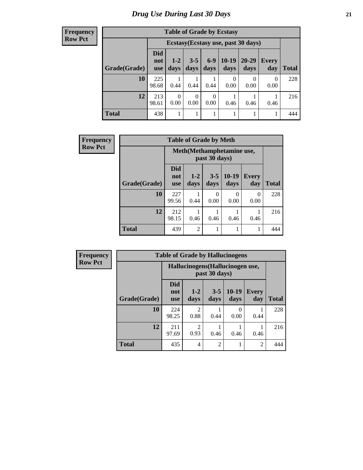| <b>Table of Grade by Ecstasy</b> |                                 |                                     |                  |                  |                 |               |                     |       |  |
|----------------------------------|---------------------------------|-------------------------------------|------------------|------------------|-----------------|---------------|---------------------|-------|--|
|                                  |                                 | Ecstasy (Ecstasy use, past 30 days) |                  |                  |                 |               |                     |       |  |
| Grade(Grade)                     | <b>Did</b><br>not<br><b>use</b> | $1 - 2$<br>days                     | $3 - 5$<br>days  | $6 - 9$<br>days  | $10-19$<br>days | 20-29<br>days | <b>Every</b><br>day | Total |  |
| 10                               | 225<br>98.68                    | 0.44                                | 0.44             | 0.44             | 0<br>0.00       | 0<br>0.00     | $\Omega$<br>0.00    | 228   |  |
| 12                               | 213<br>98.61                    | $\Omega$<br>0.00                    | $\Omega$<br>0.00 | $\theta$<br>0.00 | 0.46            | 0.46          | 0.46                | 216   |  |
| <b>Total</b>                     | 438                             |                                     | 1                |                  | 1               |               |                     | 444   |  |

| <b>Frequency</b> |              | <b>Table of Grade by Meth</b>   |                 |                  |                  |                     |              |  |  |
|------------------|--------------|---------------------------------|-----------------|------------------|------------------|---------------------|--------------|--|--|
| <b>Row Pct</b>   |              | Meth(Methamphetamine use,       |                 |                  |                  |                     |              |  |  |
|                  | Grade(Grade) | <b>Did</b><br>not<br><b>use</b> | $1 - 2$<br>days | $3 - 5$<br>days  | $10-19$<br>days  | <b>Every</b><br>day | <b>Total</b> |  |  |
|                  | 10           | 227<br>99.56                    | 0.44            | $\Omega$<br>0.00 | $\Omega$<br>0.00 | $\Omega$<br>0.00    | 228          |  |  |
|                  | 12           | 212<br>98.15                    | 0.46            | 0.46             | 0.46             | 0.46                | 216          |  |  |
|                  | <b>Total</b> | 439                             | $\overline{2}$  | 1                |                  |                     | 444          |  |  |

| <b>Frequency</b> | <b>Table of Grade by Hallucinogens</b> |                                                   |                        |                 |                  |                     |              |  |  |
|------------------|----------------------------------------|---------------------------------------------------|------------------------|-----------------|------------------|---------------------|--------------|--|--|
| <b>Row Pct</b>   |                                        | Hallucinogens (Hallucinogen use,<br>past 30 days) |                        |                 |                  |                     |              |  |  |
|                  | Grade(Grade)                           | <b>Did</b><br>not<br><b>use</b>                   | $1 - 2$<br>days        | $3 - 5$<br>days | $10-19$<br>days  | <b>Every</b><br>day | <b>Total</b> |  |  |
|                  | 10                                     | 224<br>98.25                                      | 2<br>0.88              | 0.44            | $\theta$<br>0.00 | 0.44                | 228          |  |  |
|                  | 12                                     | 211<br>97.69                                      | $\mathfrak{D}$<br>0.93 | 0.46            | 0.46             | 0.46                | 216          |  |  |
|                  | <b>Total</b>                           | 435                                               | $\overline{4}$         | $\mathfrak{D}$  | 1                | $\overline{2}$      | 444          |  |  |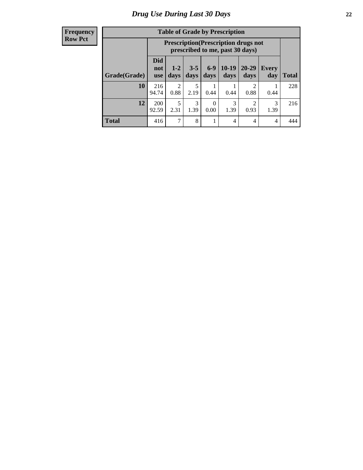| <b>Table of Grade by Prescription</b> |                                 |                                                                                |                 |               |                 |                       |                     |              |  |
|---------------------------------------|---------------------------------|--------------------------------------------------------------------------------|-----------------|---------------|-----------------|-----------------------|---------------------|--------------|--|
|                                       |                                 | <b>Prescription</b> (Prescription drugs not<br>prescribed to me, past 30 days) |                 |               |                 |                       |                     |              |  |
| Grade(Grade)                          | <b>Did</b><br>not<br><b>use</b> | $1 - 2$<br>days                                                                | $3 - 5$<br>days | $6-9$<br>days | $10-19$<br>days | $20 - 29$<br>days     | <b>Every</b><br>day | <b>Total</b> |  |
| 10                                    | 216<br>94.74                    | 2<br>0.88                                                                      | 5<br>2.19       | 0.44          | 0.44            | $\mathcal{D}$<br>0.88 | 0.44                | 228          |  |
| 12                                    | <b>200</b><br>92.59             | 5<br>2.31                                                                      | 3<br>1.39       | 0<br>0.00     | 3<br>1.39       | ി<br>0.93             | 3<br>1.39           | 216          |  |
| <b>Total</b>                          | 416                             | 7                                                                              | 8               | 1             | 4               | 4                     | 4                   | 444          |  |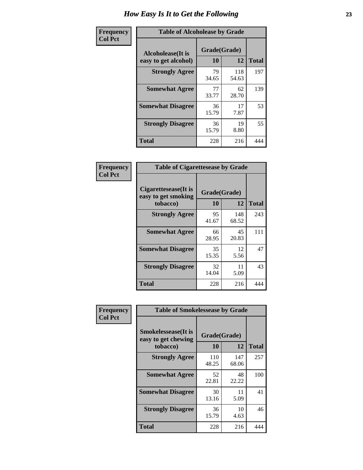| Frequency      | <b>Table of Alcoholease by Grade</b>              |                    |              |              |  |  |  |  |
|----------------|---------------------------------------------------|--------------------|--------------|--------------|--|--|--|--|
| <b>Col Pct</b> | <b>Alcoholease</b> (It is<br>easy to get alcohol) | Grade(Grade)<br>10 | 12           | <b>Total</b> |  |  |  |  |
|                | <b>Strongly Agree</b>                             | 79<br>34.65        | 118<br>54.63 | 197          |  |  |  |  |
|                | <b>Somewhat Agree</b>                             | 77<br>33.77        | 62<br>28.70  | 139          |  |  |  |  |
|                | <b>Somewhat Disagree</b>                          | 36<br>15.79        | 17<br>7.87   | 53           |  |  |  |  |
|                | <b>Strongly Disagree</b>                          | 36<br>15.79        | 19<br>8.80   | 55           |  |  |  |  |
|                | <b>Total</b>                                      | 228                | 216          | 444          |  |  |  |  |

| Frequency      | <b>Table of Cigarettesease by Grade</b>                  |                    |              |              |  |  |  |
|----------------|----------------------------------------------------------|--------------------|--------------|--------------|--|--|--|
| <b>Col Pct</b> | Cigarettesease (It is<br>easy to get smoking<br>tobacco) | Grade(Grade)<br>10 | 12           | <b>Total</b> |  |  |  |
|                | <b>Strongly Agree</b>                                    | 95<br>41.67        | 148<br>68.52 | 243          |  |  |  |
|                | <b>Somewhat Agree</b>                                    | 66<br>28.95        | 45<br>20.83  | 111          |  |  |  |
|                | <b>Somewhat Disagree</b>                                 | 35<br>15.35        | 12<br>5.56   | 47           |  |  |  |
|                | <b>Strongly Disagree</b>                                 | 32<br>14.04        | 11<br>5.09   | 43           |  |  |  |
|                | <b>Total</b>                                             | 228                | 216          | 444          |  |  |  |

| Frequency      | <b>Table of Smokelessease by Grade</b>             |              |              |              |  |  |  |  |
|----------------|----------------------------------------------------|--------------|--------------|--------------|--|--|--|--|
| <b>Col Pct</b> | <b>Smokelessease</b> (It is<br>easy to get chewing | Grade(Grade) |              |              |  |  |  |  |
|                | tobacco)                                           | 10           | 12           | <b>Total</b> |  |  |  |  |
|                | <b>Strongly Agree</b>                              | 110<br>48.25 | 147<br>68.06 | 257          |  |  |  |  |
|                | <b>Somewhat Agree</b>                              | 52<br>22.81  | 48<br>22.22  | 100          |  |  |  |  |
|                | <b>Somewhat Disagree</b>                           | 30<br>13.16  | 11<br>5.09   | 41           |  |  |  |  |
|                | <b>Strongly Disagree</b>                           | 36<br>15.79  | 10<br>4.63   | 46           |  |  |  |  |
|                | Total                                              | 228          | 216          | 444          |  |  |  |  |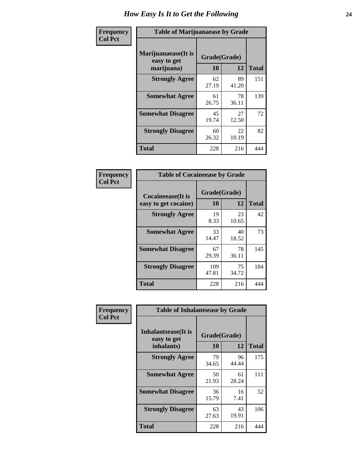| Frequency      | <b>Table of Marijuanaease by Grade</b>           |                    |             |              |  |  |  |  |
|----------------|--------------------------------------------------|--------------------|-------------|--------------|--|--|--|--|
| <b>Col Pct</b> | Marijuanaease(It is<br>easy to get<br>marijuana) | Grade(Grade)<br>10 | 12          | <b>Total</b> |  |  |  |  |
|                | <b>Strongly Agree</b>                            | 62<br>27.19        | 89<br>41.20 | 151          |  |  |  |  |
|                | <b>Somewhat Agree</b>                            | 61<br>26.75        | 78<br>36.11 | 139          |  |  |  |  |
|                | <b>Somewhat Disagree</b>                         | 45<br>19.74        | 27<br>12.50 | 72           |  |  |  |  |
|                | <b>Strongly Disagree</b>                         | 60<br>26.32        | 22<br>10.19 | 82           |  |  |  |  |
|                | <b>Total</b>                                     | 228                | 216         | 444          |  |  |  |  |

| <b>Table of Cocaineease by Grade</b>              |              |                    |     |  |  |  |  |  |
|---------------------------------------------------|--------------|--------------------|-----|--|--|--|--|--|
| <b>Cocaineease</b> (It is<br>easy to get cocaine) | 10           | Grade(Grade)<br>12 |     |  |  |  |  |  |
| <b>Strongly Agree</b>                             | 19<br>8.33   | 23<br>10.65        | 42  |  |  |  |  |  |
| <b>Somewhat Agree</b>                             | 33<br>14.47  | 40<br>18.52        | 73  |  |  |  |  |  |
| <b>Somewhat Disagree</b>                          | 67<br>29.39  | 78<br>36.11        | 145 |  |  |  |  |  |
| <b>Strongly Disagree</b>                          | 109<br>47.81 | 75<br>34.72        | 184 |  |  |  |  |  |
| <b>Total</b>                                      | 228          | 216                | 444 |  |  |  |  |  |

| Frequency      | <b>Table of Inhalantsease by Grade</b>           |                    |              |     |
|----------------|--------------------------------------------------|--------------------|--------------|-----|
| <b>Col Pct</b> | Inhalantsease(It is<br>easy to get<br>inhalants) | Grade(Grade)<br>10 | <b>Total</b> |     |
|                | <b>Strongly Agree</b>                            | 79<br>34.65        | 96<br>44.44  | 175 |
|                | <b>Somewhat Agree</b>                            | 50<br>21.93        | 61<br>28.24  | 111 |
|                | <b>Somewhat Disagree</b>                         | 36<br>15.79        | 16<br>7.41   | 52  |
|                | <b>Strongly Disagree</b>                         | 63<br>27.63        | 43<br>19.91  | 106 |
|                | <b>Total</b>                                     | 228                | 216          | 444 |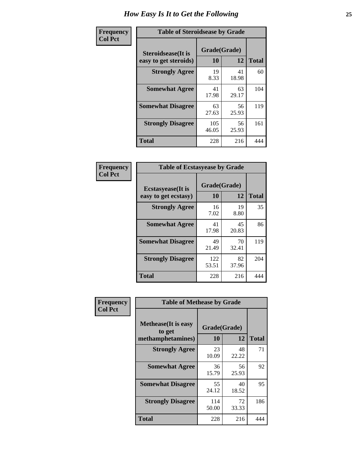| Frequency      | <b>Table of Steroidsease by Grade</b>               |                    |             |              |  |  |  |  |  |  |  |  |
|----------------|-----------------------------------------------------|--------------------|-------------|--------------|--|--|--|--|--|--|--|--|
| <b>Col Pct</b> | <b>Steroidsease</b> (It is<br>easy to get steroids) | Grade(Grade)<br>10 | 12          | <b>Total</b> |  |  |  |  |  |  |  |  |
|                | <b>Strongly Agree</b>                               | 19<br>8.33         | 41<br>18.98 | 60           |  |  |  |  |  |  |  |  |
|                | <b>Somewhat Agree</b>                               | 41<br>17.98        | 63<br>29.17 | 104          |  |  |  |  |  |  |  |  |
|                | <b>Somewhat Disagree</b>                            | 63<br>27.63        | 56<br>25.93 | 119          |  |  |  |  |  |  |  |  |
|                | <b>Strongly Disagree</b>                            | 105<br>46.05       | 56<br>25.93 | 161          |  |  |  |  |  |  |  |  |
|                | <b>Total</b>                                        | 228                | 216         | 444          |  |  |  |  |  |  |  |  |

| Frequency      | <b>Table of Ecstasyease by Grade</b>              |                    |             |              |  |  |  |  |  |
|----------------|---------------------------------------------------|--------------------|-------------|--------------|--|--|--|--|--|
| <b>Col Pct</b> | <b>Ecstasyease</b> (It is<br>easy to get ecstasy) | Grade(Grade)<br>10 | 12          | <b>Total</b> |  |  |  |  |  |
|                | <b>Strongly Agree</b>                             | 16<br>7.02         | 19<br>8.80  | 35           |  |  |  |  |  |
|                | <b>Somewhat Agree</b>                             | 41<br>17.98        | 45<br>20.83 | 86           |  |  |  |  |  |
|                | <b>Somewhat Disagree</b>                          | 49<br>21.49        | 70<br>32.41 | 119          |  |  |  |  |  |
|                | <b>Strongly Disagree</b>                          | 122<br>53.51       | 82<br>37.96 | 204          |  |  |  |  |  |
|                | <b>Total</b>                                      | 228                | 216         | 444          |  |  |  |  |  |

| Frequency      |                                       | <b>Table of Methease by Grade</b> |             |              |  |  |  |  |  |  |  |
|----------------|---------------------------------------|-----------------------------------|-------------|--------------|--|--|--|--|--|--|--|
| <b>Col Pct</b> | <b>Methease</b> (It is easy<br>to get | Grade(Grade)<br>10                | 12          | <b>Total</b> |  |  |  |  |  |  |  |
|                | methamphetamines)                     |                                   |             |              |  |  |  |  |  |  |  |
|                | <b>Strongly Agree</b>                 | 23<br>10.09                       | 48<br>22.22 | 71           |  |  |  |  |  |  |  |
|                | <b>Somewhat Agree</b>                 | 36<br>15.79                       | 56<br>25.93 | 92           |  |  |  |  |  |  |  |
|                | <b>Somewhat Disagree</b>              | 55<br>24.12                       | 40<br>18.52 | 95           |  |  |  |  |  |  |  |
|                | <b>Strongly Disagree</b>              | 114<br>50.00                      | 72<br>33.33 | 186          |  |  |  |  |  |  |  |
|                | Total                                 | 228                               | 216         | 444          |  |  |  |  |  |  |  |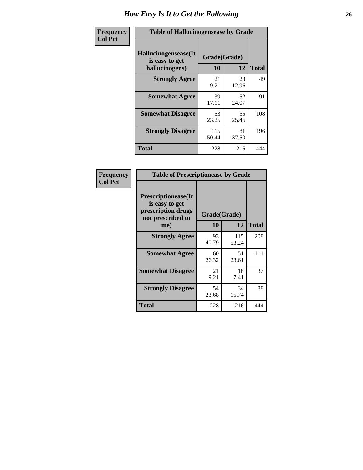| <b>Frequency</b> | <b>Table of Hallucinogensease by Grade</b>               |                    |              |     |
|------------------|----------------------------------------------------------|--------------------|--------------|-----|
| <b>Col Pct</b>   | Hallucinogensease(It<br>is easy to get<br>hallucinogens) | Grade(Grade)<br>10 | <b>Total</b> |     |
|                  | <b>Strongly Agree</b>                                    | 21<br>9.21         | 28<br>12.96  | 49  |
|                  | <b>Somewhat Agree</b>                                    | 39<br>17.11        | 52<br>24.07  | 91  |
|                  | <b>Somewhat Disagree</b>                                 | 53<br>23.25        | 55<br>25.46  | 108 |
|                  | <b>Strongly Disagree</b>                                 | 115<br>50.44       | 81<br>37.50  | 196 |
|                  | <b>Total</b>                                             | 228                | 216          | 444 |

| Frequency<br>  Col Pct |
|------------------------|
|                        |

г

| <b>Table of Prescriptionease by Grade</b>                                                |             |              |              |
|------------------------------------------------------------------------------------------|-------------|--------------|--------------|
| <b>Prescriptionease</b> (It<br>is easy to get<br>prescription drugs<br>not prescribed to |             | Grade(Grade) |              |
| me)                                                                                      | 10          | 12           | <b>Total</b> |
| <b>Strongly Agree</b>                                                                    | 93<br>40.79 | 115<br>53.24 | 208          |
| <b>Somewhat Agree</b>                                                                    | 60<br>26.32 | 51<br>23.61  | 111          |
| <b>Somewhat Disagree</b>                                                                 | 21<br>9.21  | 16<br>7.41   | 37           |
| <b>Strongly Disagree</b>                                                                 | 54<br>23.68 | 34<br>15.74  | 88           |
| Total                                                                                    | 228         | 216          | 444          |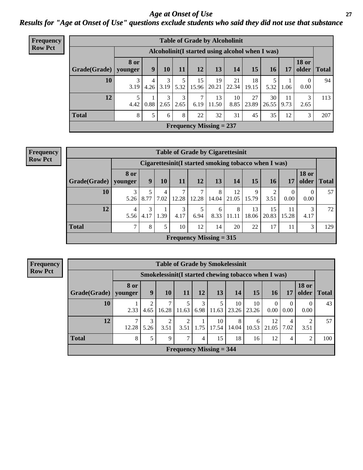*Age at Onset of Use* **27** *Results for "Age at Onset of Use" questions exclude students who said they did not use that substance*

| <b>Frequency</b> |              | <b>Table of Grade by Alcoholinit</b> |                                                  |           |           |             |                           |             |             |             |            |                       |              |
|------------------|--------------|--------------------------------------|--------------------------------------------------|-----------|-----------|-------------|---------------------------|-------------|-------------|-------------|------------|-----------------------|--------------|
| <b>Row Pct</b>   |              |                                      | Alcoholinit (I started using alcohol when I was) |           |           |             |                           |             |             |             |            |                       |              |
|                  | Grade(Grade) | 8 or<br>younger                      | 9                                                | 10        | 11        | 12          | 13                        | 14          | 15          | 16          | 17         | <b>18 or</b><br>older | <b>Total</b> |
|                  | 10           | 3<br>3.19                            | 4<br>4.26                                        | 3<br>3.19 | 5.32      | 15<br>15.96 | 19<br>20.21               | 21<br>22.34 | 18<br>19.15 | 5<br>5.32   | 1.06       | 0<br>0.00             | 94           |
|                  | 12           | 5<br>4.42                            | 0.88                                             | 3<br>2.65 | 3<br>2.65 | 7<br>6.19   | 13<br>11.50               | 10<br>8.85  | 27<br>23.89 | 30<br>26.55 | 11<br>9.73 | 3<br>2.65             | 113          |
|                  | <b>Total</b> | 8                                    | 5                                                | 6         | 8         | 22          | 32                        | 31          | 45          | 35          | 12         | 3                     | 207          |
|                  |              |                                      |                                                  |           |           |             | Frequency Missing $= 237$ |             |             |             |            |                       |              |

| <b>Frequency</b> | <b>Table of Grade by Cigarettesinit</b> |                                                      |           |           |                           |            |            |             |             |             |                  |                        |              |
|------------------|-----------------------------------------|------------------------------------------------------|-----------|-----------|---------------------------|------------|------------|-------------|-------------|-------------|------------------|------------------------|--------------|
| <b>Row Pct</b>   |                                         | Cigarettesinit(I started smoking tobacco when I was) |           |           |                           |            |            |             |             |             |                  |                        |              |
|                  | Grade(Grade)                            | 8 or<br>younger                                      | 9         | 10        | 11                        | 12         | 13         | 14          | 15          | <b>16</b>   | 17               | <b>18 or</b><br>older  | <b>Total</b> |
|                  | 10                                      | 3<br>5.26                                            | 8.77      | 4<br>7.02 | 12.28                     | 7<br>12.28 | 8<br>14.04 | 12<br>21.05 | 9<br>15.79  | 3.51        | $\theta$<br>0.00 | $\overline{0}$<br>0.00 | 57           |
|                  | 12                                      | 5.56                                                 | 3<br>4.17 | 1.39      | 4.17                      | 6.94       | 6<br>8.33  | 8<br>11.11  | 13<br>18.06 | 15<br>20.83 | 11<br>15.28      | 3<br>4.17              | 72           |
|                  | <b>Total</b>                            | $\mathcal{I}$                                        | 8         | 5         | 10                        | 12         | 14         | 20          | 22          | 17          | 11               | 3                      | 129          |
|                  |                                         |                                                      |           |           | Frequency Missing $= 315$ |            |            |             |             |             |                  |                        |              |

|                        | <b>Table of Grade by Smokelessinit</b> |                                                     |       |                           |           |             |             |             |                      |                  |                       |              |  |  |
|------------------------|----------------------------------------|-----------------------------------------------------|-------|---------------------------|-----------|-------------|-------------|-------------|----------------------|------------------|-----------------------|--------------|--|--|
|                        |                                        | Smokelessinit(I started chewing tobacco when I was) |       |                           |           |             |             |             |                      |                  |                       |              |  |  |
| Grade(Grade)   younger | 8 or                                   | 9                                                   | 10    | 11                        | 12        | 13          | 14          | 15          | 16                   | 17               | <b>18 or</b><br>older | <b>Total</b> |  |  |
| 10                     | 2.33                                   | 4.65                                                | 16.28 | 5<br>11.63                | 3<br>6.98 | 11.63       | 10<br>23.26 | 10<br>23.26 | $\Omega$<br>$0.00\,$ | $\theta$<br>0.00 | 0<br>0.00             | 43           |  |  |
| 12                     | 12.28                                  | 5.26                                                | 3.51  | 3.51                      | 1.75      | 10<br>17.54 | 8<br>14.04  | 6<br>10.53  | 12<br>21.05          | 4<br>7.02        | 2<br>3.51             | 57           |  |  |
| <b>Total</b>           | 8                                      | 5                                                   | 9     | 7                         | 4         | 15          | 18          | 16          | 12                   | 4                | 2                     | 100          |  |  |
|                        |                                        |                                                     |       | Frequency Missing $=$ 344 |           |             |             |             |                      |                  |                       |              |  |  |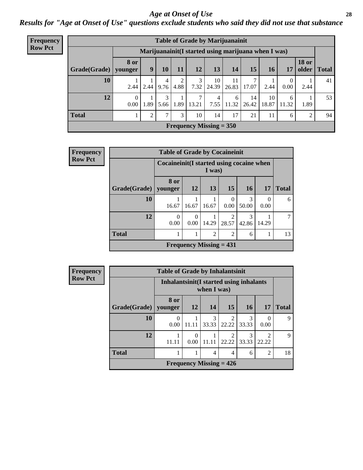#### *Age at Onset of Use* **28**

*Results for "Age at Onset of Use" questions exclude students who said they did not use that substance*

| Frequency      |              |                        | <b>Table of Grade by Marijuanainit</b>              |           |           |       |                           |             |             |             |                  |                       |              |
|----------------|--------------|------------------------|-----------------------------------------------------|-----------|-----------|-------|---------------------------|-------------|-------------|-------------|------------------|-----------------------|--------------|
| <b>Row Pct</b> |              |                        | Marijuanainit(I started using marijuana when I was) |           |           |       |                           |             |             |             |                  |                       |              |
|                | Grade(Grade) | <b>8 or</b><br>younger | 9                                                   | 10        | 11        | 12    | 13                        | 14          | 15          | 16          | 17               | <b>18 or</b><br>older | <b>Total</b> |
|                | 10           | 2.44                   | 2.44                                                | 4<br>9.76 | 2<br>4.88 | 7.32  | 10<br>24.39               | 11<br>26.83 | 17.07       | 2.44        | $\theta$<br>0.00 | 2.44                  | 41           |
|                | 12           | 0.00                   | 1.89                                                | 3<br>5.66 | 1.89      | 13.21 | 4<br>7.55                 | 6<br>11.32  | 14<br>26.42 | 10<br>18.87 | 6<br>11.32       | 1.89                  | 53           |
|                | <b>Total</b> |                        | 2                                                   | 7         | 3         | 10    | 14                        | 17          | 21          | 11          | 6                | $\overline{2}$        | 94           |
|                |              |                        |                                                     |           |           |       | Frequency Missing $= 350$ |             |             |             |                  |                       |              |

| <b>Frequency</b> |              | <b>Table of Grade by Cocaineinit</b> |                                                     |                |                         |            |                  |              |  |  |  |  |
|------------------|--------------|--------------------------------------|-----------------------------------------------------|----------------|-------------------------|------------|------------------|--------------|--|--|--|--|
| <b>Row Pct</b>   |              |                                      | Cocaineinit (I started using cocaine when<br>I was) |                |                         |            |                  |              |  |  |  |  |
|                  | Grade(Grade) | 8 or<br>younger                      | <b>12</b>                                           | <b>13</b>      | 15                      | 16         | 17               | <b>Total</b> |  |  |  |  |
|                  | 10           | 16.67                                | 16.67                                               | 16.67          | $\Omega$<br>0.00        | 3<br>50.00 | $\Omega$<br>0.00 | 6            |  |  |  |  |
|                  | 12           | $\Omega$<br>0.00                     | $\Omega$<br>$0.00^{\circ}$                          | 14.29          | $\mathfrak{D}$<br>28.57 | 3<br>42.86 | 14.29            | 7            |  |  |  |  |
|                  | <b>Total</b> | 1                                    |                                                     | $\overline{2}$ | $\overline{2}$          | 6          |                  | 13           |  |  |  |  |
|                  |              |                                      | Frequency Missing $= 431$                           |                |                         |            |                  |              |  |  |  |  |

| Frequency      |  |
|----------------|--|
| <b>Row Pct</b> |  |

| <b>Table of Grade by Inhalantsinit</b> |                                          |                  |            |                         |            |                |              |  |
|----------------------------------------|------------------------------------------|------------------|------------|-------------------------|------------|----------------|--------------|--|
|                                        | Inhalantsinit (I started using inhalants |                  |            |                         |            |                |              |  |
| Grade(Grade)                           | 8 or<br>younger                          | 12               | 14         | 15                      | 16         | 17             | <b>Total</b> |  |
| 10                                     | 0.00                                     | 11.11            | 3<br>33.33 | $\mathfrak{D}$<br>22.22 | 3<br>33.33 | 0.00           | q            |  |
| 12                                     | 11.11                                    | $\left($<br>0.00 | 11.11      | $\mathfrak{D}$<br>22.22 | 3<br>33.33 | 22.22          | q            |  |
| <b>Total</b>                           |                                          |                  | 4          | 4                       | 6          | $\mathfrak{D}$ | 18           |  |
| Frequency Missing $= 426$              |                                          |                  |            |                         |            |                |              |  |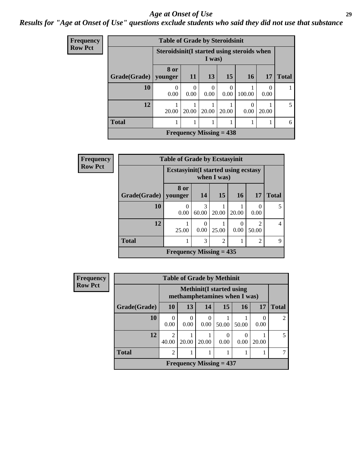#### *Age at Onset of Use* **29**

### *Results for "Age at Onset of Use" questions exclude students who said they did not use that substance*

| Frequency      |                        |                                            | <b>Table of Grade by Steroidsinit</b> |                           |                  |        |           |              |  |
|----------------|------------------------|--------------------------------------------|---------------------------------------|---------------------------|------------------|--------|-----------|--------------|--|
| <b>Row Pct</b> |                        | Steroidsinit(I started using steroids when |                                       | I was)                    |                  |        |           |              |  |
|                | Grade(Grade)   younger | 8 or                                       | <b>11</b>                             | 13                        | <b>15</b>        | 16     | 17        | <b>Total</b> |  |
|                | 10                     | 0<br>0.00                                  | 0<br>0.00                             | $\Omega$<br>0.00          | $\Omega$<br>0.00 | 100.00 | 0<br>0.00 |              |  |
|                | 12                     | 20.00                                      | 20.00                                 | 20.00                     | 20.00            | 0.00   | 20.00     |              |  |
|                | <b>Total</b>           |                                            |                                       |                           |                  |        |           | 6            |  |
|                |                        |                                            |                                       | Frequency Missing $= 438$ |                  |        |           |              |  |

| Frequency      | <b>Table of Grade by Ecstasyinit</b> |                                             |            |                |                  |                         |                |  |
|----------------|--------------------------------------|---------------------------------------------|------------|----------------|------------------|-------------------------|----------------|--|
| <b>Row Pct</b> |                                      | <b>Ecstasyinit</b> (I started using ecstasy |            | when $I$ was)  |                  |                         |                |  |
|                | <b>Grade(Grade)</b>                  | 8 or<br>younger                             | 14         | 15             | <b>16</b>        | 17                      | <b>Total</b>   |  |
|                | 10                                   | $\Omega$<br>0.00                            | 3<br>60.00 | 20.00          | 20.00            | $\Omega$<br>0.00        | 5              |  |
|                | 12                                   | 25.00                                       | 0<br>0.00  | 25.00          | $\left($<br>0.00 | $\mathfrak{D}$<br>50.00 | $\overline{4}$ |  |
|                | <b>Total</b>                         |                                             | 3          | $\overline{2}$ |                  | $\overline{2}$          | $\mathbf Q$    |  |
|                |                                      | Frequency Missing $= 435$                   |            |                |                  |                         |                |  |

| <b>Frequency</b> | <b>Table of Grade by Methinit</b> |                         |                                                                  |                  |                  |       |           |                |  |  |  |
|------------------|-----------------------------------|-------------------------|------------------------------------------------------------------|------------------|------------------|-------|-----------|----------------|--|--|--|
| <b>Row Pct</b>   |                                   |                         | <b>Methinit</b> (I started using<br>methamphetamines when I was) |                  |                  |       |           |                |  |  |  |
|                  | Grade(Grade)                      | <b>10</b>               | 13                                                               | 14               | 15               | 16    | 17        | <b>Total</b>   |  |  |  |
|                  | 10                                | 0<br>0.00               | $\Omega$<br>0.00                                                 | $\Omega$<br>0.00 | 50.00            | 50.00 | 0<br>0.00 | $\overline{2}$ |  |  |  |
|                  | 12                                | $\overline{2}$<br>40.00 | 20.00                                                            | 20.00            | $\theta$<br>0.00 | 0.00  | 20.00     | 5              |  |  |  |
|                  | <b>Total</b>                      | $\overline{2}$          |                                                                  |                  |                  |       |           |                |  |  |  |
|                  |                                   |                         | Frequency Missing $= 437$                                        |                  |                  |       |           |                |  |  |  |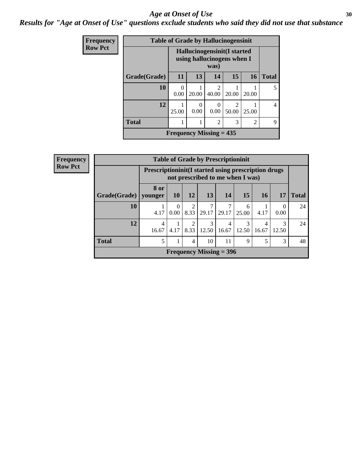#### Age at Onset of Use **30**

*Results for "Age at Onset of Use" questions exclude students who said they did not use that substance*

| Frequency      | <b>Table of Grade by Hallucinogensinit</b> |                                                            |                           |                         |                         |                |                |
|----------------|--------------------------------------------|------------------------------------------------------------|---------------------------|-------------------------|-------------------------|----------------|----------------|
| <b>Row Pct</b> |                                            | Hallucinogensinit (I started<br>using hallucinogens when I |                           |                         |                         |                |                |
|                | Grade(Grade)                               | 11                                                         | 13                        | 14                      | 15                      | 16             | <b>Total</b>   |
|                | 10                                         | 0<br>0.00                                                  | 20.00                     | $\mathfrak{D}$<br>40.00 | 20.00                   | 20.00          | 5              |
|                | 12                                         | 25.00                                                      | 0<br>0.00                 | 0.00                    | $\mathfrak{D}$<br>50.00 | 25.00          | $\overline{4}$ |
|                | <b>Total</b>                               |                                                            | 1                         | $\overline{c}$          | 3                       | $\overline{c}$ | 9              |
|                |                                            |                                                            | Frequency Missing $= 435$ |                         |                         |                |                |

| quency |                                                   | <b>Table of Grade by Prescriptioninit</b>            |                  |                        |                           |            |                                  |                         |            |              |
|--------|---------------------------------------------------|------------------------------------------------------|------------------|------------------------|---------------------------|------------|----------------------------------|-------------------------|------------|--------------|
| v Pct  |                                                   | Prescriptioninit (I started using prescription drugs |                  |                        |                           |            | not prescribed to me when I was) |                         |            |              |
|        | Grade(Grade)                                      | 8 or<br>vounger                                      | <b>10</b>        | 12                     | 13                        | 14         | 15                               | 16 <sup>1</sup>         | 17         | <b>Total</b> |
|        | 10                                                | 4.17                                                 | $\Omega$<br>0.00 | 2<br>8.33              | 7<br>29.17                | 7<br>29.17 | 6<br>25.00                       | 4.17                    | 0<br>0.00  | 24           |
|        | 12                                                | 4<br>16.67                                           | 4.17             | $\mathfrak{D}$<br>8.33 | 3<br>12.50                | 4<br>16.67 | $\mathcal{R}$<br>12.50           | $\overline{4}$<br>16.67 | 3<br>12.50 | 24           |
|        | <b>Total</b><br>5<br>11<br>1<br>10<br>9<br>5<br>4 |                                                      |                  |                        |                           |            |                                  |                         | 3          | 48           |
|        |                                                   |                                                      |                  |                        | Frequency Missing $=$ 396 |            |                                  |                         |            |              |

**Fre**  $\bf{Rov}$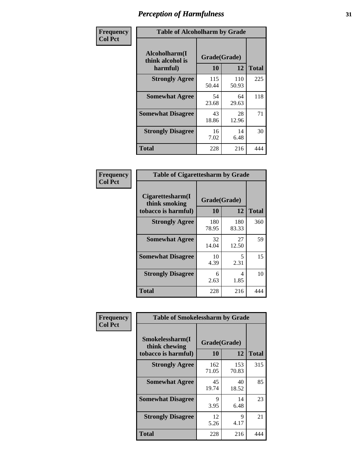| Frequency      | <b>Table of Alcoholharm by Grade</b>          |                    |              |              |  |  |
|----------------|-----------------------------------------------|--------------------|--------------|--------------|--|--|
| <b>Col Pct</b> | Alcoholharm(I<br>think alcohol is<br>harmful) | Grade(Grade)<br>10 | 12           | <b>Total</b> |  |  |
|                | <b>Strongly Agree</b>                         | 115<br>50.44       | 110<br>50.93 | 225          |  |  |
|                | <b>Somewhat Agree</b>                         | 54<br>23.68        | 64<br>29.63  | 118          |  |  |
|                | <b>Somewhat Disagree</b>                      | 43<br>18.86        | 28<br>12.96  | 71           |  |  |
|                | <b>Strongly Disagree</b>                      | 16<br>7.02         | 14<br>6.48   | 30           |  |  |
|                | <b>Total</b>                                  | 228                | 216          | 444          |  |  |

| <b>Table of Cigarettesharm by Grade</b>                  |                    |              |              |  |  |  |  |
|----------------------------------------------------------|--------------------|--------------|--------------|--|--|--|--|
| Cigarettesharm(I<br>think smoking<br>tobacco is harmful) | Grade(Grade)<br>10 | 12           | <b>Total</b> |  |  |  |  |
| <b>Strongly Agree</b>                                    | 180<br>78.95       | 180<br>83.33 | 360          |  |  |  |  |
| <b>Somewhat Agree</b>                                    | 32<br>14.04        | 27<br>12.50  | 59           |  |  |  |  |
| <b>Somewhat Disagree</b>                                 | 10<br>4.39         | 5<br>2.31    | 15           |  |  |  |  |
| <b>Strongly Disagree</b>                                 | 6<br>2.63          | 4<br>1.85    | 10           |  |  |  |  |
| <b>Total</b>                                             | 228                | 216          | 444          |  |  |  |  |

| Frequency      | <b>Table of Smokelessharm by Grade</b>                  |                           |              |     |  |  |  |  |
|----------------|---------------------------------------------------------|---------------------------|--------------|-----|--|--|--|--|
| <b>Col Pct</b> | Smokelessharm(I<br>think chewing<br>tobacco is harmful) | Grade(Grade)<br><b>10</b> | <b>Total</b> |     |  |  |  |  |
|                | <b>Strongly Agree</b>                                   | 162<br>71.05              | 153<br>70.83 | 315 |  |  |  |  |
|                | <b>Somewhat Agree</b>                                   | 45<br>19.74               | 40<br>18.52  | 85  |  |  |  |  |
|                | <b>Somewhat Disagree</b>                                | 9<br>3.95                 | 14<br>6.48   | 23  |  |  |  |  |
|                | <b>Strongly Disagree</b>                                | 12<br>5.26                | 9<br>4.17    | 21  |  |  |  |  |
|                | <b>Total</b>                                            | 228                       | 216          | 444 |  |  |  |  |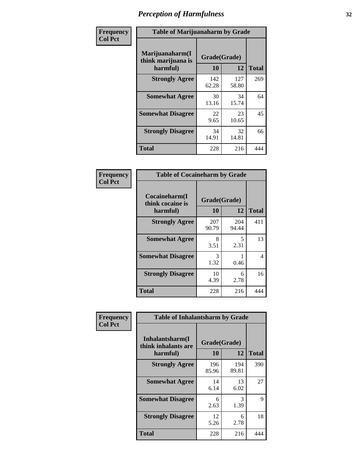| Frequency      |                                                   | <b>Table of Marijuanaharm by Grade</b> |              |              |  |  |  |  |
|----------------|---------------------------------------------------|----------------------------------------|--------------|--------------|--|--|--|--|
| <b>Col Pct</b> | Marijuanaharm(I<br>think marijuana is<br>harmful) | Grade(Grade)<br>10                     | 12           | <b>Total</b> |  |  |  |  |
|                | <b>Strongly Agree</b>                             | 142<br>62.28                           | 127<br>58.80 | 269          |  |  |  |  |
|                | <b>Somewhat Agree</b>                             | 30<br>13.16                            | 34<br>15.74  | 64           |  |  |  |  |
|                | <b>Somewhat Disagree</b>                          | 22<br>9.65                             | 23<br>10.65  | 45           |  |  |  |  |
|                | <b>Strongly Disagree</b>                          | 34<br>14.91                            | 32<br>14.81  | 66           |  |  |  |  |
|                | <b>Total</b>                                      | 228                                    | 216          | 444          |  |  |  |  |

| <b>Table of Cocaineharm by Grade</b>          |                    |              |              |  |  |  |  |  |
|-----------------------------------------------|--------------------|--------------|--------------|--|--|--|--|--|
| Cocaineharm(I<br>think cocaine is<br>harmful) | Grade(Grade)<br>10 | 12           | <b>Total</b> |  |  |  |  |  |
| <b>Strongly Agree</b>                         | 207<br>90.79       | 204<br>94.44 | 411          |  |  |  |  |  |
| <b>Somewhat Agree</b>                         | 8<br>3.51          | 5<br>2.31    | 13           |  |  |  |  |  |
| <b>Somewhat Disagree</b>                      | 3<br>1.32          | 0.46         | 4            |  |  |  |  |  |
| <b>Strongly Disagree</b>                      | 10<br>4.39         | 6<br>2.78    | 16           |  |  |  |  |  |
| <b>Total</b>                                  | 228                | 216          | 444          |  |  |  |  |  |

| Frequency      | <b>Table of Inhalantsharm by Grade</b>              |                    |              |              |
|----------------|-----------------------------------------------------|--------------------|--------------|--------------|
| <b>Col Pct</b> | Inhalantsharm(I)<br>think inhalants are<br>harmful) | Grade(Grade)<br>10 | 12           | <b>Total</b> |
|                | <b>Strongly Agree</b>                               | 196<br>85.96       | 194<br>89.81 | 390          |
|                | <b>Somewhat Agree</b>                               | 14<br>6.14         | 13<br>6.02   | 27           |
|                | <b>Somewhat Disagree</b>                            | 6<br>2.63          | 3<br>1.39    | 9            |
|                | <b>Strongly Disagree</b>                            | 12<br>5.26         | 6<br>2.78    | 18           |
|                | Total                                               | 228                | 216          | 444          |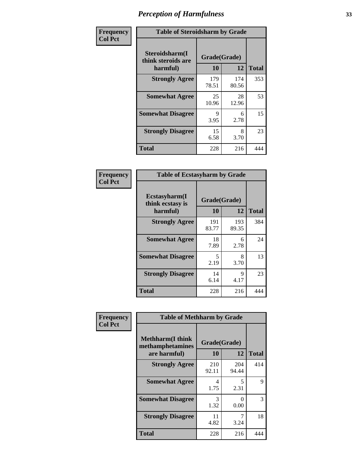| Frequency      | <b>Table of Steroidsharm by Grade</b>            |                    |              |              |
|----------------|--------------------------------------------------|--------------------|--------------|--------------|
| <b>Col Pct</b> | Steroidsharm(I<br>think steroids are<br>harmful) | Grade(Grade)<br>10 | 12           | <b>Total</b> |
|                | <b>Strongly Agree</b>                            | 179<br>78.51       | 174<br>80.56 | 353          |
|                | <b>Somewhat Agree</b>                            | 25<br>10.96        | 28<br>12.96  | 53           |
|                | <b>Somewhat Disagree</b>                         | 9<br>3.95          | 6<br>2.78    | 15           |
|                | <b>Strongly Disagree</b>                         | 15<br>6.58         | 8<br>3.70    | 23           |
|                | <b>Total</b>                                     | 228                | 216          | 444          |

| <b>Table of Ecstasyharm by Grade</b>          |                    |              |     |  |  |
|-----------------------------------------------|--------------------|--------------|-----|--|--|
| Ecstasyharm(I<br>think ecstasy is<br>harmful) | Grade(Grade)<br>10 | <b>Total</b> |     |  |  |
| <b>Strongly Agree</b>                         | 191<br>83.77       | 193<br>89.35 | 384 |  |  |
| <b>Somewhat Agree</b>                         | 18<br>7.89         | 6<br>2.78    | 24  |  |  |
| <b>Somewhat Disagree</b>                      | 5<br>2.19          | 8<br>3.70    | 13  |  |  |
| <b>Strongly Disagree</b>                      | 14<br>6.14         | 9<br>4.17    | 23  |  |  |
| <b>Total</b>                                  | 228                | 216          | 444 |  |  |

| Frequency      | <b>Table of Methharm by Grade</b>                            |                    |              |              |
|----------------|--------------------------------------------------------------|--------------------|--------------|--------------|
| <b>Col Pct</b> | <b>Methharm</b> (I think<br>methamphetamines<br>are harmful) | Grade(Grade)<br>10 | 12           | <b>Total</b> |
|                | <b>Strongly Agree</b>                                        | 210<br>92.11       | 204<br>94.44 | 414          |
|                | <b>Somewhat Agree</b>                                        | 4<br>1.75          | 5<br>2.31    | 9            |
|                | <b>Somewhat Disagree</b>                                     | 3<br>1.32          | 0<br>0.00    | 3            |
|                | <b>Strongly Disagree</b>                                     | 11<br>4.82         | 3.24         | 18           |
|                | <b>Total</b>                                                 | 228                | 216          | 444          |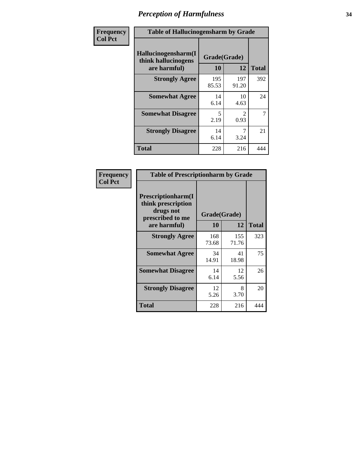| Frequency      | <b>Table of Hallucinogensharm by Grade</b>                 |                                  |                       |                |
|----------------|------------------------------------------------------------|----------------------------------|-----------------------|----------------|
| <b>Col Pct</b> | Hallucinogensharm(I<br>think hallucinogens<br>are harmful) | Grade(Grade)<br>10               | 12                    | <b>Total</b>   |
|                | <b>Strongly Agree</b>                                      | 195<br>85.53                     | 197<br>91.20          | 392            |
|                | <b>Somewhat Agree</b>                                      | 14<br>6.14                       | 10<br>4.63            | 24             |
|                | <b>Somewhat Disagree</b>                                   | $\overline{\phantom{0}}$<br>2.19 | $\mathcal{L}$<br>0.93 | $\overline{7}$ |
|                | <b>Strongly Disagree</b>                                   | 14<br>6.14                       | 7<br>3.24             | 21             |
|                | <b>Total</b>                                               | 228                              | 216                   | 444            |

| <b>Table of Prescriptionharm by Grade</b>                                 |              |              |              |  |  |
|---------------------------------------------------------------------------|--------------|--------------|--------------|--|--|
| Prescriptionharm(I<br>think prescription<br>drugs not<br>prescribed to me | Grade(Grade) |              |              |  |  |
| are harmful)                                                              | 10           | 12           | <b>Total</b> |  |  |
| <b>Strongly Agree</b>                                                     | 168<br>73.68 | 155<br>71.76 | 323          |  |  |
| <b>Somewhat Agree</b>                                                     | 34<br>14.91  | 41<br>18.98  | 75           |  |  |
| <b>Somewhat Disagree</b>                                                  | 14<br>6.14   | 12<br>5.56   | 26           |  |  |
| <b>Strongly Disagree</b>                                                  | 12<br>5.26   | 8<br>3.70    | 20           |  |  |
| <b>Total</b>                                                              | 228          | 216          | 444          |  |  |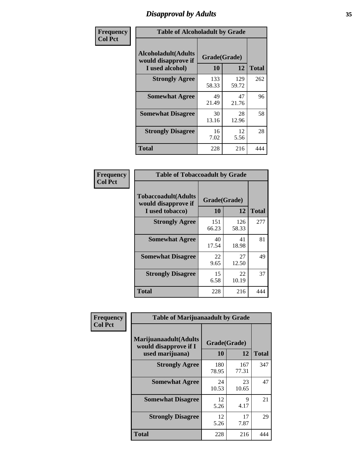# *Disapproval by Adults* **35**

| Frequency      | <b>Table of Alcoholadult by Grade</b>                                 |                    |              |              |
|----------------|-----------------------------------------------------------------------|--------------------|--------------|--------------|
| <b>Col Pct</b> | <b>Alcoholadult</b> (Adults<br>would disapprove if<br>I used alcohol) | Grade(Grade)<br>10 | 12           | <b>Total</b> |
|                | <b>Strongly Agree</b>                                                 | 133<br>58.33       | 129<br>59.72 | 262          |
|                | <b>Somewhat Agree</b>                                                 | 49<br>21.49        | 47<br>21.76  | 96           |
|                | <b>Somewhat Disagree</b>                                              | 30<br>13.16        | 28<br>12.96  | 58           |
|                | <b>Strongly Disagree</b>                                              | 16<br>7.02         | 12<br>5.56   | 28           |
|                | <b>Total</b>                                                          | 228                | 216          | 444          |

| <b>Table of Tobaccoadult by Grade</b>                                 |                    |              |              |  |  |
|-----------------------------------------------------------------------|--------------------|--------------|--------------|--|--|
| <b>Tobaccoadult</b> (Adults<br>would disapprove if<br>I used tobacco) | Grade(Grade)<br>10 | 12           | <b>Total</b> |  |  |
| <b>Strongly Agree</b>                                                 | 151<br>66.23       | 126<br>58.33 | 277          |  |  |
| <b>Somewhat Agree</b>                                                 | 40<br>17.54        | 41<br>18.98  | 81           |  |  |
| <b>Somewhat Disagree</b>                                              | 22<br>9.65         | 27<br>12.50  | 49           |  |  |
| <b>Strongly Disagree</b>                                              | 15<br>6.58         | 22<br>10.19  | 37           |  |  |
| <b>Total</b>                                                          | 228                | 216          | 444          |  |  |

| Frequency<br><b>Col Pct</b> | <b>Table of Marijuanaadult by Grade</b>                           |                    |              |              |
|-----------------------------|-------------------------------------------------------------------|--------------------|--------------|--------------|
|                             | Marijuanaadult(Adults<br>would disapprove if I<br>used marijuana) | Grade(Grade)<br>10 | 12           | <b>Total</b> |
|                             | <b>Strongly Agree</b>                                             | 180<br>78.95       | 167<br>77.31 | 347          |
|                             | <b>Somewhat Agree</b>                                             | 24<br>10.53        | 23<br>10.65  | 47           |
|                             | <b>Somewhat Disagree</b>                                          | 12<br>5.26         | 9<br>4.17    | 21           |
|                             | <b>Strongly Disagree</b>                                          | 12<br>5.26         | 17<br>7.87   | 29           |
|                             | <b>Total</b>                                                      | 228                | 216          | 444          |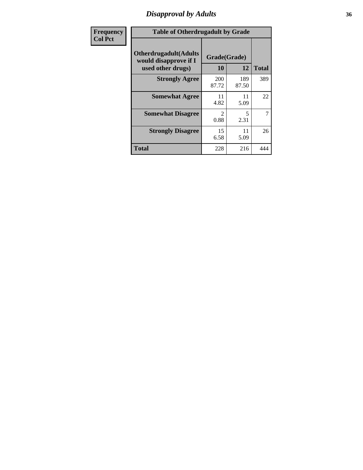# *Disapproval by Adults* **36**

| Frequency      | <b>Table of Otherdrugadult by Grade</b>                |                     |              |              |
|----------------|--------------------------------------------------------|---------------------|--------------|--------------|
| <b>Col Pct</b> | <b>Otherdrugadult</b> (Adults<br>would disapprove if I | Grade(Grade)        |              |              |
|                | used other drugs)                                      | 10                  | 12           | <b>Total</b> |
|                | <b>Strongly Agree</b>                                  | <b>200</b><br>87.72 | 189<br>87.50 | 389          |
|                | <b>Somewhat Agree</b>                                  | 11<br>4.82          | 11<br>5.09   | 22           |
|                | <b>Somewhat Disagree</b>                               | っ<br>0.88           | 5<br>2.31    | 7            |
|                | <b>Strongly Disagree</b>                               | 15<br>6.58          | 11<br>5.09   | 26           |
|                | <b>Total</b>                                           | 228                 | 216          | 444          |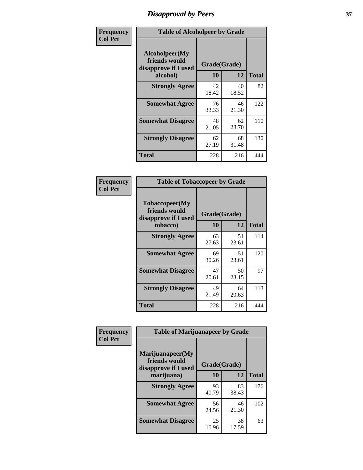# *Disapproval by Peers* **37**

| Frequency      | <b>Table of Alcoholpeer by Grade</b>                    |              |             |              |
|----------------|---------------------------------------------------------|--------------|-------------|--------------|
| <b>Col Pct</b> | Alcoholpeer(My<br>friends would<br>disapprove if I used | Grade(Grade) |             |              |
|                | alcohol)                                                | 10           | 12          | <b>Total</b> |
|                | <b>Strongly Agree</b>                                   | 42<br>18.42  | 40<br>18.52 | 82           |
|                | <b>Somewhat Agree</b>                                   | 76<br>33.33  | 46<br>21.30 | 122          |
|                | <b>Somewhat Disagree</b>                                | 48<br>21.05  | 62<br>28.70 | 110          |
|                | <b>Strongly Disagree</b>                                | 62<br>27.19  | 68<br>31.48 | 130          |
|                | Total                                                   | 228          | 216         | 444          |

| Frequency      | <b>Table of Tobaccopeer by Grade</b>                    |              |             |              |
|----------------|---------------------------------------------------------|--------------|-------------|--------------|
| <b>Col Pct</b> | Tobaccopeer(My<br>friends would<br>disapprove if I used | Grade(Grade) |             |              |
|                | tobacco)                                                | 10           | 12          | <b>Total</b> |
|                | <b>Strongly Agree</b>                                   | 63<br>27.63  | 51<br>23.61 | 114          |
|                | <b>Somewhat Agree</b>                                   | 69<br>30.26  | 51<br>23.61 | 120          |
|                | <b>Somewhat Disagree</b>                                | 47<br>20.61  | 50<br>23.15 | 97           |
|                | <b>Strongly Disagree</b>                                | 49<br>21.49  | 64<br>29.63 | 113          |
|                | Total                                                   | 228          | 216         | 444          |

| Frequency      | <b>Table of Marijuanapeer by Grade</b>                    |              |             |              |
|----------------|-----------------------------------------------------------|--------------|-------------|--------------|
| <b>Col Pct</b> | Marijuanapeer(My<br>friends would<br>disapprove if I used | Grade(Grade) |             |              |
|                | marijuana)                                                | 10           | 12          | <b>Total</b> |
|                | <b>Strongly Agree</b>                                     | 93<br>40.79  | 83<br>38.43 | 176          |
|                | <b>Somewhat Agree</b>                                     | 56<br>24.56  | 46<br>21.30 | 102          |
|                | <b>Somewhat Disagree</b>                                  | 25<br>10.96  | 38<br>17.59 | 63           |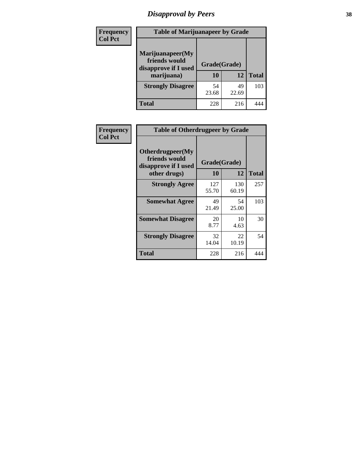# *Disapproval by Peers* **38**

| <b>Frequency</b> | <b>Table of Marijuanapeer by Grade</b>                                  |                    |             |              |
|------------------|-------------------------------------------------------------------------|--------------------|-------------|--------------|
| <b>Col Pct</b>   | Marijuanapeer(My<br>friends would<br>disapprove if I used<br>marijuana) | Grade(Grade)<br>10 | 12          | <b>Total</b> |
|                  | <b>Strongly Disagree</b>                                                | 54<br>23.68        | 49<br>22.69 | 103          |
|                  | <b>Total</b>                                                            | 228                | 216         |              |

| <b>Frequency</b> | <b>Table of Otherdrugpeer by Grade</b>                                    |                           |              |              |
|------------------|---------------------------------------------------------------------------|---------------------------|--------------|--------------|
| <b>Col Pct</b>   | Otherdrugpeer(My<br>friends would<br>disapprove if I used<br>other drugs) | Grade(Grade)<br><b>10</b> | 12           | <b>Total</b> |
|                  | <b>Strongly Agree</b>                                                     | 127<br>55.70              | 130<br>60.19 | 257          |
|                  | <b>Somewhat Agree</b>                                                     | 49<br>21.49               | 54<br>25.00  | 103          |
|                  | <b>Somewhat Disagree</b>                                                  | 20<br>8.77                | 10<br>4.63   | 30           |
|                  | <b>Strongly Disagree</b>                                                  | 32<br>14.04               | 22<br>10.19  | 54           |
|                  | <b>Total</b>                                                              | 228                       | 216          | 444          |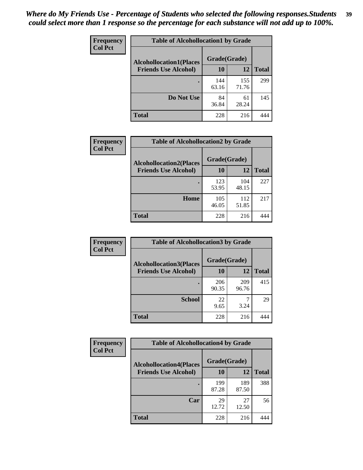| Frequency<br><b>Col Pct</b> | <b>Table of Alcohollocation1 by Grade</b> |              |              |              |
|-----------------------------|-------------------------------------------|--------------|--------------|--------------|
|                             | <b>Alcohollocation1(Places</b>            | Grade(Grade) |              |              |
|                             | <b>Friends Use Alcohol)</b>               | 10           | 12           | <b>Total</b> |
|                             |                                           | 144<br>63.16 | 155<br>71.76 | 299          |
|                             | Do Not Use                                | 84<br>36.84  | 61<br>28.24  | 145          |
|                             | <b>Total</b>                              | 228          | 216          | 444          |

| <b>Frequency</b> | <b>Table of Alcohollocation2 by Grade</b>                     |                    |              |              |
|------------------|---------------------------------------------------------------|--------------------|--------------|--------------|
| <b>Col Pct</b>   | <b>Alcohollocation2(Places</b><br><b>Friends Use Alcohol)</b> | Grade(Grade)<br>10 | 12           | <b>Total</b> |
|                  |                                                               | 123<br>53.95       | 104<br>48.15 | 227          |
|                  | Home                                                          | 105<br>46.05       | 112<br>51.85 | 217          |
|                  | <b>Total</b>                                                  | 228                | 216          |              |

| Frequency<br><b>Col Pct</b> | <b>Table of Alcohollocation 3 by Grade</b>                    |                    |              |              |
|-----------------------------|---------------------------------------------------------------|--------------------|--------------|--------------|
|                             | <b>Alcohollocation3(Places</b><br><b>Friends Use Alcohol)</b> | Grade(Grade)<br>10 | 12           | <b>Total</b> |
|                             |                                                               | 206<br>90.35       | 209<br>96.76 | 415          |
|                             | <b>School</b>                                                 | 22<br>9.65         | 3.24         | 29           |
|                             | <b>Total</b>                                                  | 228                | 216          |              |

| <b>Frequency</b> | <b>Table of Alcohollocation4 by Grade</b> |              |              |              |  |
|------------------|-------------------------------------------|--------------|--------------|--------------|--|
| <b>Col Pct</b>   | <b>Alcohollocation4(Places</b>            | Grade(Grade) |              |              |  |
|                  | <b>Friends Use Alcohol)</b>               | 10           | 12           | <b>Total</b> |  |
|                  |                                           | 199<br>87.28 | 189<br>87.50 | 388          |  |
|                  | Car                                       | 29<br>12.72  | 27<br>12.50  | 56           |  |
|                  | <b>Total</b>                              | 228          | 216          | 444          |  |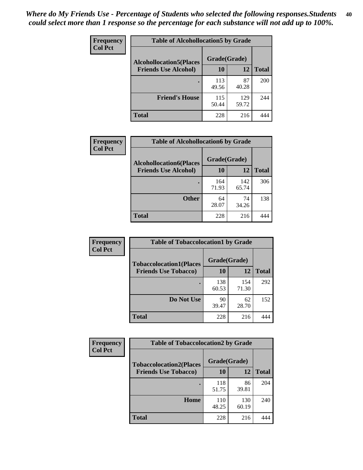| Frequency<br><b>Col Pct</b> | <b>Table of Alcohollocation5 by Grade</b><br>Grade(Grade)<br><b>Alcohollocation5(Places</b> |              |              |              |
|-----------------------------|---------------------------------------------------------------------------------------------|--------------|--------------|--------------|
|                             |                                                                                             |              |              |              |
|                             | <b>Friends Use Alcohol)</b>                                                                 | 10           | 12           | <b>Total</b> |
|                             |                                                                                             | 113<br>49.56 | 87<br>40.28  | 200          |
|                             | <b>Friend's House</b>                                                                       | 115<br>50.44 | 129<br>59.72 | 244          |
|                             | <b>Total</b>                                                                                | 228          | 216          | 444          |

| <b>Frequency</b> | <b>Table of Alcohollocation6 by Grade</b> |              |              |              |
|------------------|-------------------------------------------|--------------|--------------|--------------|
| <b>Col Pct</b>   | <b>Alcohollocation6(Places</b>            | Grade(Grade) |              |              |
|                  | <b>Friends Use Alcohol)</b>               | 10           | 12           | <b>Total</b> |
|                  |                                           | 164<br>71.93 | 142<br>65.74 | 306          |
|                  | <b>Other</b>                              | 64<br>28.07  | 74<br>34.26  | 138          |
|                  | <b>Total</b>                              | 228          | 216          |              |

| Frequency<br><b>Col Pct</b> | <b>Table of Tobaccolocation1 by Grade</b> |              |              |              |
|-----------------------------|-------------------------------------------|--------------|--------------|--------------|
|                             | <b>Tobaccolocation1(Places</b>            | Grade(Grade) |              |              |
|                             | <b>Friends Use Tobacco)</b>               | 10           | <b>12</b>    | <b>Total</b> |
|                             |                                           | 138<br>60.53 | 154<br>71.30 | 292          |
|                             | Do Not Use                                | 90<br>39.47  | 62<br>28.70  | 152          |
|                             | <b>Total</b>                              | 228          | 216          |              |

| <b>Frequency</b> | <b>Table of Tobaccolocation2 by Grade</b> |              |              |              |  |
|------------------|-------------------------------------------|--------------|--------------|--------------|--|
| <b>Col Pct</b>   | <b>Tobaccolocation2(Places</b>            | Grade(Grade) |              |              |  |
|                  | <b>Friends Use Tobacco)</b>               | 10           | 12           | <b>Total</b> |  |
|                  |                                           | 118<br>51.75 | 86<br>39.81  | 204          |  |
|                  | Home                                      | 110<br>48.25 | 130<br>60.19 | 240          |  |
|                  | <b>Total</b>                              | 228          | 216          |              |  |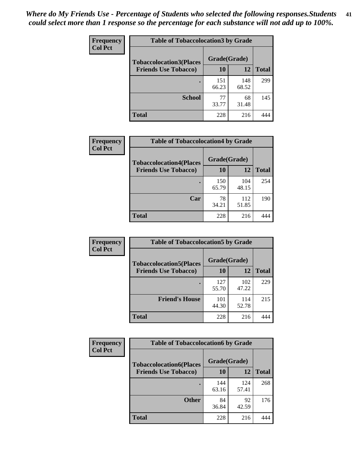| Frequency      | <b>Table of Tobaccolocation 3 by Grade</b> |              |              |              |  |
|----------------|--------------------------------------------|--------------|--------------|--------------|--|
| <b>Col Pct</b> | <b>Tobaccolocation3(Places</b>             |              | Grade(Grade) |              |  |
|                | <b>Friends Use Tobacco)</b>                | 10           | 12           | <b>Total</b> |  |
|                |                                            | 151<br>66.23 | 148<br>68.52 | 299          |  |
|                | <b>School</b>                              | 77<br>33.77  | 68<br>31.48  | 145          |  |
|                | <b>Total</b>                               | 228          | 216          |              |  |

| Frequency      | <b>Table of Tobaccolocation4 by Grade</b> |              |              |              |
|----------------|-------------------------------------------|--------------|--------------|--------------|
| <b>Col Pct</b> | <b>Tobaccolocation4(Places</b>            | Grade(Grade) |              |              |
|                | <b>Friends Use Tobacco)</b>               | 10           | 12           | <b>Total</b> |
|                |                                           | 150<br>65.79 | 104<br>48.15 | 254          |
|                | Car                                       | 78<br>34.21  | 112<br>51.85 | 190          |
|                | <b>Total</b>                              | 228          | 216          |              |

| Frequency      | <b>Table of Tobaccolocation5 by Grade</b> |              |              |              |
|----------------|-------------------------------------------|--------------|--------------|--------------|
| <b>Col Pct</b> | <b>Tobaccolocation5(Places</b>            | Grade(Grade) |              |              |
|                | <b>Friends Use Tobacco)</b>               | 10           | 12           | <b>Total</b> |
|                |                                           | 127<br>55.70 | 102<br>47.22 | 229          |
|                | <b>Friend's House</b>                     | 101<br>44.30 | 114<br>52.78 | 215          |
|                | <b>Total</b>                              | 228          | 216          |              |

| <b>Frequency</b> | <b>Table of Tobaccolocation6 by Grade</b> |              |              |              |  |
|------------------|-------------------------------------------|--------------|--------------|--------------|--|
| <b>Col Pct</b>   | <b>Tobaccolocation6(Places</b>            | Grade(Grade) |              |              |  |
|                  | <b>Friends Use Tobacco)</b>               | 10           | 12           | <b>Total</b> |  |
|                  |                                           | 144<br>63.16 | 124<br>57.41 | 268          |  |
|                  | <b>Other</b>                              | 84<br>36.84  | 92<br>42.59  | 176          |  |
|                  | <b>Total</b>                              | 228          | 216          | 444          |  |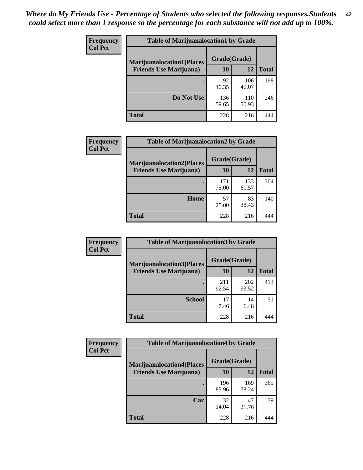| <b>Frequency</b><br><b>Col Pct</b> | <b>Table of Marijuanalocation1 by Grade</b> |              |              |              |
|------------------------------------|---------------------------------------------|--------------|--------------|--------------|
|                                    | <b>Marijuanalocation1(Places</b>            | Grade(Grade) |              |              |
|                                    | <b>Friends Use Marijuana</b> )              | <b>10</b>    | 12           | <b>Total</b> |
|                                    |                                             | 92<br>40.35  | 106<br>49.07 | 198          |
|                                    | Do Not Use                                  | 136<br>59.65 | 110<br>50.93 | 246          |
|                                    | <b>Total</b>                                | 228          | 216          |              |

| <b>Frequency</b> | <b>Table of Marijuanalocation2 by Grade</b>                        |                    |              |              |
|------------------|--------------------------------------------------------------------|--------------------|--------------|--------------|
| <b>Col Pct</b>   | <b>Marijuanalocation2(Places</b><br><b>Friends Use Marijuana</b> ) | Grade(Grade)<br>10 | 12           | <b>Total</b> |
|                  |                                                                    | 171<br>75.00       | 133<br>61.57 | 304          |
|                  | Home                                                               | 57<br>25.00        | 83<br>38.43  | 140          |
|                  | <b>Total</b>                                                       | 228                | 216          |              |

| <b>Frequency</b> | <b>Table of Marijuanalocation3 by Grade</b> |              |              |              |
|------------------|---------------------------------------------|--------------|--------------|--------------|
| <b>Col Pct</b>   | <b>Marijuanalocation3</b> (Places           | Grade(Grade) |              |              |
|                  | <b>Friends Use Marijuana</b> )              | 10           | 12           | <b>Total</b> |
|                  |                                             | 211<br>92.54 | 202<br>93.52 | 413          |
|                  | <b>School</b>                               | 17<br>7.46   | 14<br>6.48   | 31           |
|                  | <b>Total</b>                                | 228          | 216          |              |

| <b>Frequency</b> | <b>Table of Marijuanalocation4 by Grade</b> |              |              |              |  |
|------------------|---------------------------------------------|--------------|--------------|--------------|--|
| <b>Col Pct</b>   | <b>Marijuanalocation4(Places</b>            | Grade(Grade) |              |              |  |
|                  | <b>Friends Use Marijuana</b> )              | <b>10</b>    | 12           | <b>Total</b> |  |
|                  |                                             | 196<br>85.96 | 169<br>78.24 | 365          |  |
|                  | Car                                         | 32<br>14.04  | 47<br>21.76  | 79           |  |
|                  | <b>Total</b>                                | 228          | 216          |              |  |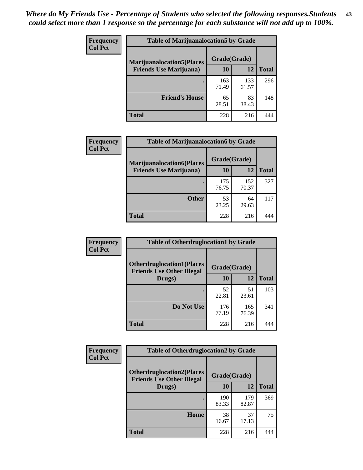| <b>Frequency</b> | <b>Table of Marijuanalocation5 by Grade</b> |              |              |              |
|------------------|---------------------------------------------|--------------|--------------|--------------|
| <b>Col Pct</b>   | <b>Marijuanalocation5</b> (Places           | Grade(Grade) |              |              |
|                  | <b>Friends Use Marijuana</b> )              | 10           | 12           | <b>Total</b> |
|                  |                                             | 163<br>71.49 | 133<br>61.57 | 296          |
|                  | <b>Friend's House</b>                       | 65<br>28.51  | 83<br>38.43  | 148          |
|                  | <b>Total</b>                                | 228          | 216          |              |

| <b>Frequency</b> | <b>Table of Marijuanalocation6 by Grade</b>                        |                    |              |              |
|------------------|--------------------------------------------------------------------|--------------------|--------------|--------------|
| <b>Col Pct</b>   | <b>Marijuanalocation6(Places</b><br><b>Friends Use Marijuana</b> ) | Grade(Grade)<br>10 | 12           | <b>Total</b> |
|                  |                                                                    | 175<br>76.75       | 152<br>70.37 | 327          |
|                  | <b>Other</b>                                                       | 53<br>23.25        | 64<br>29.63  | 117          |
|                  | <b>Total</b>                                                       | 228                | 216          |              |

| <b>Frequency</b> | <b>Table of Otherdruglocation1 by Grade</b>                          |              |              |              |
|------------------|----------------------------------------------------------------------|--------------|--------------|--------------|
| <b>Col Pct</b>   | <b>Otherdruglocation1(Places</b><br><b>Friends Use Other Illegal</b> | Grade(Grade) |              |              |
|                  | Drugs)                                                               | 10           | 12           | <b>Total</b> |
|                  |                                                                      | 52<br>22.81  | 51<br>23.61  | 103          |
|                  | Do Not Use                                                           | 176<br>77.19 | 165<br>76.39 | 341          |
|                  | <b>Total</b>                                                         | 228          | 216          |              |

| <b>Frequency</b> | <b>Table of Otherdruglocation2 by Grade</b>                           |              |              |              |
|------------------|-----------------------------------------------------------------------|--------------|--------------|--------------|
| <b>Col Pct</b>   | <b>Otherdruglocation2(Places)</b><br><b>Friends Use Other Illegal</b> | Grade(Grade) |              |              |
|                  | Drugs)                                                                | 10           | 12           | <b>Total</b> |
|                  |                                                                       | 190<br>83.33 | 179<br>82.87 | 369          |
|                  | Home                                                                  | 38<br>16.67  | 37<br>17.13  | 75           |
|                  | Total                                                                 | 228          | 216          | 444          |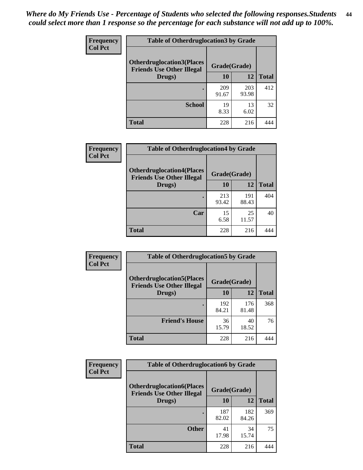| <b>Frequency</b> | <b>Table of Otherdruglocation 3 by Grade</b>                          |              |              |              |
|------------------|-----------------------------------------------------------------------|--------------|--------------|--------------|
| <b>Col Pct</b>   | <b>Otherdruglocation3(Places)</b><br><b>Friends Use Other Illegal</b> | Grade(Grade) |              |              |
|                  | Drugs)                                                                | 10           | 12           | <b>Total</b> |
|                  |                                                                       | 209<br>91.67 | 203<br>93.98 | 412          |
|                  | <b>School</b>                                                         | 19<br>8.33   | 13<br>6.02   | 32           |
|                  | <b>Total</b>                                                          | 228          | 216          |              |

| <b>Frequency</b> | <b>Table of Otherdruglocation4 by Grade</b>                          |              |              |              |
|------------------|----------------------------------------------------------------------|--------------|--------------|--------------|
| <b>Col Pct</b>   | <b>Otherdruglocation4(Places</b><br><b>Friends Use Other Illegal</b> | Grade(Grade) |              |              |
|                  | Drugs)                                                               | 10           | 12           | <b>Total</b> |
|                  |                                                                      | 213<br>93.42 | 191<br>88.43 | 404          |
|                  | Car                                                                  | 15<br>6.58   | 25<br>11.57  | 40           |
|                  | <b>Total</b>                                                         | 228          | 216          |              |

| Frequency      | <b>Table of Otherdruglocation5 by Grade</b>                          |              |              |              |
|----------------|----------------------------------------------------------------------|--------------|--------------|--------------|
| <b>Col Pct</b> | <b>Otherdruglocation5(Places</b><br><b>Friends Use Other Illegal</b> | Grade(Grade) |              |              |
|                | Drugs)                                                               | 10           | 12           | <b>Total</b> |
|                |                                                                      | 192<br>84.21 | 176<br>81.48 | 368          |
|                | <b>Friend's House</b>                                                | 36<br>15.79  | 40<br>18.52  | 76           |
|                | <b>Total</b>                                                         | 228          | 216          |              |

| Frequency      | <b>Table of Otherdruglocation6 by Grade</b>                           |              |              |              |
|----------------|-----------------------------------------------------------------------|--------------|--------------|--------------|
| <b>Col Pct</b> | <b>Otherdruglocation6(Places)</b><br><b>Friends Use Other Illegal</b> | Grade(Grade) |              |              |
|                | Drugs)                                                                | 10           | 12           | <b>Total</b> |
|                |                                                                       | 187<br>82.02 | 182<br>84.26 | 369          |
|                | <b>Other</b>                                                          | 41<br>17.98  | 34<br>15.74  | 75           |
|                | <b>Total</b>                                                          | 228          | 216          | 444          |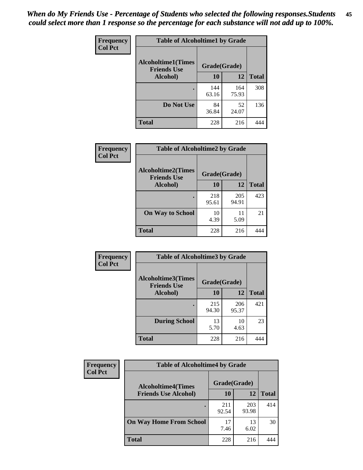| Frequency      | <b>Table of Alcoholtime1 by Grade</b>           |              |              |              |
|----------------|-------------------------------------------------|--------------|--------------|--------------|
| <b>Col Pct</b> | <b>Alcoholtime1(Times</b><br><b>Friends Use</b> | Grade(Grade) |              |              |
|                | Alcohol)                                        | 10           | 12           | <b>Total</b> |
|                |                                                 | 144<br>63.16 | 164<br>75.93 | 308          |
|                | Do Not Use                                      | 84<br>36.84  | 52<br>24.07  | 136          |
|                | <b>Total</b>                                    | 228          | 216          | 444          |

| Frequency      | <b>Table of Alcoholtime2 by Grade</b>           |              |              |              |
|----------------|-------------------------------------------------|--------------|--------------|--------------|
| <b>Col Pct</b> | <b>Alcoholtime2(Times</b><br><b>Friends Use</b> | Grade(Grade) |              |              |
|                | Alcohol)                                        | 10           | 12           | <b>Total</b> |
|                |                                                 | 218<br>95.61 | 205<br>94.91 | 423          |
|                | <b>On Way to School</b>                         | 10<br>4.39   | 11<br>5.09   | 21           |
|                | <b>Total</b>                                    | 228          | 216          |              |

| Frequency      | <b>Table of Alcoholtime3 by Grade</b>           |              |              |              |
|----------------|-------------------------------------------------|--------------|--------------|--------------|
| <b>Col Pct</b> | <b>Alcoholtime3(Times</b><br><b>Friends Use</b> | Grade(Grade) |              |              |
|                | Alcohol)                                        | 10           | 12           | <b>Total</b> |
|                |                                                 | 215<br>94.30 | 206<br>95.37 | 421          |
|                | <b>During School</b>                            | 13<br>5.70   | 10<br>4.63   | 23           |
|                | Total                                           | 228          | 216          |              |

| <b>Frequency</b><br><b>Col Pct</b> | <b>Table of Alcoholtime4 by Grade</b> |              |              |              |
|------------------------------------|---------------------------------------|--------------|--------------|--------------|
|                                    | <b>Alcoholtime4(Times</b>             | Grade(Grade) |              |              |
|                                    | <b>Friends Use Alcohol)</b>           | <b>10</b>    | 12           | <b>Total</b> |
|                                    |                                       | 211<br>92.54 | 203<br>93.98 | 414          |
|                                    | <b>On Way Home From School</b>        | 17<br>7.46   | 13<br>6.02   | 30           |
|                                    | <b>Total</b>                          | 228          | 216          |              |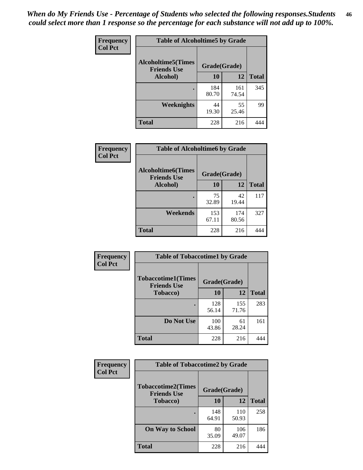*When do My Friends Use - Percentage of Students who selected the following responses.Students could select more than 1 response so the percentage for each substance will not add up to 100%.* **46**

| Frequency      | <b>Table of Alcoholtime5 by Grade</b>           |              |              |              |
|----------------|-------------------------------------------------|--------------|--------------|--------------|
| <b>Col Pct</b> | <b>Alcoholtime5(Times</b><br><b>Friends Use</b> | Grade(Grade) |              |              |
|                | Alcohol)                                        | 10           | 12           | <b>Total</b> |
|                |                                                 | 184<br>80.70 | 161<br>74.54 | 345          |
|                | Weeknights                                      | 44<br>19.30  | 55<br>25.46  | 99           |
|                | <b>Total</b>                                    | 228          | 216          | 444          |

| Frequency      | <b>Table of Alcoholtime6 by Grade</b>           |              |              |              |
|----------------|-------------------------------------------------|--------------|--------------|--------------|
| <b>Col Pct</b> | <b>Alcoholtime6(Times</b><br><b>Friends Use</b> | Grade(Grade) |              |              |
|                | Alcohol)                                        | 10           | 12           | <b>Total</b> |
|                | ٠                                               | 75<br>32.89  | 42<br>19.44  | 117          |
|                | Weekends                                        | 153<br>67.11 | 174<br>80.56 | 327          |
|                | <b>Total</b>                                    | 228          | 216          |              |

| Frequency      | <b>Table of Tobaccotime1 by Grade</b>           |              |              |              |
|----------------|-------------------------------------------------|--------------|--------------|--------------|
| <b>Col Pct</b> | <b>Tobaccotime1(Times</b><br><b>Friends Use</b> | Grade(Grade) |              |              |
|                | <b>Tobacco</b> )                                | 10           | 12           | <b>Total</b> |
|                | $\bullet$                                       | 128<br>56.14 | 155<br>71.76 | 283          |
|                | Do Not Use                                      | 100<br>43.86 | 61<br>28.24  | 161          |
|                | <b>Total</b>                                    | 228          | 216          | 444          |

| <b>Frequency</b> | <b>Table of Tobaccotime2 by Grade</b>           |              |              |              |
|------------------|-------------------------------------------------|--------------|--------------|--------------|
| <b>Col Pct</b>   | <b>Tobaccotime2(Times</b><br><b>Friends Use</b> | Grade(Grade) |              |              |
|                  | <b>Tobacco</b> )                                |              | 12           | <b>Total</b> |
|                  |                                                 | 148<br>64.91 | 110<br>50.93 | 258          |
|                  | <b>On Way to School</b>                         | 80<br>35.09  | 106<br>49.07 | 186          |
|                  | <b>Total</b>                                    | 228          | 216          | 444          |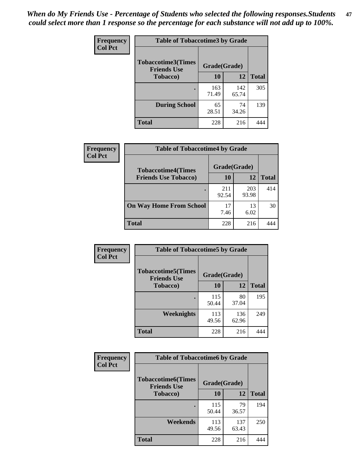*When do My Friends Use - Percentage of Students who selected the following responses.Students could select more than 1 response so the percentage for each substance will not add up to 100%.* **47**

| <b>Frequency</b> | <b>Table of Tobaccotime3 by Grade</b>           |              |              |              |  |
|------------------|-------------------------------------------------|--------------|--------------|--------------|--|
| <b>Col Pct</b>   | <b>Tobaccotime3(Times</b><br><b>Friends Use</b> | Grade(Grade) |              |              |  |
|                  | <b>Tobacco</b> )                                | 10           | 12           | <b>Total</b> |  |
|                  |                                                 | 163<br>71.49 | 142<br>65.74 | 305          |  |
|                  | <b>During School</b>                            | 65<br>28.51  | 74<br>34.26  | 139          |  |
|                  | <b>Total</b>                                    | 228          | 216          | 444          |  |

| Frequency<br><b>Col Pct</b> | <b>Table of Tobaccotime4 by Grade</b> |              |              |              |
|-----------------------------|---------------------------------------|--------------|--------------|--------------|
|                             | <b>Tobaccotime4(Times</b>             | Grade(Grade) |              |              |
|                             | <b>Friends Use Tobacco)</b>           | 10           | 12           | <b>Total</b> |
|                             |                                       | 211<br>92.54 | 203<br>93.98 | 414          |
|                             | <b>On Way Home From School</b>        | 17<br>7.46   | 13<br>6.02   | 30           |
|                             | <b>Total</b>                          | 228          | 216          | 447          |

| Frequency      | <b>Table of Tobaccotime5 by Grade</b>                           |              |              |              |
|----------------|-----------------------------------------------------------------|--------------|--------------|--------------|
| <b>Col Pct</b> | <b>Tobaccotime5(Times</b><br>Grade(Grade)<br><b>Friends Use</b> |              |              |              |
|                | <b>Tobacco</b> )                                                | 10           | 12           | <b>Total</b> |
|                |                                                                 | 115<br>50.44 | 80<br>37.04  | 195          |
|                | Weeknights                                                      | 113<br>49.56 | 136<br>62.96 | 249          |
|                | <b>Total</b>                                                    | 228          | 216          | 444          |

| Frequency<br><b>Col Pct</b> | <b>Table of Tobaccotime6 by Grade</b>           |              |              |              |  |
|-----------------------------|-------------------------------------------------|--------------|--------------|--------------|--|
|                             | <b>Tobaccotime6(Times</b><br><b>Friends Use</b> | Grade(Grade) |              |              |  |
|                             | <b>Tobacco</b> )                                | 10           | 12           | <b>Total</b> |  |
|                             |                                                 | 115<br>50.44 | 79<br>36.57  | 194          |  |
|                             | Weekends                                        | 113<br>49.56 | 137<br>63.43 | 250          |  |
|                             | <b>Total</b>                                    | 228          | 216          | 444          |  |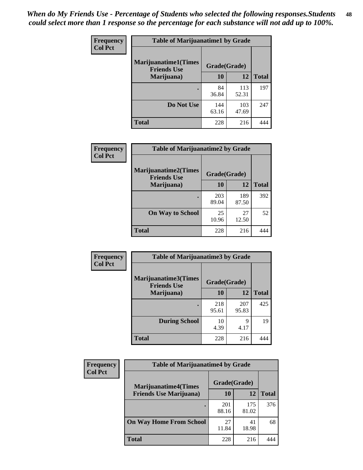| Frequency      | <b>Table of Marijuanatime1 by Grade</b><br><b>Marijuanatime1(Times</b><br>Grade(Grade)<br><b>Friends Use</b> |              |              |              |
|----------------|--------------------------------------------------------------------------------------------------------------|--------------|--------------|--------------|
| <b>Col Pct</b> |                                                                                                              |              |              |              |
|                | Marijuana)                                                                                                   | 10           | 12           | <b>Total</b> |
|                |                                                                                                              | 84<br>36.84  | 113<br>52.31 | 197          |
|                | Do Not Use                                                                                                   | 144<br>63.16 | 103<br>47.69 | 247          |
|                | <b>Total</b>                                                                                                 | 228          | 216          |              |

| <b>Frequency</b> | <b>Table of Marijuanatime2 by Grade</b>           |              |              |              |
|------------------|---------------------------------------------------|--------------|--------------|--------------|
| <b>Col Pct</b>   | <b>Marijuanatime2(Times</b><br><b>Friends Use</b> | Grade(Grade) |              |              |
|                  | Marijuana)                                        | 10           | 12           | <b>Total</b> |
|                  |                                                   | 203<br>89.04 | 189<br>87.50 | 392          |
|                  | <b>On Way to School</b>                           | 25<br>10.96  | 27<br>12.50  | 52           |
|                  | <b>Total</b>                                      | 228          | 216          |              |

| Frequency      | <b>Table of Marijuanatime3 by Grade</b>    |              |              |              |
|----------------|--------------------------------------------|--------------|--------------|--------------|
| <b>Col Pct</b> | Marijuanatime3(Times<br><b>Friends Use</b> | Grade(Grade) |              |              |
|                | Marijuana)                                 | 10           | 12           | <b>Total</b> |
|                |                                            | 218<br>95.61 | 207<br>95.83 | 425          |
|                | <b>During School</b>                       | 10<br>4.39   | Q<br>4.17    | 19           |
|                | <b>Total</b>                               | 228          | 216          | 444          |

| <b>Frequency</b> | <b>Table of Marijuanatime4 by Grade</b> |              |              |              |
|------------------|-----------------------------------------|--------------|--------------|--------------|
| <b>Col Pct</b>   | <b>Marijuanatime4(Times</b>             | Grade(Grade) |              |              |
|                  | <b>Friends Use Marijuana</b> )          | 10           | 12           | <b>Total</b> |
|                  |                                         | 201<br>88.16 | 175<br>81.02 | 376          |
|                  | <b>On Way Home From School</b>          | 27<br>11.84  | 41<br>18.98  | 68           |
|                  | <b>Total</b>                            | 228          | 216          |              |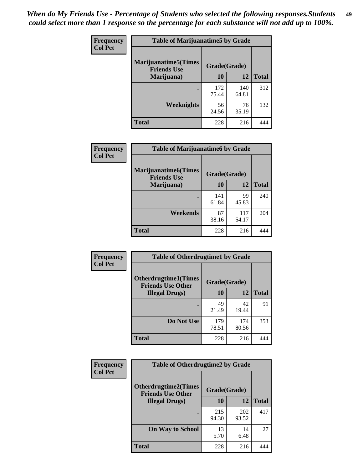| Frequency      | <b>Table of Marijuanatime5 by Grade</b>            |              |              |              |  |
|----------------|----------------------------------------------------|--------------|--------------|--------------|--|
| <b>Col Pct</b> | <b>Marijuanatime5</b> (Times<br><b>Friends Use</b> | Grade(Grade) |              |              |  |
|                | Marijuana)                                         | 10           | 12           | <b>Total</b> |  |
|                |                                                    | 172<br>75.44 | 140<br>64.81 | 312          |  |
|                | Weeknights                                         | 56<br>24.56  | 76<br>35.19  | 132          |  |
|                | <b>Total</b>                                       | 228          | 216          |              |  |

| Frequency      | <b>Table of Marijuanatime6 by Grade</b>            |              |              |              |
|----------------|----------------------------------------------------|--------------|--------------|--------------|
| <b>Col Pct</b> | <b>Marijuanatime6</b> (Times<br><b>Friends Use</b> | Grade(Grade) |              |              |
|                | Marijuana)                                         | 10           | 12           | <b>Total</b> |
|                |                                                    | 141<br>61.84 | 99<br>45.83  | 240          |
|                | Weekends                                           | 87<br>38.16  | 117<br>54.17 | 204          |
|                | <b>Total</b>                                       | 228          | 216          |              |

| Frequency      | <b>Table of Otherdrugtime1 by Grade</b>                 |              |              |              |  |
|----------------|---------------------------------------------------------|--------------|--------------|--------------|--|
| <b>Col Pct</b> | <b>Otherdrugtime1(Times</b><br><b>Friends Use Other</b> | Grade(Grade) |              |              |  |
|                | <b>Illegal Drugs)</b>                                   | 10           | 12           | <b>Total</b> |  |
|                |                                                         | 49<br>21.49  | 42<br>19.44  | 91           |  |
|                | Do Not Use                                              | 179<br>78.51 | 174<br>80.56 | 353          |  |
|                | <b>Total</b>                                            | 228          | 216          |              |  |

| Frequency      | <b>Table of Otherdrugtime2 by Grade</b>                 |              |              |              |  |  |  |
|----------------|---------------------------------------------------------|--------------|--------------|--------------|--|--|--|
| <b>Col Pct</b> | <b>Otherdrugtime2(Times</b><br><b>Friends Use Other</b> | Grade(Grade) |              |              |  |  |  |
|                | <b>Illegal Drugs</b> )                                  | 10           | 12           | <b>Total</b> |  |  |  |
|                |                                                         | 215<br>94.30 | 202<br>93.52 | 417          |  |  |  |
|                | <b>On Way to School</b>                                 | 13<br>5.70   | 14<br>6.48   | 27           |  |  |  |
|                | Total                                                   | 228          | 216          | 444          |  |  |  |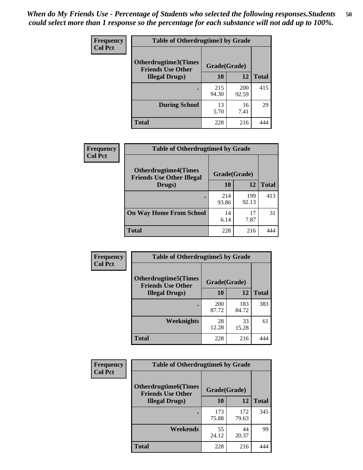| <b>Frequency</b> | <b>Table of Otherdrugtime3 by Grade</b>          |              |              |              |  |  |  |
|------------------|--------------------------------------------------|--------------|--------------|--------------|--|--|--|
| <b>Col Pct</b>   | Otherdrugtime3(Times<br><b>Friends Use Other</b> | Grade(Grade) |              |              |  |  |  |
|                  | <b>Illegal Drugs</b> )                           | 10           | 12           | <b>Total</b> |  |  |  |
|                  |                                                  | 215<br>94.30 | 200<br>92.59 | 415          |  |  |  |
|                  | <b>During School</b>                             | 13<br>5.70   | 16<br>7.41   | 29           |  |  |  |
|                  | Total                                            | 228          | 216          |              |  |  |  |

| Frequency      | <b>Table of Otherdrugtime4 by Grade</b>                         |              |              |              |  |  |  |
|----------------|-----------------------------------------------------------------|--------------|--------------|--------------|--|--|--|
| <b>Col Pct</b> | <b>Otherdrugtime4(Times</b><br><b>Friends Use Other Illegal</b> | Grade(Grade) |              |              |  |  |  |
|                | Drugs)                                                          | 10           | 12           | <b>Total</b> |  |  |  |
|                | $\bullet$                                                       | 214<br>93.86 | 199<br>92.13 | 413          |  |  |  |
|                | <b>On Way Home From School</b>                                  | 14<br>6.14   | 17<br>7.87   | 31           |  |  |  |
|                | <b>Total</b>                                                    | 228          | 216          |              |  |  |  |

| <b>Frequency</b> | <b>Table of Otherdrugtime5 by Grade</b>                  |              |              |              |  |  |  |
|------------------|----------------------------------------------------------|--------------|--------------|--------------|--|--|--|
| <b>Col Pct</b>   | <b>Otherdrugtime5</b> (Times<br><b>Friends Use Other</b> | Grade(Grade) |              |              |  |  |  |
|                  | <b>Illegal Drugs)</b>                                    | 10           | 12           | <b>Total</b> |  |  |  |
|                  |                                                          | 200<br>87.72 | 183<br>84.72 | 383          |  |  |  |
|                  | Weeknights                                               | 28<br>12.28  | 33<br>15.28  | 61           |  |  |  |
|                  | <b>Total</b>                                             | 228          | 216          |              |  |  |  |

| <b>Frequency</b> | <b>Table of Otherdrugtime6 by Grade</b>                 |              |              |              |  |  |
|------------------|---------------------------------------------------------|--------------|--------------|--------------|--|--|
| <b>Col Pct</b>   | <b>Otherdrugtime6(Times</b><br><b>Friends Use Other</b> | Grade(Grade) |              |              |  |  |
|                  | <b>Illegal Drugs</b> )                                  | 10           | 12           | <b>Total</b> |  |  |
|                  |                                                         | 173<br>75.88 | 172<br>79.63 | 345          |  |  |
|                  | Weekends                                                | 55<br>24.12  | 44<br>20.37  | 99           |  |  |
|                  | Total                                                   | 228          | 216          | 444          |  |  |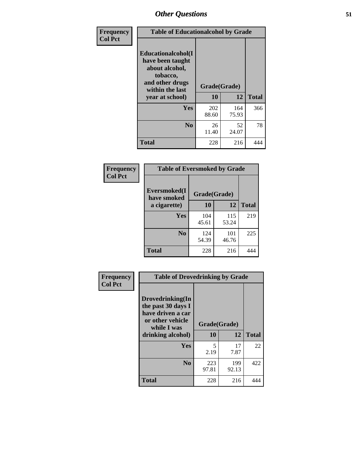| Frequency      | <b>Table of Educationalcohol by Grade</b>                                                                  |              |              |              |  |  |  |
|----------------|------------------------------------------------------------------------------------------------------------|--------------|--------------|--------------|--|--|--|
| <b>Col Pct</b> | Educationalcohol(I<br>have been taught<br>about alcohol,<br>tobacco,<br>and other drugs<br>within the last | Grade(Grade) |              |              |  |  |  |
|                | year at school)                                                                                            | 10           | 12           | <b>Total</b> |  |  |  |
|                | Yes                                                                                                        | 202<br>88.60 | 164<br>75.93 | 366          |  |  |  |
|                | N <sub>0</sub>                                                                                             | 26<br>11.40  | 52<br>24.07  | 78           |  |  |  |
|                | <b>Total</b>                                                                                               | 228          | 216          | 444          |  |  |  |

| Frequency      | <b>Table of Eversmoked by Grade</b>         |              |              |              |  |  |  |
|----------------|---------------------------------------------|--------------|--------------|--------------|--|--|--|
| <b>Col Pct</b> | Eversmoked(I<br>Grade(Grade)<br>have smoked |              |              |              |  |  |  |
|                | a cigarette)                                | 10           | 12           | <b>Total</b> |  |  |  |
|                | <b>Yes</b>                                  | 104<br>45.61 | 115<br>53.24 | 219          |  |  |  |
|                | N <sub>0</sub>                              | 124<br>54.39 | 101<br>46.76 | 225          |  |  |  |
|                | <b>Total</b>                                | 228          | 216          | 444          |  |  |  |

| Frequency      | <b>Table of Drovedrinking by Grade</b>                                                                              |                    |              |              |  |  |
|----------------|---------------------------------------------------------------------------------------------------------------------|--------------------|--------------|--------------|--|--|
| <b>Col Pct</b> | Drovedrinking(In<br>the past 30 days I<br>have driven a car<br>or other vehicle<br>while I was<br>drinking alcohol) | Grade(Grade)<br>10 | 12           | <b>Total</b> |  |  |
|                | <b>Yes</b>                                                                                                          | 5<br>2.19          | 17<br>7.87   | 22           |  |  |
|                | N <sub>0</sub>                                                                                                      | 223<br>97.81       | 199<br>92.13 | 422          |  |  |
|                | <b>Total</b>                                                                                                        | 228                | 216          | 444          |  |  |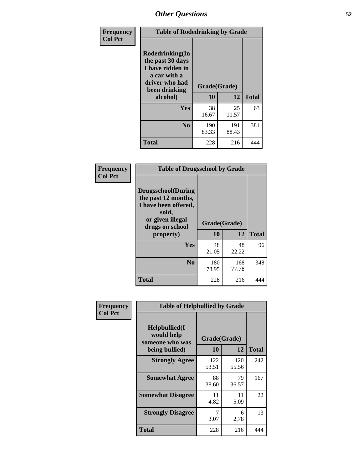| Frequency<br><b>Col Pct</b> | <b>Table of Rodedrinking by Grade</b>                                                                      |              |              |              |  |  |
|-----------------------------|------------------------------------------------------------------------------------------------------------|--------------|--------------|--------------|--|--|
|                             | Rodedrinking(In<br>the past 30 days<br>I have ridden in<br>a car with a<br>driver who had<br>been drinking | Grade(Grade) |              |              |  |  |
|                             | alcohol)                                                                                                   | 10           | 12           | <b>Total</b> |  |  |
|                             | <b>Yes</b>                                                                                                 | 38<br>16.67  | 25<br>11.57  | 63           |  |  |
|                             | N <sub>0</sub>                                                                                             | 190<br>83.33 | 191<br>88.43 | 381          |  |  |
|                             | <b>Total</b>                                                                                               | 228          | 216          | 444          |  |  |

#### **Frequency Col Pct**

| <b>Table of Drugsschool by Grade</b>                                                                                      |              |              |              |  |  |  |  |
|---------------------------------------------------------------------------------------------------------------------------|--------------|--------------|--------------|--|--|--|--|
| <b>Drugsschool</b> (During<br>the past 12 months,<br>I have been offered,<br>sold,<br>or given illegal<br>drugs on school | Grade(Grade) |              |              |  |  |  |  |
| property)                                                                                                                 | 10           | 12           | <b>Total</b> |  |  |  |  |
| <b>Yes</b>                                                                                                                | 48<br>21.05  | 48<br>22.22  | 96           |  |  |  |  |
| N <sub>0</sub>                                                                                                            | 180<br>78.95 | 168<br>77.78 | 348          |  |  |  |  |
| Total                                                                                                                     | 228          | 216          |              |  |  |  |  |

| Frequency      | <b>Table of Helpbullied by Grade</b>                 |              |              |              |  |  |  |
|----------------|------------------------------------------------------|--------------|--------------|--------------|--|--|--|
| <b>Col Pct</b> | $Helpb$ ullied $(I$<br>would help<br>someone who was | Grade(Grade) |              |              |  |  |  |
|                | being bullied)                                       | <b>10</b>    | 12           | <b>Total</b> |  |  |  |
|                | <b>Strongly Agree</b>                                | 122<br>53.51 | 120<br>55.56 | 242          |  |  |  |
|                | <b>Somewhat Agree</b>                                | 88<br>38.60  | 79<br>36.57  | 167          |  |  |  |
|                | <b>Somewhat Disagree</b>                             | 11<br>4.82   | 11<br>5.09   | 22           |  |  |  |
|                | <b>Strongly Disagree</b>                             | 7<br>3.07    | 6<br>2.78    | 13           |  |  |  |
|                | <b>Total</b>                                         | 228          | 216          | 444          |  |  |  |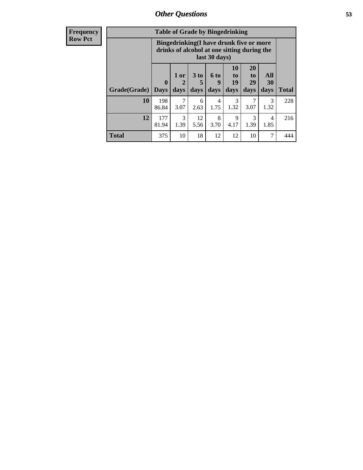| <b>Frequency</b> | <b>Table of Grade by Bingedrinking</b> |                                                                                                         |                   |                         |                             |                        |                        |                   |              |
|------------------|----------------------------------------|---------------------------------------------------------------------------------------------------------|-------------------|-------------------------|-----------------------------|------------------------|------------------------|-------------------|--------------|
| <b>Row Pct</b>   |                                        | Bingedrinking(I have drunk five or more<br>drinks of alcohol at one sitting during the<br>last 30 days) |                   |                         |                             |                        |                        |                   |              |
|                  | Grade(Grade)                           | $\mathbf{0}$<br><b>Days</b>                                                                             | 1 or<br>2<br>days | 3 <sub>to</sub><br>days | $6 \text{ to}$<br>9<br>days | 10<br>to<br>19<br>days | 20<br>to<br>29<br>days | All<br>30<br>days | <b>Total</b> |
|                  | 10                                     | 198<br>86.84                                                                                            | 7<br>3.07         | 6<br>2.63               | $\overline{4}$<br>1.75      | 3<br>1.32              | 3.07                   | 3<br>1.32         | 228          |
|                  | 12                                     | 177<br>81.94                                                                                            | 3<br>1.39         | 12<br>5.56              | 8<br>3.70                   | 9<br>4.17              | 3<br>1.39              | 4<br>1.85         | 216          |
|                  | <b>Total</b>                           | 375                                                                                                     | 10                | 18                      | 12                          | 12                     | 10                     | 7                 | 444          |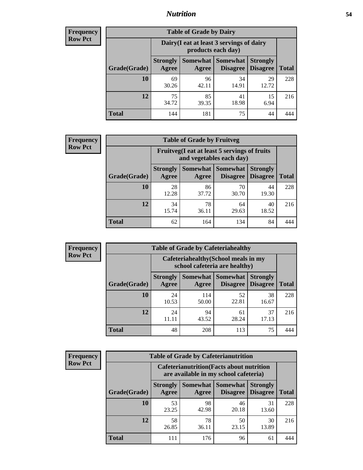### *Nutrition* **54**

| Frequency |
|-----------|
| Row Pct   |

| <b>Table of Grade by Dairy</b> |                          |                                                                 |                                    |                                    |              |  |
|--------------------------------|--------------------------|-----------------------------------------------------------------|------------------------------------|------------------------------------|--------------|--|
|                                |                          | Dairy (I eat at least 3 servings of dairy<br>products each day) |                                    |                                    |              |  |
| Grade(Grade)                   | <b>Strongly</b><br>Agree | <b>Somewhat</b><br>Agree                                        | <b>Somewhat</b><br><b>Disagree</b> | <b>Strongly</b><br><b>Disagree</b> | <b>Total</b> |  |
| 10                             | 69<br>30.26              | 96<br>42.11                                                     | 34<br>14.91                        | 29<br>12.72                        | 228          |  |
| 12                             | 75<br>34.72              | 85<br>39.35                                                     | 41<br>18.98                        | 15<br>6.94                         | 216          |  |
| <b>Total</b>                   | 144                      | 181                                                             | 75                                 | 44                                 |              |  |

| <b>Frequency</b> |  |
|------------------|--|
| <b>Row Pct</b>   |  |

| <b>Table of Grade by Fruitveg</b> |                          |                                                                          |                                        |                                    |              |  |
|-----------------------------------|--------------------------|--------------------------------------------------------------------------|----------------------------------------|------------------------------------|--------------|--|
|                                   |                          | Fruitveg(I eat at least 5 servings of fruits<br>and vegetables each day) |                                        |                                    |              |  |
| Grade(Grade)                      | <b>Strongly</b><br>Agree | Agree                                                                    | <b>Somewhat   Somewhat</b><br>Disagree | <b>Strongly</b><br><b>Disagree</b> | <b>Total</b> |  |
| 10                                | 28<br>12.28              | 86<br>37.72                                                              | 70<br>30.70                            | 44<br>19.30                        | 228          |  |
| 12                                | 34<br>15.74              | 78<br>36.11                                                              | 64<br>29.63                            | 40<br>18.52                        | 216          |  |
| <b>Total</b>                      | 62                       | 164                                                                      | 134                                    | 84                                 |              |  |

| <b>Frequency</b> |
|------------------|
| <b>Row Pct</b>   |

| <b>Table of Grade by Cafeteriahealthy</b> |              |                          |                                                                       |                             |                                    |              |  |  |
|-------------------------------------------|--------------|--------------------------|-----------------------------------------------------------------------|-----------------------------|------------------------------------|--------------|--|--|
|                                           |              |                          | Cafeteriahealthy (School meals in my<br>school cafeteria are healthy) |                             |                                    |              |  |  |
|                                           | Grade(Grade) | <b>Strongly</b><br>Agree | Somewhat  <br><b>Agree</b>                                            | <b>Somewhat</b><br>Disagree | <b>Strongly</b><br><b>Disagree</b> | <b>Total</b> |  |  |
|                                           | <b>10</b>    | 24<br>10.53              | 114<br>50.00                                                          | 52<br>22.81                 | 38<br>16.67                        | 228          |  |  |
|                                           | 12           | 24                       | 94<br>43.52                                                           | 61<br>28.24                 | 37<br>17.13                        | 216          |  |  |
|                                           | <b>Total</b> | 48                       | 208                                                                   | 113                         | 75                                 |              |  |  |

**Frequency Row Pct**

| <b>Table of Grade by Cafeterianutrition</b> |                          |                                                                                           |                      |                                    |              |  |  |
|---------------------------------------------|--------------------------|-------------------------------------------------------------------------------------------|----------------------|------------------------------------|--------------|--|--|
|                                             |                          | <b>Cafeterianutrition</b> (Facts about nutrition<br>are available in my school cafeteria) |                      |                                    |              |  |  |
| Grade(Grade)                                | <b>Strongly</b><br>Agree | Somewhat  <br>Agree                                                                       | Somewhat<br>Disagree | <b>Strongly</b><br><b>Disagree</b> | <b>Total</b> |  |  |
| 10                                          | 53<br>23.25              | 98<br>42.98                                                                               | 46<br>20.18          | 31<br>13.60                        | 228          |  |  |
| 12                                          | 58<br>26.85              | 78<br>36.11                                                                               | 50<br>23.15          | 30<br>13.89                        | 216          |  |  |
| <b>Total</b>                                | 111                      | 176                                                                                       | 96                   | 61                                 |              |  |  |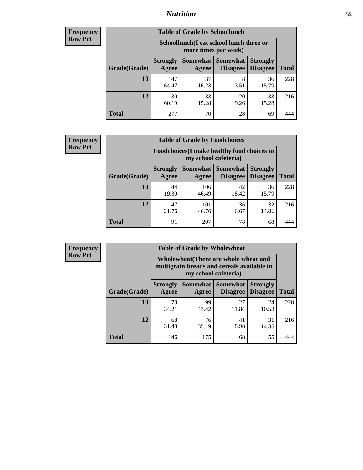### *Nutrition* **55**

| Frequency |
|-----------|
| Row Pct   |

| <b>Table of Grade by Schoollunch</b> |                          |                                                                 |                               |                                    |              |  |
|--------------------------------------|--------------------------|-----------------------------------------------------------------|-------------------------------|------------------------------------|--------------|--|
|                                      |                          | Schoollunch(I eat school lunch three or<br>more times per week) |                               |                                    |              |  |
| Grade(Grade)                         | <b>Strongly</b><br>Agree | Agree                                                           | Somewhat Somewhat<br>Disagree | <b>Strongly</b><br><b>Disagree</b> | <b>Total</b> |  |
| 10                                   | 147<br>64.47             | 37<br>16.23                                                     | 8<br>3.51                     | 36<br>15.79                        | 228          |  |
| 12                                   | 130<br>60.19             | 33<br>15.28                                                     | 20<br>9.26                    | 33<br>15.28                        | 216          |  |
| <b>Total</b>                         | 277                      | 70                                                              | 28                            | 69                                 |              |  |

| <b>Frequency</b> |  |
|------------------|--|
| <b>Row Pct</b>   |  |

| <b>Table of Grade by Foodchoices</b>                                |                          |              |                                   |                                    |              |
|---------------------------------------------------------------------|--------------------------|--------------|-----------------------------------|------------------------------------|--------------|
| Foodchoices (I make healthy food choices in<br>my school cafeteria) |                          |              |                                   |                                    |              |
| Grade(Grade)                                                        | <b>Strongly</b><br>Agree | Agree        | Somewhat   Somewhat  <br>Disagree | <b>Strongly</b><br><b>Disagree</b> | <b>Total</b> |
| 10                                                                  | 44<br>19.30              | 106<br>46.49 | 42<br>18.42                       | 36<br>15.79                        | 228          |
| 12                                                                  | 47<br>21.76              | 101<br>46.76 | 36<br>16.67                       | 32<br>14.81                        | 216          |
| <b>Total</b>                                                        | 91                       | 207          | 78                                | 68                                 |              |

| Frequency      |
|----------------|
| <b>Row Pct</b> |

п

| <b>Table of Grade by Wholewheat</b> |                                                                                                             |                          |                                    |                                    |              |
|-------------------------------------|-------------------------------------------------------------------------------------------------------------|--------------------------|------------------------------------|------------------------------------|--------------|
|                                     | Wholewheat (There are whole wheat and<br>multigrain breads and cereals available in<br>my school cafeteria) |                          |                                    |                                    |              |
| Grade(Grade)                        | <b>Strongly</b><br>Agree                                                                                    | <b>Somewhat</b><br>Agree | <b>Somewhat</b><br><b>Disagree</b> | <b>Strongly</b><br><b>Disagree</b> | <b>Total</b> |
| 10                                  | 78<br>34.21                                                                                                 | 99<br>43.42              | 27<br>11.84                        | 24<br>10.53                        | 228          |
| 12                                  | 68<br>31.48                                                                                                 | 76<br>35.19              | 41<br>18.98                        | 31<br>14.35                        | 216          |
| <b>Total</b>                        | 146                                                                                                         | 175                      | 68                                 | 55                                 |              |

Ē,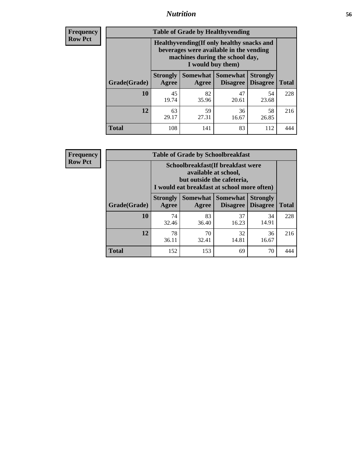### *Nutrition* **56**

**Frequency Row Pct**

| <b>Table of Grade by Healthyvending</b> |                                                                                                                                               |                          |                                    |                                    |              |
|-----------------------------------------|-----------------------------------------------------------------------------------------------------------------------------------------------|--------------------------|------------------------------------|------------------------------------|--------------|
|                                         | Healthyvending (If only healthy snacks and<br>beverages were available in the vending<br>machines during the school day,<br>I would buy them) |                          |                                    |                                    |              |
| Grade(Grade)                            | <b>Strongly</b><br>Agree                                                                                                                      | <b>Somewhat</b><br>Agree | <b>Somewhat</b><br><b>Disagree</b> | <b>Strongly</b><br><b>Disagree</b> | <b>Total</b> |
| 10                                      | 45<br>19.74                                                                                                                                   | 82<br>35.96              | 47<br>20.61                        | 54<br>23.68                        | 228          |
| 12                                      | 63<br>29.17                                                                                                                                   | 59<br>27.31              | 36<br>16.67                        | 58<br>26.85                        | 216          |
| <b>Total</b>                            | 108                                                                                                                                           | 141                      | 83                                 | 112                                |              |

**Frequency Row Pct**

| <b>Table of Grade by Schoolbreakfast</b> |                                                                                                                                         |             |                                      |                                    |              |
|------------------------------------------|-----------------------------------------------------------------------------------------------------------------------------------------|-------------|--------------------------------------|------------------------------------|--------------|
|                                          | Schoolbreakfast (If breakfast were<br>available at school,<br>but outside the cafeteria,<br>I would eat breakfast at school more often) |             |                                      |                                    |              |
| Grade(Grade)                             | <b>Strongly</b><br>Agree                                                                                                                | Agree       | Somewhat Somewhat<br><b>Disagree</b> | <b>Strongly</b><br><b>Disagree</b> | <b>Total</b> |
| 10                                       | 74<br>32.46                                                                                                                             | 83<br>36.40 | 37<br>16.23                          | 34<br>14.91                        | 228          |
| 12                                       | 78<br>36.11                                                                                                                             | 70<br>32.41 | 32<br>14.81                          | 36<br>16.67                        | 216          |
| <b>Total</b>                             | 152                                                                                                                                     | 153         | 69                                   | 70                                 | 444          |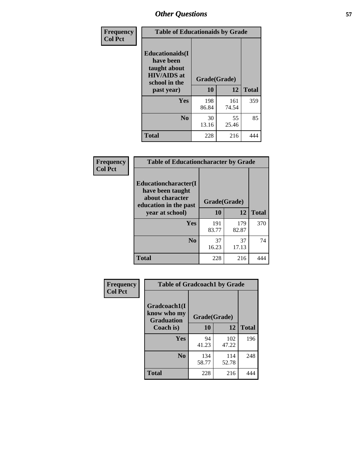| Frequency<br><b>Col Pct</b> | <b>Table of Educationaids by Grade</b>                                                                    |                    |              |              |
|-----------------------------|-----------------------------------------------------------------------------------------------------------|--------------------|--------------|--------------|
|                             | <b>Educationaids</b> (I<br>have been<br>taught about<br><b>HIV/AIDS</b> at<br>school in the<br>past year) | Grade(Grade)<br>10 | 12           | <b>Total</b> |
|                             | Yes                                                                                                       | 198<br>86.84       | 161<br>74.54 | 359          |
|                             | N <sub>0</sub>                                                                                            | 30<br>13.16        | 55<br>25.46  | 85           |
|                             | <b>Total</b>                                                                                              | 228                | 216          | 444          |

| <b>Frequency</b> | <b>Table of Educationcharacter by Grade</b>                                          |              |              |              |
|------------------|--------------------------------------------------------------------------------------|--------------|--------------|--------------|
| <b>Col Pct</b>   | Educationcharacter(I<br>have been taught<br>about character<br>education in the past | Grade(Grade) |              |              |
|                  | year at school)                                                                      | 10           | 12           | <b>Total</b> |
|                  | <b>Yes</b>                                                                           | 191<br>83.77 | 179<br>82.87 | 370          |
|                  | N <sub>0</sub>                                                                       | 37<br>16.23  | 37<br>17.13  | 74           |
|                  | <b>Total</b>                                                                         | 228          | 216          |              |

| Frequency      | <b>Table of Gradcoach1 by Grade</b> |              |              |              |
|----------------|-------------------------------------|--------------|--------------|--------------|
| <b>Col Pct</b> | Gradcoach1(I<br>know who my         | Grade(Grade) |              |              |
|                | <b>Graduation</b><br>Coach is)      | 10           | 12           | <b>Total</b> |
|                | Yes                                 | 94<br>41.23  | 102<br>47.22 | 196          |
|                | N <sub>0</sub>                      | 134<br>58.77 | 114<br>52.78 | 248          |
|                | <b>Total</b>                        | 228          | 216          | 444          |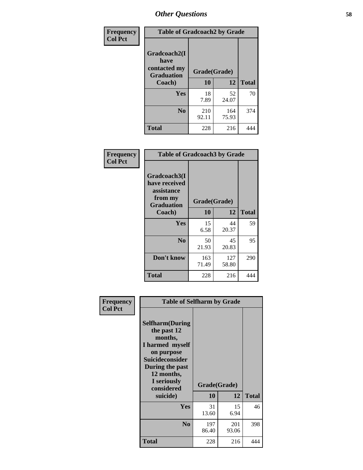| Frequency      | <b>Table of Gradcoach2 by Grade</b> |              |              |              |
|----------------|-------------------------------------|--------------|--------------|--------------|
| <b>Col Pct</b> | Gradcoach2(I<br>have                |              |              |              |
|                | contacted my<br><b>Graduation</b>   | Grade(Grade) |              |              |
|                | Coach)                              | 10           | 12           | <b>Total</b> |
|                | Yes                                 | 18<br>7.89   | 52<br>24.07  | 70           |
|                | N <sub>0</sub>                      | 210<br>92.11 | 164<br>75.93 | 374          |
|                | <b>Total</b>                        | 228          | 216          |              |

| <b>Frequency</b><br><b>Col Pct</b> | <b>Table of Gradcoach3 by Grade</b>                                         |              |              |              |
|------------------------------------|-----------------------------------------------------------------------------|--------------|--------------|--------------|
|                                    | Gradcoach3(I<br>have received<br>assistance<br>from my<br><b>Graduation</b> | Grade(Grade) |              |              |
|                                    | Coach)                                                                      | 10           | 12           | <b>Total</b> |
|                                    | Yes                                                                         | 15<br>6.58   | 44<br>20.37  | 59           |
|                                    | N <sub>0</sub>                                                              | 50<br>21.93  | 45<br>20.83  | 95           |
|                                    | Don't know                                                                  | 163<br>71.49 | 127<br>58.80 | 290          |
|                                    | <b>Total</b>                                                                | 228          | 216          | 444          |

| Frequency<br><b>Col Pct</b> | <b>Table of Selfharm by Grade</b>                                                                                                                                                      |              |                    |              |
|-----------------------------|----------------------------------------------------------------------------------------------------------------------------------------------------------------------------------------|--------------|--------------------|--------------|
|                             | <b>Selfharm</b> (During<br>the past 12<br>months,<br>I harmed myself<br>on purpose<br><b>Suicideconsider</b><br>During the past<br>12 months,<br>I seriously<br>considered<br>suicide) | 10           | Grade(Grade)<br>12 | <b>Total</b> |
|                             | <b>Yes</b>                                                                                                                                                                             | 31<br>13.60  | 15<br>6.94         | 46           |
|                             | N <sub>0</sub>                                                                                                                                                                         | 197<br>86.40 | 201<br>93.06       | 398          |
|                             | Total                                                                                                                                                                                  | 228          | 216                | 444          |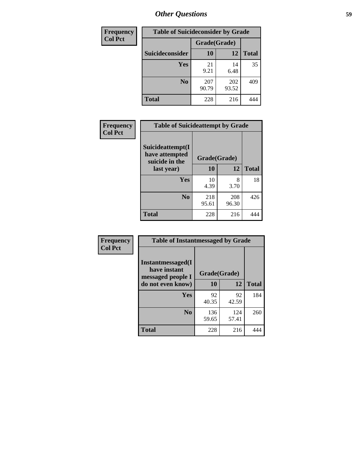| <b>Frequency</b> | <b>Table of Suicideconsider by Grade</b> |              |              |              |
|------------------|------------------------------------------|--------------|--------------|--------------|
| <b>Col Pct</b>   |                                          | Grade(Grade) |              |              |
|                  | Suicideconsider                          | <b>10</b>    | 12           | <b>Total</b> |
|                  | Yes                                      | 21<br>9.21   | 14<br>6.48   | 35           |
|                  | N <sub>0</sub>                           | 207<br>90.79 | 202<br>93.52 | 409          |
|                  | Total                                    | 228          | 216          | 444          |

| Frequency      | <b>Table of Suicideattempt by Grade</b>              |              |              |              |
|----------------|------------------------------------------------------|--------------|--------------|--------------|
| <b>Col Pct</b> | Suicideattempt(I<br>have attempted<br>suicide in the | Grade(Grade) |              |              |
|                | last year)                                           | 10           | 12           | <b>Total</b> |
|                | Yes                                                  | 10<br>4.39   | 8<br>3.70    | 18           |
|                | $\bf No$                                             | 218<br>95.61 | 208<br>96.30 | 426          |
|                | <b>Total</b>                                         | 228          | 216          | 444          |

| Frequency      | <b>Table of Instantmessaged by Grade</b>               |              |              |              |
|----------------|--------------------------------------------------------|--------------|--------------|--------------|
| <b>Col Pct</b> | Instantmessaged(I<br>have instant<br>messaged people I | Grade(Grade) |              |              |
|                | do not even know)                                      | 10           | 12           | <b>Total</b> |
|                | Yes                                                    | 92<br>40.35  | 92<br>42.59  | 184          |
|                | N <sub>0</sub>                                         | 136<br>59.65 | 124<br>57.41 | 260          |
|                | <b>Total</b>                                           | 228          | 216          | 444          |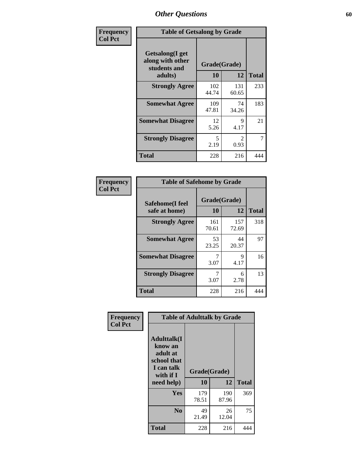| Frequency      | <b>Table of Getsalong by Grade</b>                          |              |                        |              |  |  |  |
|----------------|-------------------------------------------------------------|--------------|------------------------|--------------|--|--|--|
| <b>Col Pct</b> | <b>Getsalong</b> (I get<br>along with other<br>students and | Grade(Grade) |                        |              |  |  |  |
|                | adults)                                                     | 10           | 12                     | <b>Total</b> |  |  |  |
|                | <b>Strongly Agree</b>                                       | 102<br>44.74 | 131<br>60.65           | 233          |  |  |  |
|                | <b>Somewhat Agree</b>                                       | 109<br>47.81 | 74<br>34.26            | 183          |  |  |  |
|                | <b>Somewhat Disagree</b>                                    | 12<br>5.26   | 9<br>4.17              | 21           |  |  |  |
|                | <b>Strongly Disagree</b>                                    | 5<br>2.19    | $\mathfrak{D}$<br>0.93 | 7            |  |  |  |
|                | <b>Total</b>                                                | 228          | 216                    | 444          |  |  |  |

| Frequency      | <b>Table of Safehome by Grade</b> |                    |              |              |  |  |  |
|----------------|-----------------------------------|--------------------|--------------|--------------|--|--|--|
| <b>Col Pct</b> | Safehome(I feel<br>safe at home)  | Grade(Grade)<br>10 | 12           | <b>Total</b> |  |  |  |
|                | <b>Strongly Agree</b>             | 161<br>70.61       | 157<br>72.69 | 318          |  |  |  |
|                | <b>Somewhat Agree</b>             | 53<br>23.25        | 44<br>20.37  | 97           |  |  |  |
|                | <b>Somewhat Disagree</b>          | 3.07               | 9<br>4.17    | 16           |  |  |  |
|                | <b>Strongly Disagree</b>          | 7<br>3.07          | 6<br>2.78    | 13           |  |  |  |
|                | <b>Total</b>                      | 228                | 216          | 444          |  |  |  |

| Frequency      |                                                                                                    | <b>Table of Adulttalk by Grade</b> |              |              |
|----------------|----------------------------------------------------------------------------------------------------|------------------------------------|--------------|--------------|
| <b>Col Pct</b> | <b>Adulttalk</b> (I<br>know an<br>adult at<br>school that<br>I can talk<br>with if I<br>need help) | Grade(Grade)<br>10                 | 12           | <b>Total</b> |
|                |                                                                                                    |                                    |              |              |
|                | <b>Yes</b>                                                                                         | 179<br>78.51                       | 190<br>87.96 | 369          |
|                | N <sub>0</sub>                                                                                     | 49<br>21.49                        | 26<br>12.04  | 75           |
|                | <b>Total</b>                                                                                       | 228                                | 216          | 444          |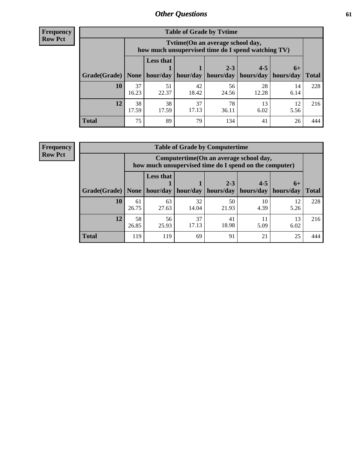**Frequency Row Pct**

| <b>Table of Grade by Tytime</b> |             |                                                                                         |                     |             |                       |            |              |  |  |  |
|---------------------------------|-------------|-----------------------------------------------------------------------------------------|---------------------|-------------|-----------------------|------------|--------------|--|--|--|
|                                 |             | Tytime (On an average school day,<br>how much unsupervised time do I spend watching TV) |                     |             |                       |            |              |  |  |  |
|                                 |             | <b>Less that</b>                                                                        |                     | $2 - 3$     | $4 - 5$               | $6+$       |              |  |  |  |
| Grade(Grade)   None             |             |                                                                                         | hour/day   hour/day | hours/day   | hours/day   hours/day |            | <b>Total</b> |  |  |  |
| 10                              | 37<br>16.23 | 51<br>22.37                                                                             | 42<br>18.42         | 56<br>24.56 | 28<br>12.28           | 14<br>6.14 | 228          |  |  |  |
| 12                              | 38<br>17.59 | 38<br>17.59                                                                             | 37<br>17.13         | 78<br>36.11 | 13<br>6.02            | 12<br>5.56 | 216          |  |  |  |
| <b>Total</b>                    | 75          | 89                                                                                      | 79                  | 134         | 41                    | 26         | 444          |  |  |  |

**Frequency Row Pct**

| <b>Table of Grade by Computertime</b> |             |                                                                                                                              |             |             |            |            |     |  |  |  |  |
|---------------------------------------|-------------|------------------------------------------------------------------------------------------------------------------------------|-------------|-------------|------------|------------|-----|--|--|--|--|
|                                       |             | Computertime (On an average school day,<br>how much unsupervised time do I spend on the computer)                            |             |             |            |            |     |  |  |  |  |
| Grade(Grade)                          | None $ $    | <b>Less that</b><br>$2 - 3$<br>$4 - 5$<br>$6+$<br>hours/day<br>hours/day<br>hour/day   hour/day<br>hours/day<br><b>Total</b> |             |             |            |            |     |  |  |  |  |
| 10                                    | 61<br>26.75 | 63<br>27.63                                                                                                                  | 32<br>14.04 | 50<br>21.93 | 10<br>4.39 | 12<br>5.26 | 228 |  |  |  |  |
| 12                                    | 58<br>26.85 | 56<br>37<br>41<br>13<br>11<br>18.98<br>17.13<br>25.93<br>5.09<br>6.02                                                        |             |             |            |            |     |  |  |  |  |
| <b>Total</b>                          | 119         | 119                                                                                                                          | 69          | 91          | 21         | 25         | 444 |  |  |  |  |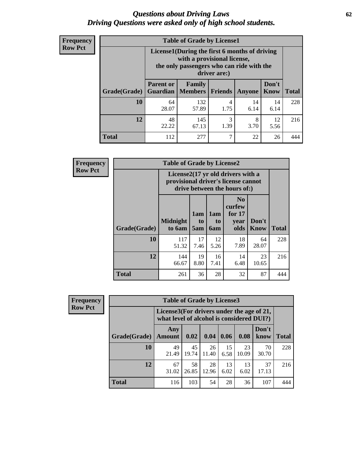#### *Questions about Driving Laws* **62** *Driving Questions were asked only of high school students.*

| <b>Frequency</b> |
|------------------|
| <b>Row Pct</b>   |

| <b>Table of Grade by License1</b> |                  |                                                                                                                                           |                |            |               |              |  |  |  |  |
|-----------------------------------|------------------|-------------------------------------------------------------------------------------------------------------------------------------------|----------------|------------|---------------|--------------|--|--|--|--|
|                                   |                  | License1(During the first 6 months of driving<br>with a provisional license,<br>the only passengers who can ride with the<br>driver are:) |                |            |               |              |  |  |  |  |
| Grade(Grade)                      | <b>Parent or</b> | Family<br><b>Guardian</b>   Members                                                                                                       | <b>Friends</b> | Anyone     | Don't<br>Know | <b>Total</b> |  |  |  |  |
| 10                                | 64<br>28.07      | 132<br>57.89                                                                                                                              | 4<br>1.75      | 14<br>6.14 | 14<br>6.14    | 228          |  |  |  |  |
| 12                                | 48<br>22.22      | 3<br>145<br>8<br>12<br>1.39<br>3.70<br>67.13<br>5.56                                                                                      |                |            |               |              |  |  |  |  |
| <b>Total</b>                      | 112              | 277                                                                                                                                       | 7              | 22         | 26            |              |  |  |  |  |

| <b>Frequency</b> |              | <b>Table of Grade by License2</b> |                                                                                                          |                  |                                                      |               |              |  |  |
|------------------|--------------|-----------------------------------|----------------------------------------------------------------------------------------------------------|------------------|------------------------------------------------------|---------------|--------------|--|--|
| <b>Row Pct</b>   |              |                                   | License2(17 yr old drivers with a<br>provisional driver's license cannot<br>drive between the hours of:) |                  |                                                      |               |              |  |  |
|                  | Grade(Grade) | <b>Midnight</b><br>to 6am         | 1am<br>t <sub>0</sub><br>5am                                                                             | 1am<br>to<br>6am | N <sub>0</sub><br>curfew<br>for $17$<br>vear<br>olds | Don't<br>Know | <b>Total</b> |  |  |
|                  | 10           | 117<br>51.32                      | 17<br>7.46                                                                                               | 12<br>5.26       | 18<br>7.89                                           | 64<br>28.07   | 228          |  |  |
|                  | 12           | 144<br>66.67                      | 19<br>8.80                                                                                               | 16<br>7.41       | 14<br>6.48                                           | 23<br>10.65   | 216          |  |  |
|                  | <b>Total</b> | 261                               | 36                                                                                                       | 28               | 32                                                   | 87            | 444          |  |  |

| Frequency      |              | <b>Table of Grade by License3</b><br>License3(For drivers under the age of 21,<br>what level of alcohol is considered DUI?) |             |             |            |             |               |              |  |
|----------------|--------------|-----------------------------------------------------------------------------------------------------------------------------|-------------|-------------|------------|-------------|---------------|--------------|--|
| <b>Row Pct</b> |              |                                                                                                                             |             |             |            |             |               |              |  |
|                | Grade(Grade) | Any<br><b>Amount</b>                                                                                                        | 0.02        | 0.04        | 0.06       | 0.08        | Don't<br>know | <b>Total</b> |  |
|                | 10           | 49<br>21.49                                                                                                                 | 45<br>19.74 | 26<br>11.40 | 15<br>6.58 | 23<br>10.09 | 70<br>30.70   | 228          |  |
|                | 12           | 67<br>31.02                                                                                                                 | 58<br>26.85 | 28<br>12.96 | 13<br>6.02 | 13<br>6.02  | 37<br>17.13   | 216          |  |
|                | <b>Total</b> | 116                                                                                                                         | 103         | 54          | 28         | 36          | 107           | 444          |  |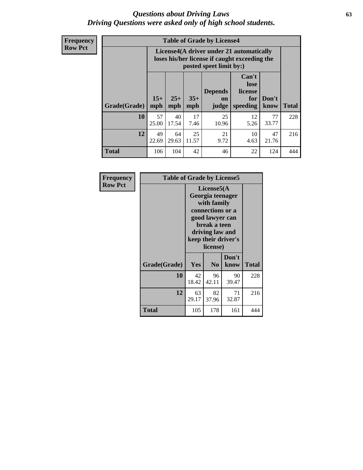#### *Questions about Driving Laws* **63** *Driving Questions were asked only of high school students.*

**Frequency Row Pct**

| <b>Table of Grade by License4</b> |             |                                                                                                                                                                                                                                                                                |            |             |            |             |     |  |  |
|-----------------------------------|-------------|--------------------------------------------------------------------------------------------------------------------------------------------------------------------------------------------------------------------------------------------------------------------------------|------------|-------------|------------|-------------|-----|--|--|
|                                   |             | License4(A driver under 21 automatically<br>loses his/her license if caught exceeding the<br>posted speet limit by:)<br>Can't<br>lose<br><b>Depends</b><br>license<br>$15+$<br>$25+$<br>$35+$<br>Don't<br>for<br>on<br><b>Total</b><br>mph<br>speeding<br>know<br>mph<br>judge |            |             |            |             |     |  |  |
| Grade(Grade)                      | mph         |                                                                                                                                                                                                                                                                                |            |             |            |             |     |  |  |
| 10                                | 57<br>25.00 | 40<br>17.54                                                                                                                                                                                                                                                                    | 17<br>7.46 | 25<br>10.96 | 12<br>5.26 | 77<br>33.77 | 228 |  |  |
| 12                                | 49<br>22.69 | 25<br>21<br>47<br>64<br>10<br>9.72<br>21.76<br>29.63<br>11.57<br>4.63                                                                                                                                                                                                          |            |             |            |             |     |  |  |
| <b>Total</b>                      | 106         | 104                                                                                                                                                                                                                                                                            | 42         | 46          | 22         | 124         | 444 |  |  |

| Frequency      | <b>Table of Grade by License5</b> |                                                                                                                                                             |                |               |              |
|----------------|-----------------------------------|-------------------------------------------------------------------------------------------------------------------------------------------------------------|----------------|---------------|--------------|
| <b>Row Pct</b> |                                   | License5(A)<br>Georgia teenager<br>with family<br>connections or a<br>good lawyer can<br>break a teen<br>driving law and<br>keep their driver's<br>license) |                |               |              |
|                | Grade(Grade)                      | Yes                                                                                                                                                         | N <sub>0</sub> | Don't<br>know | <b>Total</b> |
|                | 10                                | 42<br>18.42                                                                                                                                                 | 96<br>42.11    | 90<br>39.47   | 228          |
|                | 12                                | 63<br>29.17                                                                                                                                                 | 82<br>37.96    | 71<br>32.87   | 216          |
|                | <b>Total</b>                      | 105                                                                                                                                                         | 178            | 161           | 444          |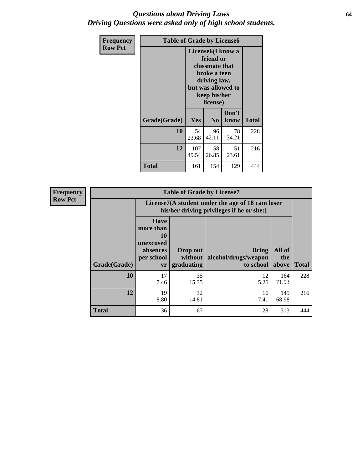#### *Questions about Driving Laws* **64** *Driving Questions were asked only of high school students.*

| <b>Frequency</b> | <b>Table of Grade by License6</b> |              |                                                                                                                                                 |               |              |  |
|------------------|-----------------------------------|--------------|-------------------------------------------------------------------------------------------------------------------------------------------------|---------------|--------------|--|
| <b>Row Pct</b>   |                                   |              | License <sub>6</sub> (I know a<br>friend or<br>classmate that<br>broke a teen<br>driving law,<br>but was allowed to<br>keep his/her<br>license) |               |              |  |
|                  | Grade(Grade)                      | Yes          | N <sub>0</sub>                                                                                                                                  | Don't<br>know | <b>Total</b> |  |
|                  | 10                                | 54<br>23.68  | 96<br>42.11                                                                                                                                     | 78<br>34.21   | 228          |  |
|                  | 12                                | 107<br>49.54 | 216                                                                                                                                             |               |              |  |
|                  | <b>Total</b>                      | 161          | 154                                                                                                                                             | 129           | 444          |  |

| <b>Frequency</b> |              |                                                                             | <b>Table of Grade by License7</b>                                                             |                                                   |                        |              |  |
|------------------|--------------|-----------------------------------------------------------------------------|-----------------------------------------------------------------------------------------------|---------------------------------------------------|------------------------|--------------|--|
| <b>Row Pct</b>   |              |                                                                             | License7(A student under the age of 18 cam loser<br>his/her driving privileges if he or she:) |                                                   |                        |              |  |
|                  | Grade(Grade) | <b>Have</b><br>more than<br>10<br>unexcused<br>absences<br>per school<br>yr | Drop out<br>without  <br>graduating                                                           | <b>Bring</b><br>alcohol/drugs/weapon<br>to school | All of<br>the<br>above | <b>Total</b> |  |
|                  | 10           | 17<br>7.46                                                                  | 35<br>15.35                                                                                   | 12<br>5.26                                        | 164<br>71.93           | 228          |  |
|                  | 12           | 19<br>8.80                                                                  | 32<br>14.81                                                                                   | 16<br>7.41                                        | 149<br>68.98           | 216          |  |
|                  | <b>Total</b> | 36                                                                          | 67                                                                                            | 28                                                | 313                    | 444          |  |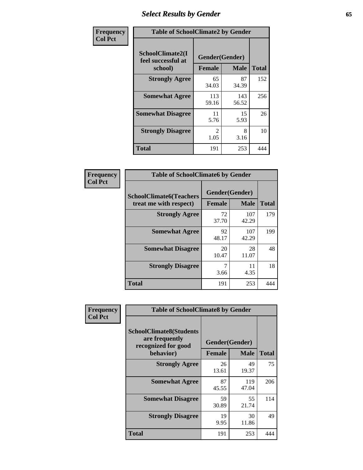# *Select Results by Gender* **65**

| Frequency      | <b>Table of SchoolClimate2 by Gender</b>          |                                 |              |              |
|----------------|---------------------------------------------------|---------------------------------|--------------|--------------|
| <b>Col Pct</b> | SchoolClimate2(I<br>feel successful at<br>school) | Gender(Gender)<br><b>Female</b> | <b>Male</b>  | <b>Total</b> |
|                | <b>Strongly Agree</b>                             | 65<br>34.03                     | 87<br>34.39  | 152          |
|                | <b>Somewhat Agree</b>                             | 113<br>59.16                    | 143<br>56.52 | 256          |
|                | <b>Somewhat Disagree</b>                          | 11<br>5.76                      | 15<br>5.93   | 26           |
|                | <b>Strongly Disagree</b>                          | $\mathcal{L}$<br>1.05           | 8<br>3.16    | 10           |
|                | <b>Total</b>                                      | 191                             | 253          | 444          |

| Frequency      | <b>Table of SchoolClimate6 by Gender</b>                 |                                 |              |              |  |
|----------------|----------------------------------------------------------|---------------------------------|--------------|--------------|--|
| <b>Col Pct</b> | <b>SchoolClimate6(Teachers</b><br>treat me with respect) | Gender(Gender)<br><b>Female</b> | <b>Male</b>  | <b>Total</b> |  |
|                | <b>Strongly Agree</b>                                    | 72<br>37.70                     | 107<br>42.29 | 179          |  |
|                | <b>Somewhat Agree</b>                                    | 92<br>48.17                     | 107<br>42.29 | 199          |  |
|                | <b>Somewhat Disagree</b>                                 | 20<br>10.47                     | 28<br>11.07  | 48           |  |
|                | <b>Strongly Disagree</b>                                 | 7<br>3.66                       | 11<br>4.35   | 18           |  |
|                | <b>Total</b>                                             | 191                             | 253          | 444          |  |

| <b>Frequency</b> | <b>Table of SchoolClimate8 by Gender</b>                                             |               |                               |              |
|------------------|--------------------------------------------------------------------------------------|---------------|-------------------------------|--------------|
| <b>Col Pct</b>   | <b>SchoolClimate8(Students</b><br>are frequently<br>recognized for good<br>behavior) | <b>Female</b> | Gender(Gender)<br><b>Male</b> | <b>Total</b> |
|                  | <b>Strongly Agree</b>                                                                | 26<br>13.61   | 49<br>19.37                   | 75           |
|                  | <b>Somewhat Agree</b>                                                                | 87<br>45.55   | 119<br>47.04                  | 206          |
|                  | <b>Somewhat Disagree</b>                                                             | 59<br>30.89   | 55<br>21.74                   | 114          |
|                  | <b>Strongly Disagree</b>                                                             | 19<br>9.95    | 30<br>11.86                   | 49           |
|                  | Total                                                                                | 191           | 253                           | 444          |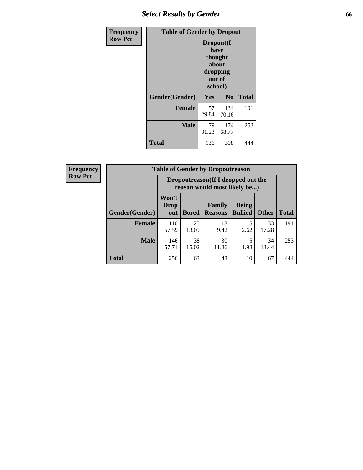# *Select Results by Gender* **66**

| Frequency      | <b>Table of Gender by Dropout</b> |                                                                        |                |              |
|----------------|-----------------------------------|------------------------------------------------------------------------|----------------|--------------|
| <b>Row Pct</b> |                                   | Dropout(I<br>have<br>thought<br>about<br>dropping<br>out of<br>school) |                |              |
|                | Gender(Gender)                    | Yes                                                                    | N <sub>0</sub> | <b>Total</b> |
|                | <b>Female</b>                     | 57<br>29.84                                                            | 134<br>70.16   | 191          |
|                | <b>Male</b>                       | 79<br>31.23                                                            | 174<br>68.77   | 253          |
|                | <b>Total</b>                      | 136                                                                    | 308            | 444          |

| <b>Frequency</b> | <b>Table of Gender by Dropoutreason</b> |                                                                    |              |                          |                                |              |              |
|------------------|-----------------------------------------|--------------------------------------------------------------------|--------------|--------------------------|--------------------------------|--------------|--------------|
| <b>Row Pct</b>   |                                         | Dropoutreason(If I dropped out the<br>reason would most likely be) |              |                          |                                |              |              |
|                  | Gender(Gender)                          | Won't<br><b>Drop</b><br>out                                        | <b>Bored</b> | Family<br><b>Reasons</b> | <b>Being</b><br><b>Bullied</b> | <b>Other</b> | <b>Total</b> |
|                  | <b>Female</b>                           | 110<br>57.59                                                       | 25<br>13.09  | 18<br>9.42               | 5<br>2.62                      | 33<br>17.28  | 191          |
|                  | <b>Male</b>                             | 146<br>57.71                                                       | 38<br>15.02  | 30<br>11.86              | 1.98                           | 34<br>13.44  | 253          |
|                  | <b>Total</b>                            | 256                                                                | 63           | 48                       | 10                             | 67           | 444          |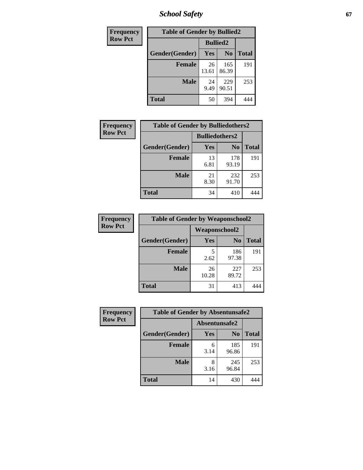*School Safety* **67**

| Frequency      | <b>Table of Gender by Bullied2</b> |                 |                |              |
|----------------|------------------------------------|-----------------|----------------|--------------|
| <b>Row Pct</b> |                                    | <b>Bullied2</b> |                |              |
|                | Gender(Gender)                     | Yes             | N <sub>0</sub> | <b>Total</b> |
|                | <b>Female</b>                      | 26<br>13.61     | 165<br>86.39   | 191          |
|                | <b>Male</b>                        | 24<br>9.49      | 229<br>90.51   | 253          |
|                | <b>Total</b>                       | 50              | 394            |              |

| Frequency      | <b>Table of Gender by Bulliedothers2</b> |                       |                |              |
|----------------|------------------------------------------|-----------------------|----------------|--------------|
| <b>Row Pct</b> |                                          | <b>Bulliedothers2</b> |                |              |
|                | Gender(Gender)                           | <b>Yes</b>            | N <sub>0</sub> | <b>Total</b> |
|                | <b>Female</b>                            | 13<br>6.81            | 178<br>93.19   | 191          |
|                | <b>Male</b>                              | 21<br>8.30            | 232<br>91.70   | 253          |
|                | <b>Total</b>                             | 34                    | 410            |              |

| Frequency      | <b>Table of Gender by Weaponschool2</b> |               |                |              |
|----------------|-----------------------------------------|---------------|----------------|--------------|
| <b>Row Pct</b> |                                         | Weaponschool2 |                |              |
|                | Gender(Gender)                          | <b>Yes</b>    | N <sub>0</sub> | <b>Total</b> |
|                | <b>Female</b>                           | 5<br>2.62     | 186<br>97.38   | 191          |
|                | <b>Male</b>                             | 26<br>10.28   | 227<br>89.72   | 253          |
|                | <b>Total</b>                            | 31            | 413            |              |

| Frequency      |                |               | <b>Table of Gender by Absentunsafe2</b> |              |
|----------------|----------------|---------------|-----------------------------------------|--------------|
| <b>Row Pct</b> |                | Absentunsafe2 |                                         |              |
|                | Gender(Gender) | Yes           | N <sub>0</sub>                          | <b>Total</b> |
|                | <b>Female</b>  | 6<br>3.14     | 185<br>96.86                            | 191          |
|                | <b>Male</b>    | 8<br>3.16     | 245<br>96.84                            | 253          |
|                | <b>Total</b>   | 14            | 430                                     | 444          |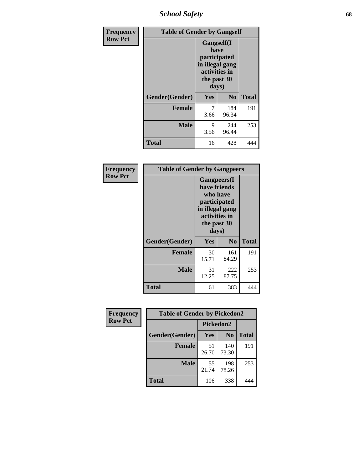*School Safety* **68**

| Frequency      | <b>Table of Gender by Gangself</b> |                                                                                                |                |              |
|----------------|------------------------------------|------------------------------------------------------------------------------------------------|----------------|--------------|
| <b>Row Pct</b> |                                    | Gangself(I<br>have<br>participated<br>in illegal gang<br>activities in<br>the past 30<br>days) |                |              |
|                | Gender(Gender)                     | Yes                                                                                            | N <sub>0</sub> | <b>Total</b> |
|                | <b>Female</b>                      | 7<br>3.66                                                                                      | 184<br>96.34   | 191          |
|                | <b>Male</b>                        | 9<br>3.56                                                                                      | 244<br>96.44   | 253          |
|                | <b>Total</b>                       | 16                                                                                             | 428            | 444          |

| Frequency      | <b>Table of Gender by Gangpeers</b> |                                                                                                                             |                |              |
|----------------|-------------------------------------|-----------------------------------------------------------------------------------------------------------------------------|----------------|--------------|
| <b>Row Pct</b> |                                     | <b>Gangpeers</b> (I<br>have friends<br>who have<br>participated<br>in illegal gang<br>activities in<br>the past 30<br>days) |                |              |
|                | Gender(Gender)                      | Yes                                                                                                                         | N <sub>0</sub> | <b>Total</b> |
|                | <b>Female</b>                       | 30<br>15.71                                                                                                                 | 161<br>84.29   | 191          |
|                | <b>Male</b>                         | 31<br>12.25                                                                                                                 | 222<br>87.75   | 253          |
|                | Total                               | 61                                                                                                                          | 383            |              |

| Frequency      | <b>Table of Gender by Pickedon2</b> |             |                |              |
|----------------|-------------------------------------|-------------|----------------|--------------|
| <b>Row Pct</b> |                                     | Pickedon2   |                |              |
|                | Gender(Gender)                      | Yes         | N <sub>0</sub> | <b>Total</b> |
|                | <b>Female</b>                       | 51<br>26.70 | 140<br>73.30   | 191          |
|                | <b>Male</b>                         | 55<br>21.74 | 198<br>78.26   | 253          |
|                | <b>Total</b>                        | 106         | 338            | 444          |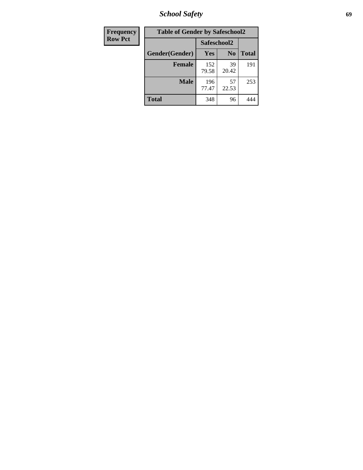*School Safety* **69**

| Frequency      | <b>Table of Gender by Safeschool2</b> |              |                |              |
|----------------|---------------------------------------|--------------|----------------|--------------|
| <b>Row Pct</b> |                                       | Safeschool2  |                |              |
|                | Gender(Gender)                        | <b>Yes</b>   | N <sub>0</sub> | <b>Total</b> |
|                | <b>Female</b>                         | 152<br>79.58 | 39<br>20.42    | 191          |
|                | Male                                  | 196<br>77.47 | 57<br>22.53    | 253          |
|                | <b>Total</b>                          | 348          | 96             | 444          |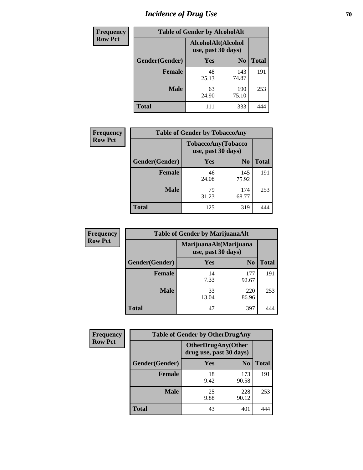# *Incidence of Drug Use* **70**

| <b>Frequency</b> | <b>Table of Gender by AlcoholAlt</b> |                                          |                |              |  |
|------------------|--------------------------------------|------------------------------------------|----------------|--------------|--|
| <b>Row Pct</b>   |                                      | AlcoholAlt(Alcohol<br>use, past 30 days) |                |              |  |
|                  | Gender(Gender)                       | <b>Yes</b>                               | N <sub>0</sub> | <b>Total</b> |  |
|                  | <b>Female</b>                        | 48<br>25.13                              | 143<br>74.87   | 191          |  |
|                  | <b>Male</b>                          | 63<br>24.90                              | 190<br>75.10   | 253          |  |
|                  | <b>Total</b>                         | 111                                      | 333            | 444          |  |

| <b>Frequency</b> | <b>Table of Gender by TobaccoAny</b> |                                          |                |              |  |
|------------------|--------------------------------------|------------------------------------------|----------------|--------------|--|
| <b>Row Pct</b>   |                                      | TobaccoAny(Tobacco<br>use, past 30 days) |                |              |  |
|                  | Gender(Gender)                       | Yes                                      | N <sub>0</sub> | <b>Total</b> |  |
|                  | <b>Female</b>                        | 46<br>24.08                              | 145<br>75.92   | 191          |  |
|                  | <b>Male</b>                          | 79<br>31.23                              | 174<br>68.77   | 253          |  |
|                  | <b>Total</b>                         | 125                                      | 319            |              |  |

| <b>Frequency</b> | <b>Table of Gender by MarijuanaAlt</b> |             |                                              |              |  |
|------------------|----------------------------------------|-------------|----------------------------------------------|--------------|--|
| <b>Row Pct</b>   |                                        |             | MarijuanaAlt(Marijuana<br>use, past 30 days) |              |  |
|                  | Gender(Gender)                         | <b>Yes</b>  | N <sub>0</sub>                               | <b>Total</b> |  |
|                  | <b>Female</b>                          | 14<br>7.33  | 177<br>92.67                                 | 191          |  |
|                  | <b>Male</b>                            | 33<br>13.04 | 220<br>86.96                                 | 253          |  |
|                  | <b>Total</b>                           | 47          | 397                                          |              |  |

| <b>Frequency</b> | <b>Table of Gender by OtherDrugAny</b> |                         |                           |              |
|------------------|----------------------------------------|-------------------------|---------------------------|--------------|
| <b>Row Pct</b>   |                                        | drug use, past 30 days) | <b>OtherDrugAny(Other</b> |              |
|                  | Gender(Gender)                         | <b>Yes</b>              | N <sub>0</sub>            | <b>Total</b> |
|                  | <b>Female</b>                          | 18<br>9.42              | 173<br>90.58              | 191          |
|                  | <b>Male</b>                            | 25<br>9.88              | 228<br>90.12              | 253          |
|                  | <b>Total</b>                           | 43                      | 401                       | 444          |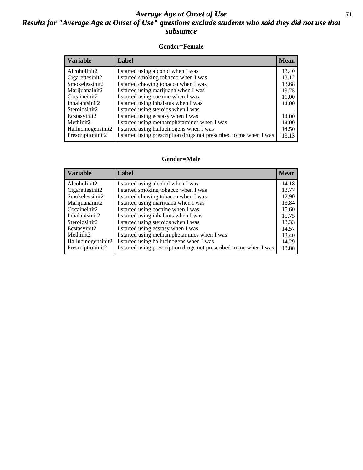#### *Average Age at Onset of Use* **71** *Results for "Average Age at Onset of Use" questions exclude students who said they did not use that substance*

#### **Gender=Female**

| <b>Variable</b>    | Label                                                              | <b>Mean</b> |
|--------------------|--------------------------------------------------------------------|-------------|
| Alcoholinit2       | I started using alcohol when I was                                 | 13.40       |
| Cigarettesinit2    | I started smoking tobacco when I was                               | 13.12       |
| Smokelessinit2     | I started chewing tobacco when I was                               | 13.68       |
| Marijuanainit2     | I started using marijuana when I was                               | 13.75       |
| Cocaineinit2       | I started using cocaine when I was                                 | 11.00       |
| Inhalantsinit2     | I started using inhalants when I was                               | 14.00       |
| Steroidsinit2      | I started using steroids when I was                                |             |
| Ecstasyinit2       | I started using ecstasy when I was                                 | 14.00       |
| Methinit2          | I started using methamphetamines when I was                        | 14.00       |
| Hallucinogensinit2 | I started using hallucinogens when I was                           | 14.50       |
| Prescriptioninit2  | I started using prescription drugs not prescribed to me when I was | 13.13       |

#### **Gender=Male**

| <b>Variable</b>                 | Label                                                              | <b>Mean</b> |
|---------------------------------|--------------------------------------------------------------------|-------------|
| Alcoholinit2                    | I started using alcohol when I was                                 | 14.18       |
| Cigarettesinit2                 | I started smoking tobacco when I was                               | 13.77       |
| Smokelessinit2                  | I started chewing tobacco when I was                               | 12.90       |
| Marijuanainit2                  | I started using marijuana when I was                               | 13.84       |
| Cocaineinit2                    | I started using cocaine when I was                                 | 15.60       |
| Inhalantsinit2                  | I started using inhalants when I was                               | 15.75       |
| Steroidsinit2                   | I started using steroids when I was                                | 13.33       |
| Ecstasyinit2                    | I started using ecstasy when I was                                 | 14.57       |
| Methinit2                       | I started using methamphetamines when I was                        | 13.40       |
| Hallucinogensinit2              | I started using hallucinogens when I was                           | 14.29       |
| Prescription in it <sub>2</sub> | I started using prescription drugs not prescribed to me when I was | 13.88       |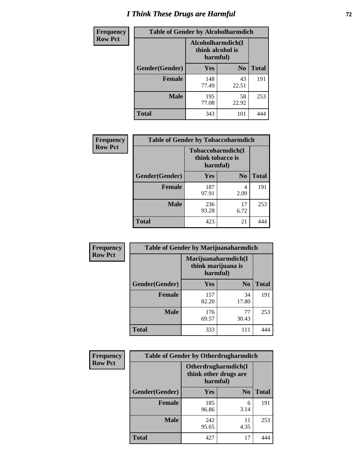# *I Think These Drugs are Harmful* **72**

| Frequency      | <b>Table of Gender by Alcoholharmdich</b> |                                                   |                |              |
|----------------|-------------------------------------------|---------------------------------------------------|----------------|--------------|
| <b>Row Pct</b> |                                           | Alcoholharmdich(I<br>think alcohol is<br>harmful) |                |              |
|                | Gender(Gender)                            | Yes                                               | N <sub>0</sub> | <b>Total</b> |
|                | <b>Female</b>                             | 148<br>77.49                                      | 43<br>22.51    | 191          |
|                | <b>Male</b>                               | 195<br>77.08                                      | 58<br>22.92    | 253          |
|                | <b>Total</b>                              | 343                                               | 101            | 444          |

| Frequency      | <b>Table of Gender by Tobaccoharmdich</b> |                  |                               |              |  |
|----------------|-------------------------------------------|------------------|-------------------------------|--------------|--|
| <b>Row Pct</b> |                                           | think tobacco is | Tobaccoharmdich(I<br>harmful) |              |  |
|                | Gender(Gender)                            | <b>Yes</b>       | N <sub>0</sub>                | <b>Total</b> |  |
|                | <b>Female</b>                             | 187<br>97.91     | 4<br>2.09                     | 191          |  |
|                | <b>Male</b>                               | 236<br>93.28     | 17<br>6.72                    | 253          |  |
|                | <b>Total</b>                              | 423              | 21                            |              |  |

| Frequency      | <b>Table of Gender by Marijuanaharmdich</b> |                                                       |                |              |  |
|----------------|---------------------------------------------|-------------------------------------------------------|----------------|--------------|--|
| <b>Row Pct</b> |                                             | Marijuanaharmdich(I<br>think marijuana is<br>harmful) |                |              |  |
|                | Gender(Gender)                              | <b>Yes</b>                                            | N <sub>0</sub> | <b>Total</b> |  |
|                | <b>Female</b>                               | 157<br>82.20                                          | 34<br>17.80    | 191          |  |
|                | <b>Male</b>                                 | 176<br>69.57                                          | 77<br>30.43    | 253          |  |
|                | <b>Total</b>                                | 333                                                   | 111            | 444          |  |

| Frequency      | <b>Table of Gender by Otherdrugharmdich</b> |                                                          |                |              |  |
|----------------|---------------------------------------------|----------------------------------------------------------|----------------|--------------|--|
| <b>Row Pct</b> |                                             | Otherdrugharmdich(I<br>think other drugs are<br>harmful) |                |              |  |
|                | Gender(Gender)                              | <b>Yes</b>                                               | N <sub>0</sub> | <b>Total</b> |  |
|                | <b>Female</b>                               | 185<br>96.86                                             | 6<br>3.14      | 191          |  |
|                | <b>Male</b>                                 | 242<br>95.65                                             | 11<br>4.35     | 253          |  |
|                | <b>Total</b>                                | 427                                                      | 17             | 444          |  |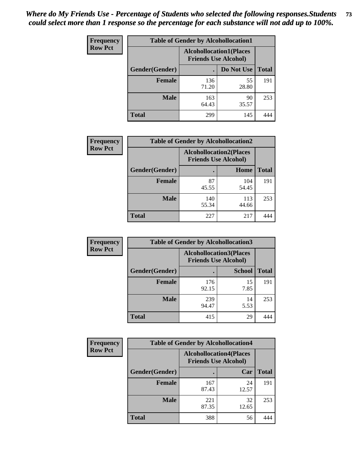| <b>Frequency</b> | <b>Table of Gender by Alcohollocation1</b> |                                                               |             |              |
|------------------|--------------------------------------------|---------------------------------------------------------------|-------------|--------------|
| <b>Row Pct</b>   |                                            | <b>Alcohollocation1(Places</b><br><b>Friends Use Alcohol)</b> |             |              |
|                  | Gender(Gender)                             |                                                               | Do Not Use  | <b>Total</b> |
|                  | <b>Female</b>                              | 136<br>71.20                                                  | 55<br>28.80 | 191          |
|                  | <b>Male</b>                                | 163<br>64.43                                                  | 90<br>35.57 | 253          |
|                  | <b>Total</b>                               | 299                                                           | 145         |              |

| <b>Frequency</b> | <b>Table of Gender by Alcohollocation2</b> |                                |                             |              |
|------------------|--------------------------------------------|--------------------------------|-----------------------------|--------------|
| <b>Row Pct</b>   |                                            | <b>Alcohollocation2(Places</b> | <b>Friends Use Alcohol)</b> |              |
|                  | Gender(Gender)                             |                                | Home                        | <b>Total</b> |
|                  | <b>Female</b>                              | 87<br>45.55                    | 104<br>54.45                | 191          |
|                  | <b>Male</b>                                | 140<br>55.34                   | 113<br>44.66                | 253          |
|                  | <b>Total</b>                               | 227                            | 217                         |              |

| Frequency      | <b>Table of Gender by Alcohollocation3</b> |                                                               |               |              |
|----------------|--------------------------------------------|---------------------------------------------------------------|---------------|--------------|
| <b>Row Pct</b> |                                            | <b>Alcohollocation3(Places</b><br><b>Friends Use Alcohol)</b> |               |              |
|                | Gender(Gender)                             |                                                               | <b>School</b> | <b>Total</b> |
|                | <b>Female</b>                              | 176<br>92.15                                                  | 15<br>7.85    | 191          |
|                | <b>Male</b>                                | 239<br>94.47                                                  | 14<br>5.53    | 253          |
|                | <b>Total</b>                               | 415                                                           | 29            | 444          |

| <b>Frequency</b> |                | <b>Table of Gender by Alcohollocation4</b>                    |             |              |
|------------------|----------------|---------------------------------------------------------------|-------------|--------------|
| <b>Row Pct</b>   |                | <b>Alcohollocation4(Places</b><br><b>Friends Use Alcohol)</b> |             |              |
|                  | Gender(Gender) |                                                               | Car         | <b>Total</b> |
|                  | <b>Female</b>  | 167<br>87.43                                                  | 24<br>12.57 | 191          |
|                  | <b>Male</b>    | 221<br>87.35                                                  | 32<br>12.65 | 253          |
|                  | <b>Total</b>   | 388                                                           | 56          |              |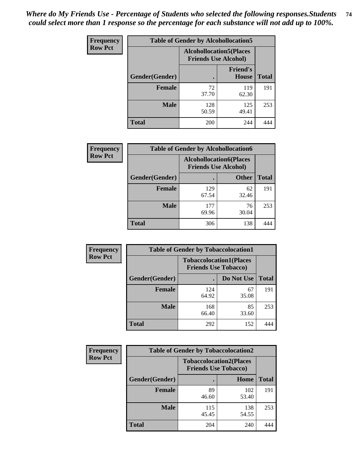| <b>Frequency</b> |                | <b>Table of Gender by Alcohollocation5</b> |                                 |              |
|------------------|----------------|--------------------------------------------|---------------------------------|--------------|
| <b>Row Pct</b>   |                | <b>Alcohollocation5</b> (Places            | <b>Friends Use Alcohol)</b>     |              |
|                  | Gender(Gender) | $\bullet$                                  | <b>Friend's</b><br><b>House</b> | <b>Total</b> |
|                  | <b>Female</b>  | 72<br>37.70                                | 119<br>62.30                    | 191          |
|                  | <b>Male</b>    | 128<br>50.59                               | 125<br>49.41                    | 253          |
|                  | <b>Total</b>   | 200                                        | 244                             |              |

| <b>Frequency</b> | <b>Table of Gender by Alcohollocation6</b> |                                                               |              |              |
|------------------|--------------------------------------------|---------------------------------------------------------------|--------------|--------------|
| <b>Row Pct</b>   |                                            | <b>Alcohollocation6(Places</b><br><b>Friends Use Alcohol)</b> |              |              |
|                  | <b>Gender</b> (Gender)                     | ٠                                                             | <b>Other</b> | <b>Total</b> |
|                  | <b>Female</b>                              | 129<br>67.54                                                  | 62<br>32.46  | 191          |
|                  | <b>Male</b>                                | 177<br>69.96                                                  | 76<br>30.04  | 253          |
|                  | <b>Total</b>                               | 306                                                           | 138          |              |

| Frequency      | <b>Table of Gender by Tobaccolocation1</b> |                                                               |             |              |
|----------------|--------------------------------------------|---------------------------------------------------------------|-------------|--------------|
| <b>Row Pct</b> |                                            | <b>Tobaccolocation1(Places</b><br><b>Friends Use Tobacco)</b> |             |              |
|                | Gender(Gender)                             |                                                               | Do Not Use  | <b>Total</b> |
|                | <b>Female</b>                              | 124<br>64.92                                                  | 67<br>35.08 | 191          |
|                | <b>Male</b>                                | 168<br>66.40                                                  | 85<br>33.60 | 253          |
|                | <b>Total</b>                               | 292                                                           | 152         | 444          |

| <b>Frequency</b> |                | <b>Table of Gender by Tobaccolocation2</b> |                                                               |              |
|------------------|----------------|--------------------------------------------|---------------------------------------------------------------|--------------|
| <b>Row Pct</b>   |                |                                            | <b>Tobaccolocation2(Places</b><br><b>Friends Use Tobacco)</b> |              |
|                  | Gender(Gender) |                                            | Home                                                          | <b>Total</b> |
|                  | Female         | 89<br>46.60                                | 102<br>53.40                                                  | 191          |
|                  | <b>Male</b>    | 115<br>45.45                               | 138<br>54.55                                                  | 253          |
|                  | <b>Total</b>   | 204                                        | 240                                                           | 444          |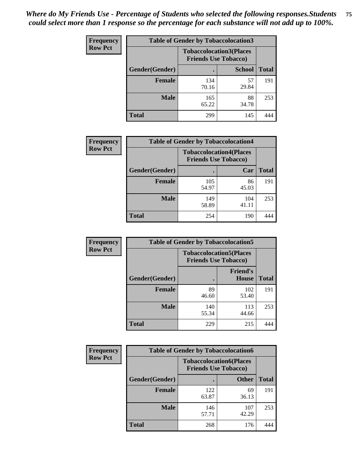| <b>Frequency</b> | <b>Table of Gender by Tobaccolocation3</b> |              |                                                               |              |
|------------------|--------------------------------------------|--------------|---------------------------------------------------------------|--------------|
| <b>Row Pct</b>   |                                            |              | <b>Tobaccolocation3(Places</b><br><b>Friends Use Tobacco)</b> |              |
|                  | Gender(Gender)                             |              | <b>School</b>                                                 | <b>Total</b> |
|                  | Female                                     | 134<br>70.16 | 57<br>29.84                                                   | 191          |
|                  | <b>Male</b>                                | 165<br>65.22 | 88<br>34.78                                                   | 253          |
|                  | <b>Total</b>                               | 299          | 145                                                           |              |

| <b>Frequency</b> | <b>Table of Gender by Tobaccolocation4</b> |              |                                                               |              |
|------------------|--------------------------------------------|--------------|---------------------------------------------------------------|--------------|
| <b>Row Pct</b>   |                                            |              | <b>Tobaccolocation4(Places</b><br><b>Friends Use Tobacco)</b> |              |
|                  | Gender(Gender)                             |              | Car                                                           | <b>Total</b> |
|                  | <b>Female</b>                              | 105<br>54.97 | 86<br>45.03                                                   | 191          |
|                  | <b>Male</b>                                | 149<br>58.89 | 104<br>41.11                                                  | 253          |
|                  | <b>Total</b>                               | 254          | 190                                                           |              |

| <b>Frequency</b> | <b>Table of Gender by Tobaccolocation5</b> |                                                               |                                 |              |
|------------------|--------------------------------------------|---------------------------------------------------------------|---------------------------------|--------------|
| <b>Row Pct</b>   |                                            | <b>Tobaccolocation5(Places</b><br><b>Friends Use Tobacco)</b> |                                 |              |
|                  | Gender(Gender)                             |                                                               | <b>Friend's</b><br><b>House</b> | <b>Total</b> |
|                  | <b>Female</b>                              | 89<br>46.60                                                   | 102<br>53.40                    | 191          |
|                  | <b>Male</b>                                | 140<br>55.34                                                  | 113<br>44.66                    | 253          |
|                  | <b>Total</b>                               | 229                                                           | 215                             | 444          |

| <b>Frequency</b> | <b>Table of Gender by Tobaccolocation6</b> |                                                               |              |              |
|------------------|--------------------------------------------|---------------------------------------------------------------|--------------|--------------|
| <b>Row Pct</b>   |                                            | <b>Tobaccolocation6(Places</b><br><b>Friends Use Tobacco)</b> |              |              |
|                  | Gender(Gender)                             |                                                               | <b>Other</b> | <b>Total</b> |
|                  | <b>Female</b>                              | 122<br>63.87                                                  | 69<br>36.13  | 191          |
|                  | <b>Male</b>                                | 146<br>57.71                                                  | 107<br>42.29 | 253          |
|                  | <b>Total</b>                               | 268                                                           | 176          | 444          |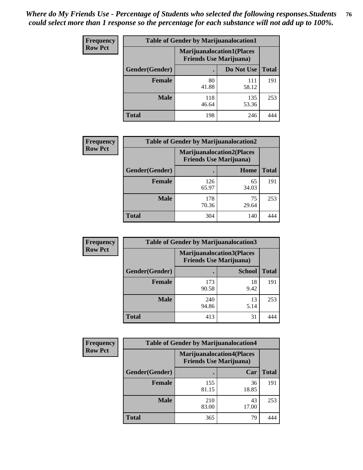| <b>Frequency</b> | <b>Table of Gender by Marijuanalocation1</b> |                                                                    |              |              |
|------------------|----------------------------------------------|--------------------------------------------------------------------|--------------|--------------|
| <b>Row Pct</b>   |                                              | <b>Marijuanalocation1(Places</b><br><b>Friends Use Marijuana</b> ) |              |              |
|                  | Gender(Gender)                               |                                                                    | Do Not Use   | <b>Total</b> |
|                  | <b>Female</b>                                | 80<br>41.88                                                        | 111<br>58.12 | 191          |
|                  | <b>Male</b>                                  | 118<br>46.64                                                       | 135<br>53.36 | 253          |
|                  | <b>Total</b>                                 | 198                                                                | 246          |              |

| <b>Frequency</b> | <b>Table of Gender by Marijuanalocation2</b> |                                                                    |             |              |
|------------------|----------------------------------------------|--------------------------------------------------------------------|-------------|--------------|
| <b>Row Pct</b>   |                                              | <b>Marijuanalocation2(Places</b><br><b>Friends Use Marijuana</b> ) |             |              |
|                  | Gender(Gender)                               |                                                                    | Home        | <b>Total</b> |
|                  | Female                                       | 126<br>65.97                                                       | 65<br>34.03 | 191          |
|                  | <b>Male</b>                                  | 178<br>70.36                                                       | 75<br>29.64 | 253          |
|                  | <b>Total</b>                                 | 304                                                                | 140         |              |

| Frequency      |                | <b>Table of Gender by Marijuanalocation3</b>                        |               |              |
|----------------|----------------|---------------------------------------------------------------------|---------------|--------------|
| <b>Row Pct</b> |                | <b>Marijuanalocation3(Places)</b><br><b>Friends Use Marijuana</b> ) |               |              |
|                | Gender(Gender) |                                                                     | <b>School</b> | <b>Total</b> |
|                | Female         | 173<br>90.58                                                        | 18<br>9.42    | 191          |
|                | <b>Male</b>    | 240<br>94.86                                                        | 13<br>5.14    | 253          |
|                | <b>Total</b>   | 413                                                                 | 31            | 444          |

| <b>Frequency</b> | <b>Table of Gender by Marijuanalocation4</b> |                                                                    |             |              |  |
|------------------|----------------------------------------------|--------------------------------------------------------------------|-------------|--------------|--|
| <b>Row Pct</b>   |                                              | <b>Marijuanalocation4(Places</b><br><b>Friends Use Marijuana</b> ) |             |              |  |
|                  | Gender(Gender)                               |                                                                    | Car         | <b>Total</b> |  |
|                  | Female                                       | 155<br>81.15                                                       | 36<br>18.85 | 191          |  |
|                  | <b>Male</b>                                  | 210<br>83.00                                                       | 43<br>17.00 | 253          |  |
|                  | <b>Total</b>                                 | 365                                                                | 79          |              |  |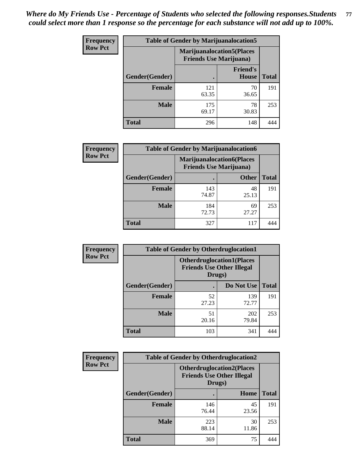| Frequency      | <b>Table of Gender by Marijuanalocation5</b> |                                                                    |                                 |              |
|----------------|----------------------------------------------|--------------------------------------------------------------------|---------------------------------|--------------|
| <b>Row Pct</b> |                                              | <b>Marijuanalocation5(Places</b><br><b>Friends Use Marijuana</b> ) |                                 |              |
|                | Gender(Gender)                               |                                                                    | <b>Friend's</b><br><b>House</b> | <b>Total</b> |
|                | Female                                       | 121<br>63.35                                                       | 70<br>36.65                     | 191          |
|                | <b>Male</b>                                  | 175<br>69.17                                                       | 78<br>30.83                     | 253          |
|                | <b>Total</b>                                 | 296                                                                | 148                             | 444          |

| <b>Frequency</b> | <b>Table of Gender by Marijuanalocation6</b> |                                |                                  |              |
|------------------|----------------------------------------------|--------------------------------|----------------------------------|--------------|
| <b>Row Pct</b>   |                                              | <b>Friends Use Marijuana</b> ) | <b>Marijuanalocation6(Places</b> |              |
|                  | <b>Gender</b> (Gender)                       |                                | <b>Other</b>                     | <b>Total</b> |
|                  | <b>Female</b>                                | 143<br>74.87                   | 48<br>25.13                      | 191          |
|                  | <b>Male</b>                                  | 184<br>72.73                   | 69<br>27.27                      | 253          |
|                  | <b>Total</b>                                 | 327                            | 117                              |              |

| Frequency      | <b>Table of Gender by Otherdruglocation1</b> |                                                                                |              |              |
|----------------|----------------------------------------------|--------------------------------------------------------------------------------|--------------|--------------|
| <b>Row Pct</b> |                                              | <b>Otherdruglocation1(Places</b><br><b>Friends Use Other Illegal</b><br>Drugs) |              |              |
|                | Gender(Gender)                               |                                                                                | Do Not Use   | <b>Total</b> |
|                | Female                                       | 52<br>27.23                                                                    | 139<br>72.77 | 191          |
|                | <b>Male</b>                                  | 51<br>20.16                                                                    | 202<br>79.84 | 253          |
|                | <b>Total</b>                                 | 103                                                                            | 341          | 144          |

| Frequency      | <b>Table of Gender by Otherdruglocation2</b> |                                                                                |             |              |
|----------------|----------------------------------------------|--------------------------------------------------------------------------------|-------------|--------------|
| <b>Row Pct</b> |                                              | <b>Otherdruglocation2(Places</b><br><b>Friends Use Other Illegal</b><br>Drugs) |             |              |
|                | Gender(Gender)                               |                                                                                | Home        | <b>Total</b> |
|                | Female                                       | 146<br>76.44                                                                   | 45<br>23.56 | 191          |
|                | <b>Male</b>                                  | 223<br>88.14                                                                   | 30<br>11.86 | 253          |
|                | <b>Total</b>                                 | 369                                                                            | 75          | 444          |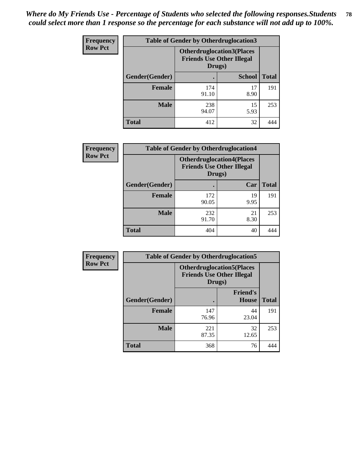| <b>Frequency</b> | <b>Table of Gender by Otherdruglocation3</b> |                                                                                |               |              |
|------------------|----------------------------------------------|--------------------------------------------------------------------------------|---------------|--------------|
| <b>Row Pct</b>   |                                              | <b>Otherdruglocation3(Places</b><br><b>Friends Use Other Illegal</b><br>Drugs) |               |              |
|                  | Gender(Gender)                               |                                                                                | <b>School</b> | <b>Total</b> |
|                  | <b>Female</b>                                | 174<br>91.10                                                                   | 17<br>8.90    | 191          |
|                  | <b>Male</b>                                  | 238<br>94.07                                                                   | 15<br>5.93    | 253          |
|                  | <b>Total</b>                                 | 412                                                                            | 32            |              |

| Frequency      | <b>Table of Gender by Otherdruglocation4</b> |                                            |                                  |              |
|----------------|----------------------------------------------|--------------------------------------------|----------------------------------|--------------|
| <b>Row Pct</b> |                                              | <b>Friends Use Other Illegal</b><br>Drugs) | <b>Otherdruglocation4(Places</b> |              |
|                | Gender(Gender)                               |                                            | Car                              | <b>Total</b> |
|                | <b>Female</b>                                | 172<br>90.05                               | 19<br>9.95                       | 191          |
|                | <b>Male</b>                                  | 232<br>91.70                               | 21<br>8.30                       | 253          |
|                | <b>Total</b>                                 | 404                                        | 40                               |              |

| Frequency      | <b>Table of Gender by Otherdruglocation5</b> |                                                                                |                                 |              |
|----------------|----------------------------------------------|--------------------------------------------------------------------------------|---------------------------------|--------------|
| <b>Row Pct</b> |                                              | <b>Otherdruglocation5(Places</b><br><b>Friends Use Other Illegal</b><br>Drugs) |                                 |              |
|                | Gender(Gender)                               |                                                                                | <b>Friend's</b><br><b>House</b> | <b>Total</b> |
|                | <b>Female</b>                                | 147<br>76.96                                                                   | 44<br>23.04                     | 191          |
|                | <b>Male</b>                                  | 221<br>87.35                                                                   | 32<br>12.65                     | 253          |
|                | <b>Total</b>                                 | 368                                                                            | 76                              |              |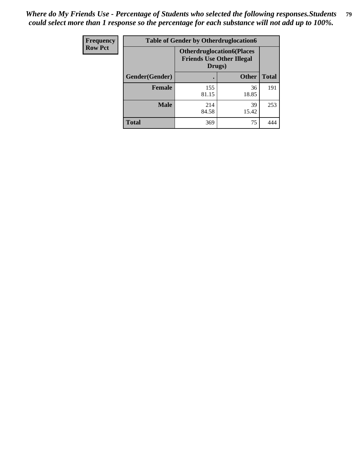| <b>Frequency</b> | <b>Table of Gender by Otherdruglocation6</b> |                                                                                |              |              |
|------------------|----------------------------------------------|--------------------------------------------------------------------------------|--------------|--------------|
| <b>Row Pct</b>   |                                              | <b>Otherdruglocation6(Places</b><br><b>Friends Use Other Illegal</b><br>Drugs) |              |              |
|                  | Gender(Gender)                               |                                                                                | <b>Other</b> | <b>Total</b> |
|                  | <b>Female</b>                                | 155<br>81.15                                                                   | 36<br>18.85  | 191          |
|                  | <b>Male</b>                                  | 214<br>84.58                                                                   | 39<br>15.42  | 253          |
|                  | <b>Total</b>                                 | 369                                                                            | 75           | 444          |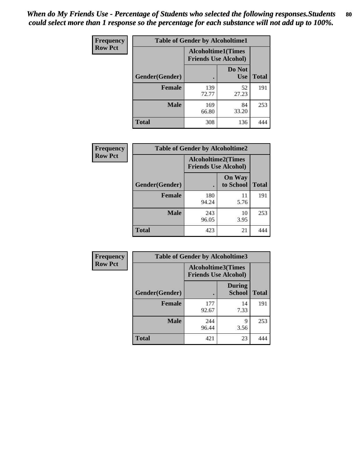| <b>Frequency</b> | <b>Table of Gender by Alcoholtime1</b> |                                                          |                      |              |
|------------------|----------------------------------------|----------------------------------------------------------|----------------------|--------------|
| <b>Row Pct</b>   |                                        | <b>Alcoholtime1(Times</b><br><b>Friends Use Alcohol)</b> |                      |              |
|                  | Gender(Gender)                         | $\bullet$                                                | Do Not<br><b>Use</b> | <b>Total</b> |
|                  | <b>Female</b>                          | 139<br>72.77                                             | 52<br>27.23          | 191          |
|                  | <b>Male</b>                            | 169<br>66.80                                             | 84<br>33.20          | 253          |
|                  | <b>Total</b>                           | 308                                                      | 136                  | 444          |

| <b>Frequency</b> | <b>Table of Gender by Alcoholtime2</b> |                                                          |                            |              |
|------------------|----------------------------------------|----------------------------------------------------------|----------------------------|--------------|
| <b>Row Pct</b>   |                                        | <b>Alcoholtime2(Times</b><br><b>Friends Use Alcohol)</b> |                            |              |
|                  | Gender(Gender)                         |                                                          | <b>On Way</b><br>to School | <b>Total</b> |
|                  | <b>Female</b>                          | 180<br>94.24                                             | 11<br>5.76                 | 191          |
|                  | <b>Male</b>                            | 243<br>96.05                                             | 10<br>3.95                 | 253          |
|                  | <b>Total</b>                           | 423                                                      | 21                         |              |

| Frequency      | <b>Table of Gender by Alcoholtime3</b> |                                                   |                                |              |
|----------------|----------------------------------------|---------------------------------------------------|--------------------------------|--------------|
| <b>Row Pct</b> |                                        | Alcoholtime3(Times<br><b>Friends Use Alcohol)</b> |                                |              |
|                | Gender(Gender)                         |                                                   | <b>During</b><br><b>School</b> | <b>Total</b> |
|                | Female                                 | 177<br>92.67                                      | 14<br>7.33                     | 191          |
|                | <b>Male</b>                            | 244<br>96.44                                      | 9<br>3.56                      | 253          |
|                | <b>Total</b>                           | 421                                               | 23                             | 444          |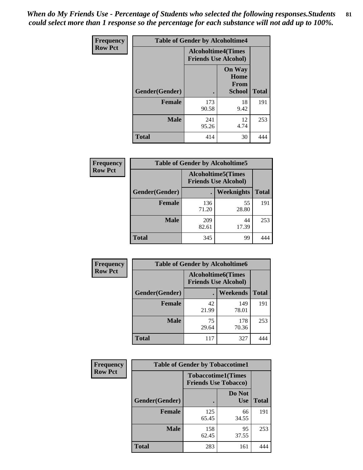*When do My Friends Use - Percentage of Students who selected the following responses.Students could select more than 1 response so the percentage for each substance will not add up to 100%.* **81**

| <b>Frequency</b> | <b>Table of Gender by Alcoholtime4</b> |                                                          |                                                |              |
|------------------|----------------------------------------|----------------------------------------------------------|------------------------------------------------|--------------|
| <b>Row Pct</b>   |                                        | <b>Alcoholtime4(Times</b><br><b>Friends Use Alcohol)</b> |                                                |              |
|                  | Gender(Gender)                         |                                                          | <b>On Way</b><br>Home<br>From<br><b>School</b> | <b>Total</b> |
|                  | <b>Female</b>                          | 173<br>90.58                                             | 18<br>9.42                                     | 191          |
|                  | <b>Male</b>                            | 241<br>95.26                                             | 12<br>4.74                                     | 253          |
|                  | <b>Total</b>                           | 414                                                      | 30                                             | 444          |

| <b>Frequency</b> | <b>Table of Gender by Alcoholtime5</b> |              |                                                           |              |  |
|------------------|----------------------------------------|--------------|-----------------------------------------------------------|--------------|--|
| <b>Row Pct</b>   |                                        |              | <b>Alcoholtime5</b> (Times<br><b>Friends Use Alcohol)</b> |              |  |
|                  | Gender(Gender)                         |              | <b>Weeknights</b>                                         | <b>Total</b> |  |
|                  | <b>Female</b>                          | 136<br>71.20 | 55<br>28.80                                               | 191          |  |
|                  | <b>Male</b>                            | 209<br>82.61 | 44<br>17.39                                               | 253          |  |
|                  | <b>Total</b>                           | 345          | 99                                                        | 444          |  |

| <b>Frequency</b> | <b>Table of Gender by Alcoholtime6</b> |             |                                                           |              |  |
|------------------|----------------------------------------|-------------|-----------------------------------------------------------|--------------|--|
| <b>Row Pct</b>   |                                        |             | <b>Alcoholtime6</b> (Times<br><b>Friends Use Alcohol)</b> |              |  |
|                  | Gender(Gender)                         |             | <b>Weekends</b>                                           | <b>Total</b> |  |
|                  | <b>Female</b>                          | 42<br>21.99 | 149<br>78.01                                              | 191          |  |
|                  | <b>Male</b>                            | 75<br>29.64 | 178<br>70.36                                              | 253          |  |
|                  | <b>Total</b>                           | 117         | 327                                                       |              |  |

| Frequency      | <b>Table of Gender by Tobaccotime1</b> |                                                          |                      |              |
|----------------|----------------------------------------|----------------------------------------------------------|----------------------|--------------|
| <b>Row Pct</b> |                                        | <b>Tobaccotime1(Times</b><br><b>Friends Use Tobacco)</b> |                      |              |
|                | Gender(Gender)                         |                                                          | Do Not<br><b>Use</b> | <b>Total</b> |
|                | <b>Female</b>                          | 125<br>65.45                                             | 66<br>34.55          | 191          |
|                | <b>Male</b>                            | 158<br>62.45                                             | 95<br>37.55          | 253          |
|                | <b>Total</b>                           | 283                                                      | 161                  | 444          |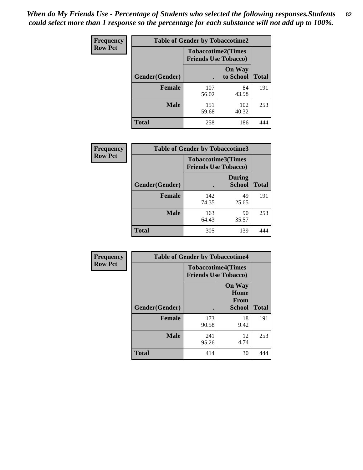| <b>Frequency</b> | <b>Table of Gender by Tobaccotime2</b> |                                                          |                            |              |
|------------------|----------------------------------------|----------------------------------------------------------|----------------------------|--------------|
| <b>Row Pct</b>   |                                        | <b>Tobaccotime2(Times</b><br><b>Friends Use Tobacco)</b> |                            |              |
|                  | Gender(Gender)                         |                                                          | <b>On Way</b><br>to School | <b>Total</b> |
|                  | <b>Female</b>                          | 107<br>56.02                                             | 84<br>43.98                | 191          |
|                  | <b>Male</b>                            | 151<br>59.68                                             | 102<br>40.32               | 253          |
|                  | <b>Total</b>                           | 258                                                      | 186                        |              |

| Frequency      | <b>Table of Gender by Tobaccotime3</b> |                                                          |                                |              |
|----------------|----------------------------------------|----------------------------------------------------------|--------------------------------|--------------|
| <b>Row Pct</b> |                                        | <b>Tobaccotime3(Times</b><br><b>Friends Use Tobacco)</b> |                                |              |
|                | Gender(Gender)                         |                                                          | <b>During</b><br><b>School</b> | <b>Total</b> |
|                | Female                                 | 142<br>74.35                                             | 49<br>25.65                    | 191          |
|                | <b>Male</b>                            | 163<br>64.43                                             | 90<br>35.57                    | 253          |
|                | <b>Total</b>                           | 305                                                      | 139                            |              |

| <b>Frequency</b> | <b>Table of Gender by Tobaccotime4</b> |                                                          |                                                       |              |
|------------------|----------------------------------------|----------------------------------------------------------|-------------------------------------------------------|--------------|
| <b>Row Pct</b>   |                                        | <b>Tobaccotime4(Times</b><br><b>Friends Use Tobacco)</b> |                                                       |              |
|                  | Gender(Gender)                         |                                                          | <b>On Way</b><br>Home<br><b>From</b><br><b>School</b> | <b>Total</b> |
|                  | <b>Female</b>                          | 173<br>90.58                                             | 18<br>9.42                                            | 191          |
|                  | <b>Male</b>                            | 241<br>95.26                                             | 12<br>4.74                                            | 253          |
|                  | <b>Total</b>                           | 414                                                      | 30                                                    | 444          |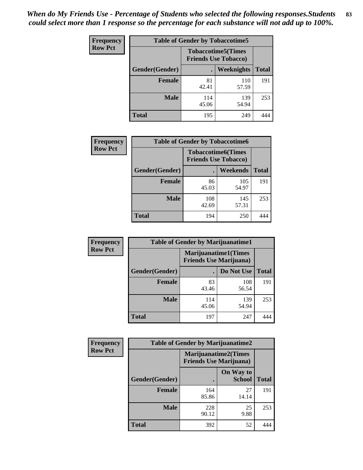| Frequency      | <b>Table of Gender by Tobaccotime5</b> |              |                                                          |              |  |
|----------------|----------------------------------------|--------------|----------------------------------------------------------|--------------|--|
| <b>Row Pct</b> |                                        |              | <b>Tobaccotime5(Times</b><br><b>Friends Use Tobacco)</b> |              |  |
|                | <b>Gender</b> (Gender)                 |              | Weeknights                                               | <b>Total</b> |  |
|                | <b>Female</b>                          | 81<br>42.41  | 110<br>57.59                                             | 191          |  |
|                | <b>Male</b>                            | 114<br>45.06 | 139<br>54.94                                             | 253          |  |
|                | <b>Total</b>                           | 195          | 249                                                      | 444          |  |

| <b>Frequency</b> | <b>Table of Gender by Tobaccotime6</b> |                                                          |                 |              |
|------------------|----------------------------------------|----------------------------------------------------------|-----------------|--------------|
| <b>Row Pct</b>   |                                        | <b>Tobaccotime6(Times</b><br><b>Friends Use Tobacco)</b> |                 |              |
|                  | Gender(Gender)                         |                                                          | <b>Weekends</b> | <b>Total</b> |
|                  | Female                                 | 86<br>45.03                                              | 105<br>54.97    | 191          |
|                  | <b>Male</b>                            | 108<br>42.69                                             | 145<br>57.31    | 253          |
|                  | <b>Total</b>                           | 194                                                      | 250             |              |

| <b>Frequency</b> | <b>Table of Gender by Marijuanatime1</b> |                                |                             |              |
|------------------|------------------------------------------|--------------------------------|-----------------------------|--------------|
| <b>Row Pct</b>   |                                          | <b>Friends Use Marijuana</b> ) | <b>Marijuanatime1(Times</b> |              |
|                  | Gender(Gender)                           |                                | Do Not Use                  | <b>Total</b> |
|                  | <b>Female</b>                            | 83<br>43.46                    | 108<br>56.54                | 191          |
|                  | <b>Male</b>                              | 114<br>45.06                   | 139<br>54.94                | 253          |
|                  | <b>Total</b>                             | 197                            | 247                         | 444          |

| <b>Frequency</b> | <b>Table of Gender by Marijuanatime2</b> |                                                               |                            |              |
|------------------|------------------------------------------|---------------------------------------------------------------|----------------------------|--------------|
| <b>Row Pct</b>   |                                          | <b>Marijuanatime2(Times</b><br><b>Friends Use Marijuana</b> ) |                            |              |
|                  | Gender(Gender)                           |                                                               | On Way to<br><b>School</b> | <b>Total</b> |
|                  | <b>Female</b>                            | 164<br>85.86                                                  | 27<br>14.14                | 191          |
|                  | <b>Male</b>                              | 228<br>90.12                                                  | 25<br>9.88                 | 253          |
|                  | <b>Total</b>                             | 392                                                           | 52                         | 444          |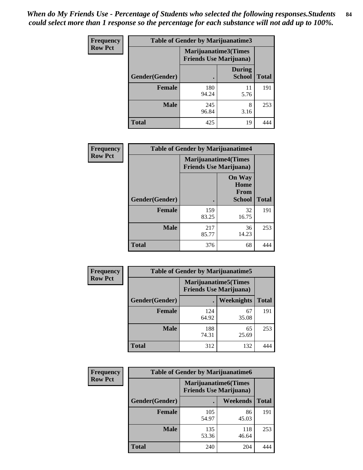| <b>Frequency</b> | <b>Table of Gender by Marijuanatime3</b> |                                                        |                         |              |
|------------------|------------------------------------------|--------------------------------------------------------|-------------------------|--------------|
| <b>Row Pct</b>   |                                          | Marijuanatime3(Times<br><b>Friends Use Marijuana</b> ) |                         |              |
|                  | Gender(Gender)                           |                                                        | During<br><b>School</b> | <b>Total</b> |
|                  | <b>Female</b>                            | 180<br>94.24                                           | 11<br>5.76              | 191          |
|                  | <b>Male</b>                              | 245<br>96.84                                           | 8<br>3.16               | 253          |
|                  | <b>Total</b>                             | 425                                                    | 19                      | 444          |

| Frequency      | <b>Table of Gender by Marijuanatime4</b> |                                                               |                                                       |              |
|----------------|------------------------------------------|---------------------------------------------------------------|-------------------------------------------------------|--------------|
| <b>Row Pct</b> |                                          | <b>Marijuanatime4(Times</b><br><b>Friends Use Marijuana</b> ) |                                                       |              |
|                | Gender(Gender)                           |                                                               | <b>On Way</b><br>Home<br><b>From</b><br><b>School</b> | <b>Total</b> |
|                | <b>Female</b>                            | 159<br>83.25                                                  | 32<br>16.75                                           | 191          |
|                | <b>Male</b>                              | 217<br>85.77                                                  | 36<br>14.23                                           | 253          |
|                | <b>Total</b>                             | 376                                                           | 68                                                    |              |

| Frequency      | <b>Table of Gender by Marijuanatime5</b> |              |                                                                |              |  |
|----------------|------------------------------------------|--------------|----------------------------------------------------------------|--------------|--|
| <b>Row Pct</b> |                                          |              | <b>Marijuanatime5</b> (Times<br><b>Friends Use Marijuana</b> ) |              |  |
|                | Gender(Gender)                           |              | Weeknights                                                     | <b>Total</b> |  |
|                | <b>Female</b>                            | 124<br>64.92 | 67<br>35.08                                                    | 191          |  |
|                | <b>Male</b>                              | 188<br>74.31 | 65<br>25.69                                                    | 253          |  |
|                | <b>Total</b>                             | 312          | 132                                                            | 444          |  |

| Frequency      | <b>Table of Gender by Marijuanatime6</b> |                                                               |                 |              |  |
|----------------|------------------------------------------|---------------------------------------------------------------|-----------------|--------------|--|
| <b>Row Pct</b> |                                          | <b>Marijuanatime6(Times</b><br><b>Friends Use Marijuana</b> ) |                 |              |  |
|                | Gender(Gender)                           |                                                               | <b>Weekends</b> | <b>Total</b> |  |
|                | <b>Female</b>                            | 105<br>54.97                                                  | 86<br>45.03     | 191          |  |
|                | <b>Male</b>                              | 135<br>53.36                                                  | 118<br>46.64    | 253          |  |
|                | <b>Total</b>                             | 240                                                           | 204             | 444          |  |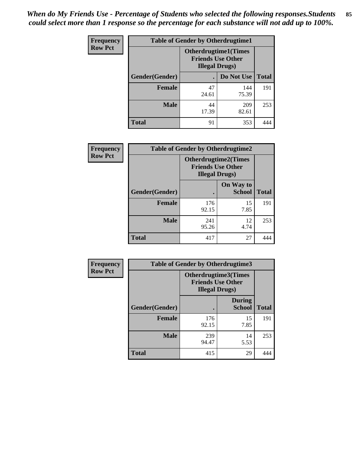*When do My Friends Use - Percentage of Students who selected the following responses.Students could select more than 1 response so the percentage for each substance will not add up to 100%.* **85**

| <b>Frequency</b> | <b>Table of Gender by Otherdrugtime1</b> |                                                                                    |                    |     |  |
|------------------|------------------------------------------|------------------------------------------------------------------------------------|--------------------|-----|--|
| <b>Row Pct</b>   |                                          | <b>Otherdrugtime1</b> (Times<br><b>Friends Use Other</b><br><b>Illegal Drugs</b> ) |                    |     |  |
|                  | Gender(Gender)                           |                                                                                    | Do Not Use   Total |     |  |
|                  | <b>Female</b>                            | 47<br>24.61                                                                        | 144<br>75.39       | 191 |  |
|                  | <b>Male</b>                              | 44<br>17.39                                                                        | 209<br>82.61       | 253 |  |
|                  | <b>Total</b>                             | 91                                                                                 | 353                |     |  |

| Frequency      | <b>Table of Gender by Otherdrugtime2</b> |                                                                                   |                            |              |
|----------------|------------------------------------------|-----------------------------------------------------------------------------------|----------------------------|--------------|
| <b>Row Pct</b> |                                          | <b>Otherdrugtime2(Times</b><br><b>Friends Use Other</b><br><b>Illegal Drugs</b> ) |                            |              |
|                | Gender(Gender)                           |                                                                                   | On Way to<br><b>School</b> | <b>Total</b> |
|                | <b>Female</b>                            | 176<br>92.15                                                                      | 15<br>7.85                 | 191          |
|                | <b>Male</b>                              | 241<br>95.26                                                                      | 12<br>4.74                 | 253          |
|                | <b>Total</b>                             | 417                                                                               | 27                         |              |

| Frequency      |                | <b>Table of Gender by Otherdrugtime3</b> |                                                         |              |
|----------------|----------------|------------------------------------------|---------------------------------------------------------|--------------|
| <b>Row Pct</b> |                | <b>Illegal Drugs</b> )                   | <b>Otherdrugtime3(Times</b><br><b>Friends Use Other</b> |              |
|                | Gender(Gender) |                                          | <b>During</b><br><b>School</b>                          | <b>Total</b> |
|                | <b>Female</b>  | 176<br>92.15                             | 15<br>7.85                                              | 191          |
|                | <b>Male</b>    | 239<br>94.47                             | 14<br>5.53                                              | 253          |
|                | <b>Total</b>   | 415                                      | 29                                                      | 444          |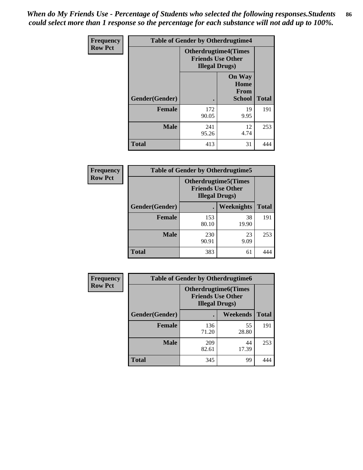*When do My Friends Use - Percentage of Students who selected the following responses.Students could select more than 1 response so the percentage for each substance will not add up to 100%.* **86**

| <b>Frequency</b> | <b>Table of Gender by Otherdrugtime4</b> |                                                    |                                                |              |
|------------------|------------------------------------------|----------------------------------------------------|------------------------------------------------|--------------|
| <b>Row Pct</b>   |                                          | <b>Friends Use Other</b><br><b>Illegal Drugs</b> ) | <b>Otherdrugtime4(Times</b>                    |              |
|                  | Gender(Gender)                           |                                                    | <b>On Way</b><br>Home<br>From<br><b>School</b> | <b>Total</b> |
|                  | <b>Female</b>                            | 172<br>90.05                                       | 19<br>9.95                                     | 191          |
|                  | <b>Male</b>                              | 241<br>95.26                                       | 12<br>4.74                                     | 253          |
|                  | <b>Total</b>                             | 413                                                | 31                                             | 444          |

| Frequency      | <b>Table of Gender by Otherdrugtime5</b> |                                                                                    |             |              |
|----------------|------------------------------------------|------------------------------------------------------------------------------------|-------------|--------------|
| <b>Row Pct</b> |                                          | <b>Otherdrugtime5</b> (Times<br><b>Friends Use Other</b><br><b>Illegal Drugs</b> ) |             |              |
|                | Gender(Gender)                           |                                                                                    | Weeknights  | <b>Total</b> |
|                | <b>Female</b>                            | 153<br>80.10                                                                       | 38<br>19.90 | 191          |
|                | <b>Male</b>                              | 230<br>90.91                                                                       | 23<br>9.09  | 253          |
|                | <b>Total</b>                             | 383                                                                                | 61          | 444          |

| <b>Frequency</b> | <b>Table of Gender by Otherdrugtime6</b> |                                                                                  |             |              |
|------------------|------------------------------------------|----------------------------------------------------------------------------------|-------------|--------------|
| <b>Row Pct</b>   |                                          | <b>Otherdrugtime6(Times</b><br><b>Friends Use Other</b><br><b>Illegal Drugs)</b> |             |              |
|                  | Gender(Gender)                           |                                                                                  | Weekends    | <b>Total</b> |
|                  | <b>Female</b>                            | 136<br>71.20                                                                     | 55<br>28.80 | 191          |
|                  | <b>Male</b>                              | 209<br>82.61                                                                     | 44<br>17.39 | 253          |
|                  | <b>Total</b>                             | 345                                                                              | 99          | 444          |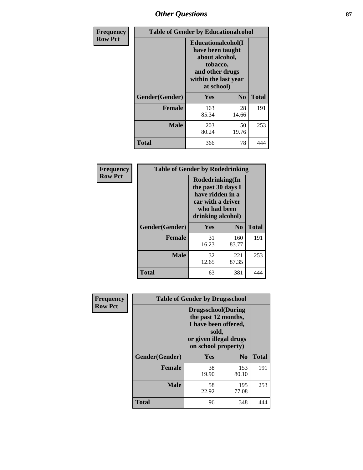# *Other Questions* **87**

| <b>Frequency</b> | <b>Table of Gender by Educationalcohol</b> |                                                                                                                                       |                |              |  |
|------------------|--------------------------------------------|---------------------------------------------------------------------------------------------------------------------------------------|----------------|--------------|--|
| <b>Row Pct</b>   |                                            | <b>Educationalcohol</b> (I<br>have been taught<br>about alcohol,<br>tobacco,<br>and other drugs<br>within the last year<br>at school) |                |              |  |
|                  | Gender(Gender)                             | <b>Yes</b>                                                                                                                            | N <sub>0</sub> | <b>Total</b> |  |
|                  | <b>Female</b>                              | 163<br>85.34                                                                                                                          | 28<br>14.66    | 191          |  |
|                  | <b>Male</b>                                | 203<br>80.24                                                                                                                          | 50<br>19.76    | 253          |  |
|                  | <b>Total</b>                               | 366                                                                                                                                   | 78             | 444          |  |

| Frequency      | <b>Table of Gender by Rodedrinking</b> |                                                                                                                     |                |              |  |
|----------------|----------------------------------------|---------------------------------------------------------------------------------------------------------------------|----------------|--------------|--|
| <b>Row Pct</b> |                                        | Rodedrinking(In<br>the past 30 days I<br>have ridden in a<br>car with a driver<br>who had been<br>drinking alcohol) |                |              |  |
|                | Gender(Gender)                         | Yes                                                                                                                 | N <sub>0</sub> | <b>Total</b> |  |
|                | <b>Female</b>                          | 31<br>16.23                                                                                                         | 160<br>83.77   | 191          |  |
|                | <b>Male</b>                            | 32<br>12.65                                                                                                         | 221<br>87.35   | 253          |  |
|                | <b>Total</b>                           | 63                                                                                                                  | 381            | 444          |  |

| Frequency      | <b>Table of Gender by Drugsschool</b> |                                                                                                                                     |                |              |  |
|----------------|---------------------------------------|-------------------------------------------------------------------------------------------------------------------------------------|----------------|--------------|--|
| <b>Row Pct</b> |                                       | <b>Drugsschool</b> (During<br>the past 12 months,<br>I have been offered,<br>sold,<br>or given illegal drugs<br>on school property) |                |              |  |
|                | Gender(Gender)                        | Yes                                                                                                                                 | N <sub>0</sub> | <b>Total</b> |  |
|                | <b>Female</b>                         | 38<br>19.90                                                                                                                         | 153<br>80.10   | 191          |  |
|                | <b>Male</b>                           | 58<br>22.92                                                                                                                         | 195<br>77.08   | 253          |  |
|                | <b>Total</b>                          | 96                                                                                                                                  | 348            | 444          |  |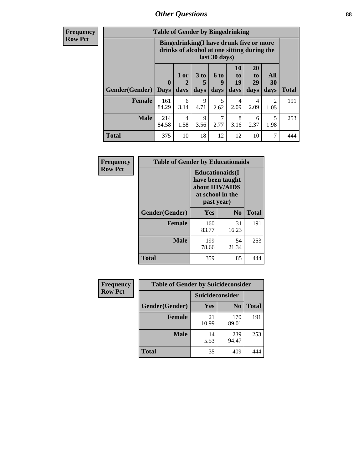# *Other Questions* **88**

**Frequency Row Pct**

| <b>Table of Gender by Bingedrinking</b> |                         |                                                                                                         |                   |                   |                        |                               |                        |              |
|-----------------------------------------|-------------------------|---------------------------------------------------------------------------------------------------------|-------------------|-------------------|------------------------|-------------------------------|------------------------|--------------|
|                                         |                         | Bingedrinking(I have drunk five or more<br>drinks of alcohol at one sitting during the<br>last 30 days) |                   |                   |                        |                               |                        |              |
| <b>Gender</b> (Gender)                  | $\bf{0}$<br><b>Days</b> | 1 or<br>days                                                                                            | 3 to<br>5<br>days | 6 to<br>9<br>days | 10<br>to<br>19<br>days | <b>20</b><br>to<br>29<br>days | All<br>30<br>days      | <b>Total</b> |
| <b>Female</b>                           | 161                     | 6                                                                                                       | 9                 | 5                 | 4                      | 4                             |                        |              |
|                                         | 84.29                   | 3.14                                                                                                    | 4.71              | 2.62              | 2.09                   | 2.09                          | $\mathfrak{D}$<br>1.05 | 191          |
| <b>Male</b>                             | 214<br>84.58            | 4<br>1.58                                                                                               | 9<br>3.56         | 2.77              | 8<br>3.16              | 6<br>2.37                     | 5<br>1.98              | 253          |

| Frequency      | <b>Table of Gender by Educationaids</b> |                                                                                                 |                |              |  |
|----------------|-----------------------------------------|-------------------------------------------------------------------------------------------------|----------------|--------------|--|
| <b>Row Pct</b> |                                         | <b>Educationaids</b> (I<br>have been taught<br>about HIV/AIDS<br>at school in the<br>past year) |                |              |  |
|                | Gender(Gender)                          | Yes                                                                                             | N <sub>0</sub> | <b>Total</b> |  |
|                | <b>Female</b>                           | 160<br>83.77                                                                                    | 31<br>16.23    | 191          |  |
|                | <b>Male</b>                             | 199<br>78.66                                                                                    | 54<br>21.34    | 253          |  |
|                | <b>Total</b>                            | 359                                                                                             | 85             | 444          |  |

| <b>Frequency</b> | <b>Table of Gender by Suicideconsider</b> |                 |                |       |  |
|------------------|-------------------------------------------|-----------------|----------------|-------|--|
| <b>Row Pct</b>   |                                           | Suicideconsider |                |       |  |
|                  | Gender(Gender)                            | Yes             | N <sub>0</sub> | Total |  |
|                  | <b>Female</b>                             | 21<br>10.99     | 170<br>89.01   | 191   |  |
|                  | <b>Male</b>                               | 14<br>5.53      | 239<br>94.47   | 253   |  |
|                  | <b>Total</b>                              | 35              | 409            | 444   |  |